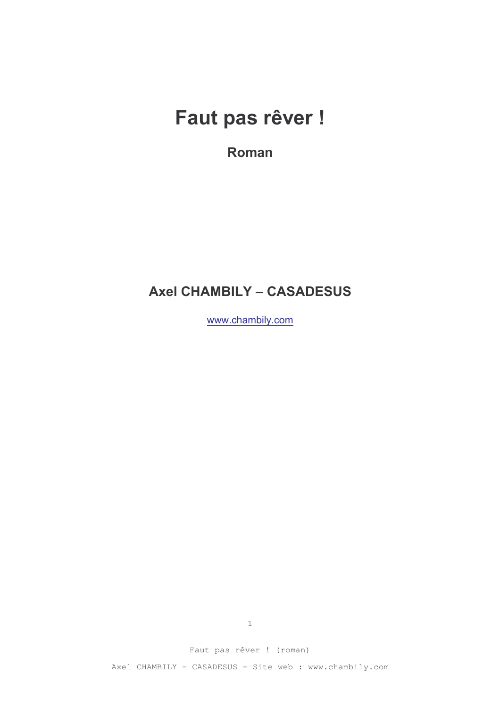## Faut pas rêver !

Roman

## **Axel CHAMBILY - CASADESUS**

www.chambily.com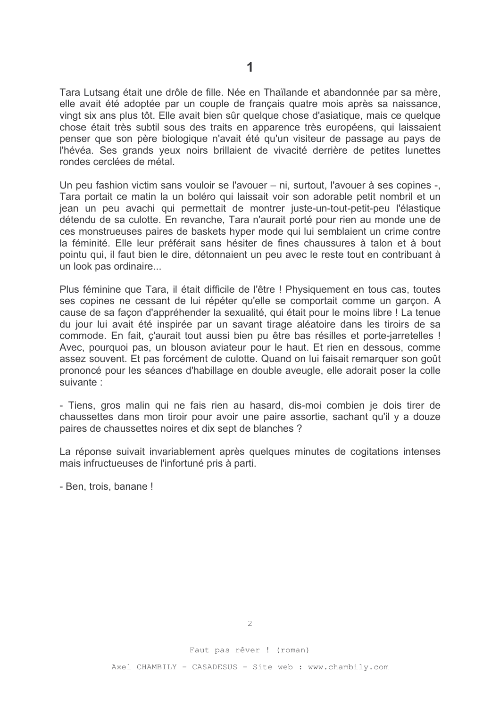1

Tara Lutsang était une drôle de fille. Née en Thaïlande et abandonnée par sa mère, elle avait été adoptée par un couple de français quatre mois après sa naissance, vingt six ans plus tôt. Elle avait bien sûr quelque chose d'asiatique, mais ce quelque chose était très subtil sous des traits en apparence très européens, qui laissaient penser que son père biologique n'avait été qu'un visiteur de passage au pays de l'hévéa. Ses grands yeux noirs brillaient de vivacité derrière de petites lunettes rondes cerclées de métal.

Un peu fashion victim sans vouloir se l'avouer – ni, surtout, l'avouer à ses copines -, Tara portait ce matin la un boléro qui laissait voir son adorable petit nombril et un jean un peu avachi qui permettait de montrer juste-un-tout-petit-peu l'élastique détendu de sa culotte. En revanche, Tara n'aurait porté pour rien au monde une de ces monstrueuses paires de baskets hyper mode qui lui semblaient un crime contre la féminité. Elle leur préférait sans hésiter de fines chaussures à talon et à bout pointu qui, il faut bien le dire, détonnaient un peu avec le reste tout en contribuant à un look pas ordinaire...

Plus féminine que Tara, il était difficile de l'être ! Physiquement en tous cas, toutes ses copines ne cessant de lui répéter qu'elle se comportait comme un garcon. A cause de sa façon d'appréhender la sexualité, qui était pour le moins libre ! La tenue du jour lui avait été inspirée par un savant tirage aléatoire dans les tiroirs de sa commode. En fait, c'aurait tout aussi bien pu être bas résilles et porte-jarretelles ! Avec, pourquoi pas, un blouson aviateur pour le haut. Et rien en dessous, comme assez souvent. Et pas forcément de culotte. Quand on lui faisait remarquer son goût prononcé pour les séances d'habillage en double aveugle, elle adorait poser la colle suivante :

- Tiens, gros malin qui ne fais rien au hasard, dis-moi combien je dois tirer de chaussettes dans mon tiroir pour avoir une paire assortie, sachant qu'il y a douze paires de chaussettes noires et dix sept de blanches ?

La réponse suivait invariablement après quelques minutes de cogitations intenses mais infructueuses de l'infortuné pris à parti.

- Ben, trois, banane !

Faut pas rêver ! (roman)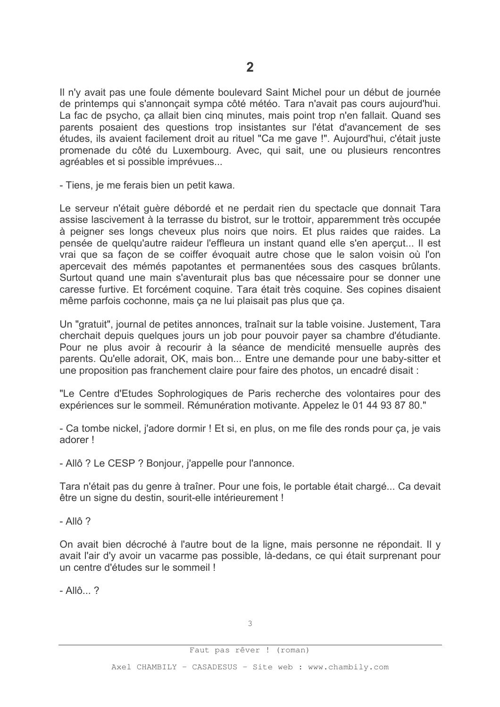Il n'y avait pas une foule démente boulevard Saint Michel pour un début de journée de printemps qui s'annonçait sympa côté météo. Tara n'avait pas cours aujourd'hui. La fac de psycho, ca allait bien cing minutes, mais point trop n'en fallait. Quand ses parents posaient des questions trop insistantes sur l'état d'avancement de ses études, ils avaient facilement droit au rituel "Ca me gave !". Aujourd'hui, c'était juste promenade du côté du Luxembourg. Avec, qui sait, une ou plusieurs rencontres agréables et si possible imprévues...

- Tiens, je me ferais bien un petit kawa.

Le serveur n'était quère débordé et ne perdait rien du spectacle que donnait Tara assise lascivement à la terrasse du bistrot, sur le trottoir, apparemment très occupée à peigner ses longs cheveux plus noirs que noirs. Et plus raides que raides. La pensée de quelqu'autre raideur l'effleura un instant quand elle s'en aperçut... Il est vrai que sa façon de se coiffer évoquait autre chose que le salon voisin où l'on apercevait des mémés papotantes et permanentées sous des casques brûlants. Surtout quand une main s'aventurait plus bas que nécessaire pour se donner une caresse furtive. Et forcément coquine. Tara était très coquine. Ses copines disaient même parfois cochonne, mais ça ne lui plaisait pas plus que ça.

Un "gratuit", journal de petites annonces, traînait sur la table voisine. Justement, Tara cherchait depuis quelques jours un job pour pouvoir payer sa chambre d'étudiante. Pour ne plus avoir à recourir à la séance de mendicité mensuelle auprès des parents. Qu'elle adorait, OK, mais bon... Entre une demande pour une baby-sitter et une proposition pas franchement claire pour faire des photos, un encadré disait :

"Le Centre d'Etudes Sophrologiques de Paris recherche des volontaires pour des expériences sur le sommeil. Rémunération motivante. Appelez le 01 44 93 87 80."

- Ca tombe nickel, j'adore dormir ! Et si, en plus, on me file des ronds pour ca, je vais adorer I

- Allô ? Le CESP ? Bonjour, j'appelle pour l'annonce.

Tara n'était pas du genre à traîner. Pour une fois, le portable était chargé... Ca devait être un signe du destin, sourit-elle intérieurement !

- Allô  $2$ 

On avait bien décroché à l'autre bout de la ligne, mais personne ne répondait. Il y avait l'air d'y avoir un vacarme pas possible, là-dedans, ce qui était surprenant pour un centre d'études sur le sommeil !

- Allô...?

Faut pas rêver ! (roman)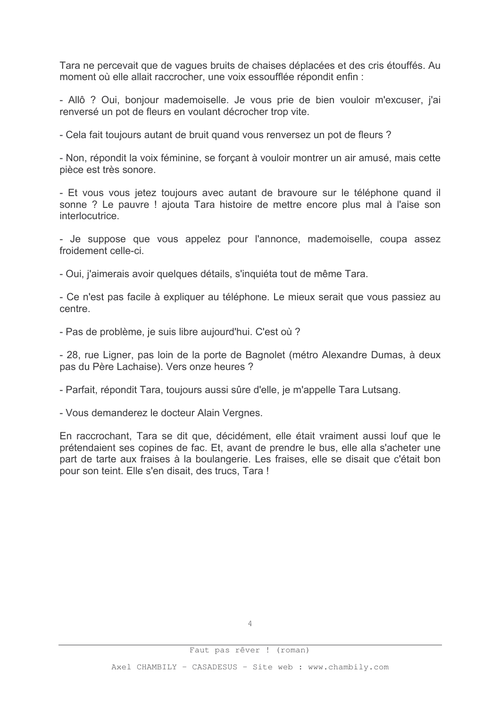Tara ne percevait que de vaques bruits de chaises déplacées et des cris étouffés. Au moment où elle allait raccrocher, une voix essoufflée répondit enfin :

- Allô ? Oui, bonjour mademoiselle. Je vous prie de bien vouloir m'excuser, j'ai renversé un pot de fleurs en voulant décrocher trop vite.

- Cela fait toujours autant de bruit quand vous renversez un pot de fleurs ?

- Non, répondit la voix féminine, se forçant à vouloir montrer un air amusé, mais cette pièce est très sonore.

- Et vous vous jetez toujours avec autant de bravoure sur le téléphone quand il sonne ? Le pauvre ! ajouta Tara histoire de mettre encore plus mal à l'aise son interlocutrice.

- Je suppose que vous appelez pour l'annonce, mademoiselle, coupa assez froidement celle-ci.

- Oui, j'aimerais avoir quelques détails, s'inquiéta tout de même Tara.

- Ce n'est pas facile à expliquer au téléphone. Le mieux serait que vous passiez au centre

- Pas de problème, je suis libre aujourd'hui. C'est où ?

- 28, rue Ligner, pas loin de la porte de Bagnolet (métro Alexandre Dumas, à deux pas du Père Lachaise). Vers onze heures ?

- Parfait, répondit Tara, toujours aussi sûre d'elle, je m'appelle Tara Lutsang.

- Vous demanderez le docteur Alain Vergnes.

En raccrochant, Tara se dit que, décidément, elle était vraiment aussi louf que le prétendaient ses copines de fac. Et, avant de prendre le bus, elle alla s'acheter une part de tarte aux fraises à la boulangerie. Les fraises, elle se disait que c'était bon pour son teint. Elle s'en disait, des trucs, Tara !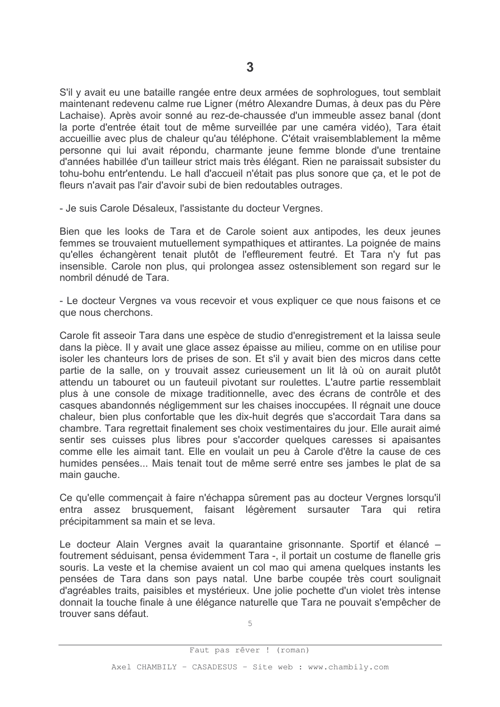S'il y avait eu une bataille rangée entre deux armées de sophrologues, tout semblait maintenant redevenu calme rue Ligner (métro Alexandre Dumas, à deux pas du Père Lachaise). Après avoir sonné au rez-de-chaussée d'un immeuble assez banal (dont la porte d'entrée était tout de même surveillée par une caméra vidéo). Tara était accueillie avec plus de chaleur qu'au téléphone. C'était vraisemblablement la même personne qui lui avait répondu, charmante jeune femme blonde d'une trentaine d'années habillée d'un tailleur strict mais très élégant. Rien ne paraissait subsister du tohu-bohu entr'entendu. Le hall d'accueil n'était pas plus sonore que ca, et le pot de fleurs n'avait pas l'air d'avoir subi de bien redoutables outrages.

3

- Je suis Carole Désaleux, l'assistante du docteur Vergnes.

Bien que les looks de Tara et de Carole soient aux antipodes, les deux jeunes femmes se trouvaient mutuellement sympathiques et attirantes. La poignée de mains qu'elles échangèrent tenait plutôt de l'effleurement feutré. Et Tara n'y fut pas insensible. Carole non plus, qui prolongea assez ostensiblement son regard sur le nombril dénudé de Tara.

- Le docteur Vergnes va vous recevoir et vous expliquer ce que nous faisons et ce que nous cherchons.

Carole fit asseoir Tara dans une espèce de studio d'enregistrement et la laissa seule dans la pièce. Il y avait une glace assez épaisse au milieu, comme on en utilise pour isoler les chanteurs lors de prises de son. Et s'il y avait bien des micros dans cette partie de la salle, on y trouvait assez curieusement un lit là où on aurait plutôt attendu un tabouret ou un fauteuil pivotant sur roulettes. L'autre partie ressemblait plus à une console de mixage traditionnelle, avec des écrans de contrôle et des casques abandonnés négligemment sur les chaises inoccupées. Il régnait une douce chaleur, bien plus confortable que les dix-huit degrés que s'accordait Tara dans sa chambre. Tara regrettait finalement ses choix vestimentaires du jour. Elle aurait aimé sentir ses cuisses plus libres pour s'accorder quelques caresses si apaisantes comme elle les aimait tant. Elle en voulait un peu à Carole d'être la cause de ces humides pensées... Mais tenait tout de même serré entre ses jambes le plat de sa main gauche.

Ce qu'elle commençait à faire n'échappa sûrement pas au docteur Vergnes lorsqu'il entra assez brusquement, faisant légèrement sursauter Tara qui retira précipitamment sa main et se leva.

Le docteur Alain Vergnes avait la quarantaine grisonnante. Sportif et élancé foutrement séduisant, pensa évidemment Tara -, il portait un costume de flanelle gris souris. La veste et la chemise avaient un col mao qui amena quelques instants les pensées de Tara dans son pays natal. Une barbe coupée très court soulignait d'agréables traits, paisibles et mystérieux. Une jolie pochette d'un violet très intense donnait la touche finale à une élégance naturelle que Tara ne pouvait s'empêcher de trouver sans défaut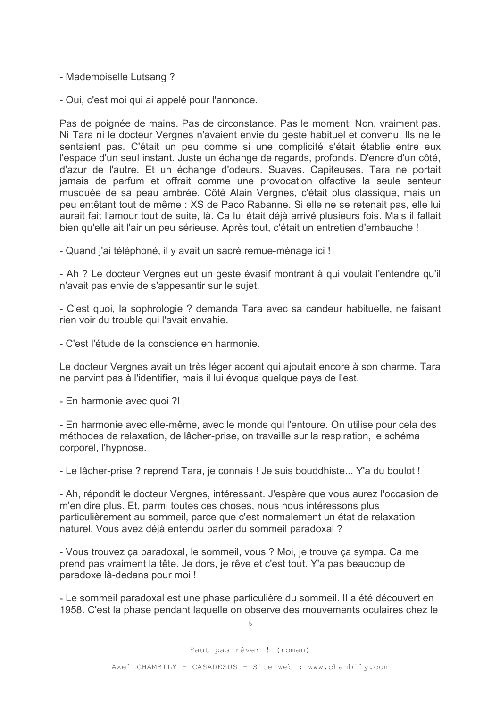- Mademoiselle Lutsang ?

- Qui, c'est moi qui ai appelé pour l'annonce.

Pas de poignée de mains. Pas de circonstance. Pas le moment. Non, vraiment pas. Ni Tara ni le docteur Vergnes n'avaient envie du geste habituel et convenu. Ils ne le sentaient pas. C'était un peu comme si une complicité s'était établie entre eux l'espace d'un seul instant. Juste un échange de regards, profonds. D'encre d'un côté, d'azur de l'autre. Et un échange d'odeurs. Suaves. Capiteuses. Tara ne portait jamais de parfum et offrait comme une provocation olfactive la seule senteur musquée de sa peau ambrée. Côté Alain Vergnes, c'était plus classique, mais un peu entêtant tout de même : XS de Paco Rabanne. Si elle ne se retenait pas, elle lui aurait fait l'amour tout de suite, là. Ca lui était déjà arrivé plusieurs fois. Mais il fallait bien qu'elle ait l'air un peu sérieuse. Après tout, c'était un entretien d'embauche !

- Quand j'ai téléphoné, il y avait un sacré remue-ménage ici !

- Ah ? Le docteur Vergnes eut un geste évasif montrant à qui voulait l'entendre qu'il n'avait pas envie de s'appesantir sur le sujet.

- C'est quoi, la sophrologie ? demanda Tara avec sa candeur habituelle, ne faisant rien voir du trouble qui l'avait envahie.

- C'est l'étude de la conscience en harmonie.

Le docteur Vergnes avait un très léger accent qui ajoutait encore à son charme. Tara ne parvint pas à l'identifier, mais il lui évoqua quelque pays de l'est.

- En harmonie avec quoi ?!

- En harmonie avec elle-même, avec le monde qui l'entoure. On utilise pour cela des méthodes de relaxation, de lâcher-prise, on travaille sur la respiration, le schéma corporel, l'hypnose.

- Le lâcher-prise ? reprend Tara, je connais ! Je suis bouddhiste... Y'a du boulot !

- Ah. répondit le docteur Vergnes, intéressant, J'espère que vous aurez l'occasion de m'en dire plus. Et, parmi toutes ces choses, nous nous intéressons plus particulièrement au sommeil, parce que c'est normalement un état de relaxation naturel. Vous avez déjà entendu parler du sommeil paradoxal ?

- Vous trouvez ça paradoxal, le sommeil, vous ? Moi, je trouve ça sympa. Ca me prend pas vraiment la tête. Je dors, je rêve et c'est tout. Y'a pas beaucoup de paradoxe là-dedans pour moi !

- Le sommeil paradoxal est une phase particulière du sommeil. Il a été découvert en 1958. C'est la phase pendant laquelle on observe des mouvements oculaires chez le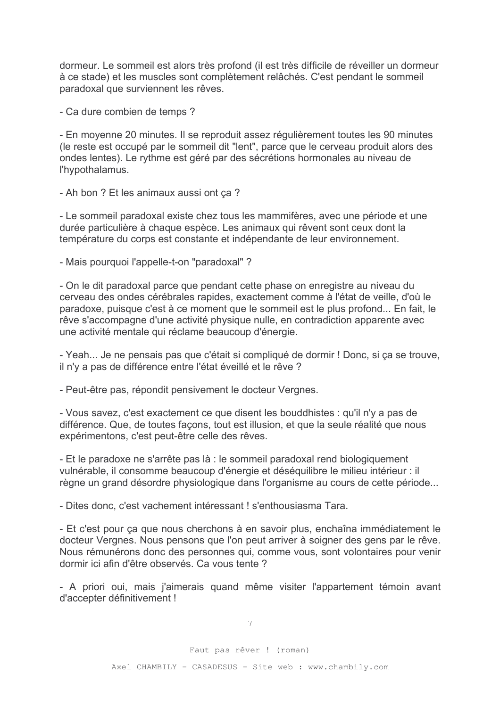dormeur. Le sommeil est alors très profond (il est très difficile de réveiller un dormeur à ce stade) et les muscles sont complètement relâchés. C'est pendant le sommeil paradoxal que surviennent les rêves.

- Ca dure combien de temps ?

- En moyenne 20 minutes. Il se reproduit assez régulièrement toutes les 90 minutes (le reste est occupé par le sommeil dit "lent", parce que le cerveau produit alors des ondes lentes). Le rythme est géré par des sécrétions hormonales au niveau de l'hypothalamus.

- Ah bon ? Et les animaux aussi ont ca ?

- Le sommeil paradoxal existe chez tous les mammifères, avec une période et une durée particulière à chaque espèce. Les animaux qui rêvent sont ceux dont la température du corps est constante et indépendante de leur environnement.

- Mais pourquoi l'appelle-t-on "paradoxal" ?

- On le dit paradoxal parce que pendant cette phase on enregistre au niveau du cerveau des ondes cérébrales rapides, exactement comme à l'état de veille, d'où le paradoxe, puisque c'est à ce moment que le sommeil est le plus profond... En fait, le rêve s'accompagne d'une activité physique nulle, en contradiction apparente avec une activité mentale qui réclame beaucoup d'énergie.

- Yeah... Je ne pensais pas que c'était si compliqué de dormir ! Donc, si ca se trouve, il n'y a pas de différence entre l'état éveillé et le rêve ?

- Peut-être pas, répondit pensivement le docteur Vergnes.

- Vous savez, c'est exactement ce que disent les bouddhistes : qu'il n'y a pas de différence. Que, de toutes facons, tout est illusion, et que la seule réalité que nous expérimentons, c'est peut-être celle des rêves.

- Et le paradoxe ne s'arrête pas là : le sommeil paradoxal rend biologiquement vulnérable, il consomme beaucoup d'énergie et déséquilibre le milieu intérieur : il règne un grand désordre physiologique dans l'organisme au cours de cette période...

- Dites donc, c'est vachement intéressant ! s'enthousiasma Tara.

- Et c'est pour ça que nous cherchons à en savoir plus, enchaîna immédiatement le docteur Vergnes. Nous pensons que l'on peut arriver à soigner des gens par le rêve. Nous rémunérons donc des personnes qui, comme vous, sont volontaires pour venir dormir ici afin d'être observés. Ca vous tente ?

- A priori oui, mais j'aimerais quand même visiter l'appartement témoin avant d'accepter définitivement !

Faut pas rêver ! (roman)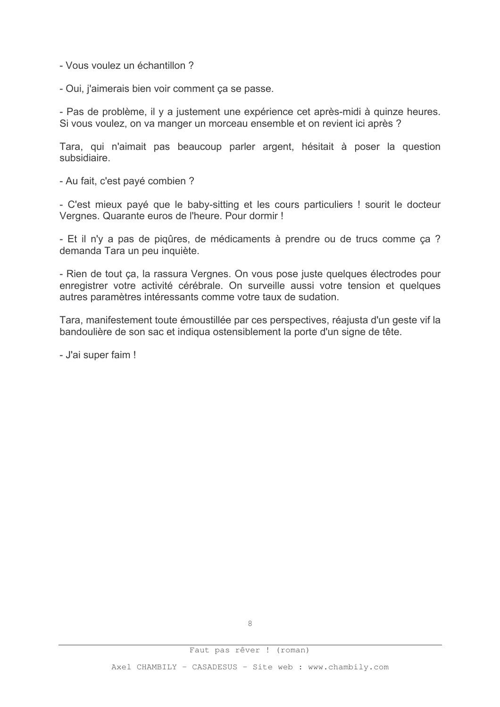- Vous voulez un échantillon ?

- Oui, j'aimerais bien voir comment ca se passe.

- Pas de problème, il y a justement une expérience cet après-midi à quinze heures. Si vous voulez, on va manger un morceau ensemble et on revient ici après ?

Tara, qui n'aimait pas beaucoup parler argent, hésitait à poser la question subsidiaire.

- Au fait, c'est pavé combien ?

- C'est mieux payé que le baby-sitting et les cours particuliers ! sourit le docteur Vergnes. Quarante euros de l'heure. Pour dormir !

- Et il n'y a pas de pigûres, de médicaments à prendre ou de trucs comme ça ? demanda Tara un peu inquiète.

- Rien de tout ça, la rassura Vergnes. On vous pose juste quelques électrodes pour enregistrer votre activité cérébrale. On surveille aussi votre tension et quelques autres paramètres intéressants comme votre taux de sudation.

Tara, manifestement toute émoustillée par ces perspectives, réajusta d'un geste vif la bandoulière de son sac et indiqua ostensiblement la porte d'un signe de tête.

- J'ai super faim !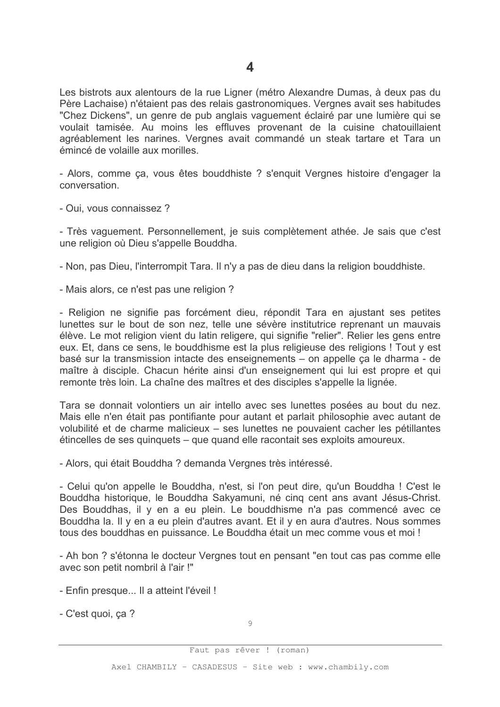Les bistrots aux alentours de la rue Ligner (métro Alexandre Dumas, à deux pas du Père Lachaise) n'étaient pas des relais gastronomiques. Vergnes avait ses habitudes "Chez Dickens", un genre de pub anglais vaguement éclairé par une lumière qui se voulait tamisée. Au moins les effluves provenant de la cuisine chatouillaient agréablement les narines. Vergnes avait commandé un steak tartare et Tara un émincé de volaille aux morilles.

- Alors, comme ca, vous êtes bouddhiste ? s'enguit Vergnes histoire d'engager la conversation.

- Oui. vous connaissez ?

- Très vaguement. Personnellement, je suis complètement athée. Je sais que c'est une religion où Dieu s'appelle Bouddha.

- Non, pas Dieu, l'interrompit Tara. Il n'y a pas de dieu dans la religion bouddhiste.

- Mais alors, ce n'est pas une religion ?

- Religion ne signifie pas forcément dieu, répondit Tara en aiustant ses petites lunettes sur le bout de son nez, telle une sévère institutrice reprenant un mauvais élève. Le mot religion vient du latin religere, qui signifie "relier". Relier les gens entre eux. Et, dans ce sens, le bouddhisme est la plus religieuse des religions ! Tout y est basé sur la transmission intacte des enseignements – on appelle ça le dharma - de maître à disciple. Chacun hérite ainsi d'un enseignement qui lui est propre et qui remonte très loin. La chaîne des maîtres et des disciples s'appelle la lignée.

Tara se donnait volontiers un air intello avec ses lunettes posées au bout du nez. Mais elle n'en était pas pontifiante pour autant et parlait philosophie avec autant de volubilité et de charme malicieux – ses lunettes ne pouvaient cacher les pétillantes étincelles de ses quinquets – que quand elle racontait ses exploits amoureux.

- Alors, qui était Bouddha ? demanda Vergnes très intéressé.

- Celui qu'on appelle le Bouddha, n'est, si l'on peut dire, qu'un Bouddha ! C'est le Bouddha historique, le Bouddha Sakyamuni, né cinq cent ans avant Jésus-Christ. Des Bouddhas, il y en a eu plein. Le bouddhisme n'a pas commencé avec ce Bouddha la. Il y en a eu plein d'autres avant. Et il y en aura d'autres. Nous sommes tous des bouddhas en puissance. Le Bouddha était un mec comme vous et moi !

- Ah bon ? s'étonna le docteur Vergnes tout en pensant "en tout cas pas comme elle avec son petit nombril à l'air !"

- Enfin presque... Il a atteint l'éveil !
- C'est quoi, ça ?

Faut pas rêver ! (roman)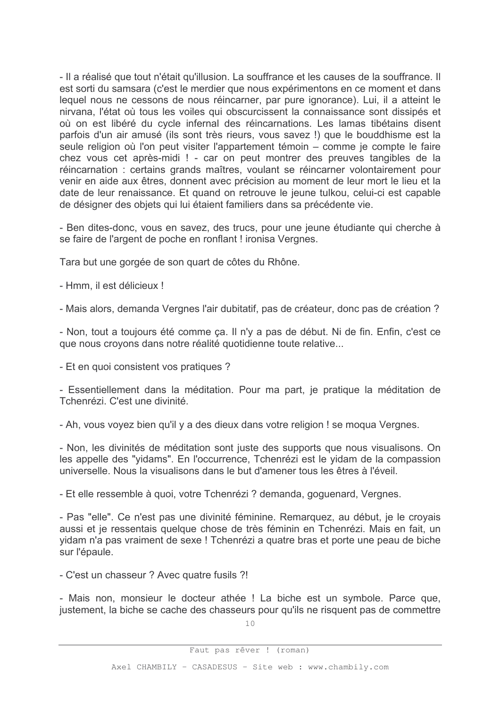- Il a réalisé que tout n'était qu'illusion. La souffrance et les causes de la souffrance. Il est sorti du samsara (c'est le merdier que nous expérimentons en ce moment et dans lequel nous ne cessons de nous réincarner, par pure ignorance). Lui, il a atteint le nirvana. l'état où tous les voiles qui obscurcissent la connaissance sont dissipés et où on est libéré du cycle infernal des réincarnations. Les lamas tibétains disent parfois d'un air amusé (ils sont très rieurs, vous savez !) que le bouddhisme est la seule religion où l'on peut visiter l'appartement témoin – comme je compte le faire chez vous cet après-midi! - car on peut montrer des preuves tangibles de la réincarnation : certains grands maîtres, voulant se réincarner volontairement pour venir en aide aux êtres, donnent avec précision au moment de leur mort le lieu et la date de leur renaissance. Et quand on retrouve le jeune tulkou, celui-ci est capable de désigner des objets qui lui étaient familiers dans sa précédente vie.

- Ben dites-donc, vous en savez, des trucs, pour une jeune étudiante qui cherche à se faire de l'argent de poche en ronflant ! ironisa Vergnes.

Tara but une gorgée de son quart de côtes du Rhône.

- Hmm. il est délicieux !

- Mais alors, demanda Vergnes l'air dubitatif, pas de créateur, donc pas de création ?

- Non, tout a toujours été comme ça. Il n'y a pas de début. Ni de fin. Enfin, c'est ce que nous croyons dans notre réalité quotidienne toute relative...

- Et en quoi consistent vos pratiques ?

- Essentiellement dans la méditation. Pour ma part, je pratique la méditation de Tchenrézi C'est une divinité

- Ah, vous voyez bien qu'il y a des dieux dans votre religion ! se moqua Vergnes.

- Non, les divinités de méditation sont juste des supports que nous visualisons. On les appelle des "vidams". En l'occurrence, Tchenrézi est le vidam de la compassion universelle. Nous la visualisons dans le but d'amener tous les êtres à l'éveil.

- Et elle ressemble à quoi, votre Tchenrézi ? demanda, goquenard, Vergnes,

- Pas "elle". Ce n'est pas une divinité féminine. Remarquez, au début, je le croyais aussi et je ressentais quelque chose de très féminin en Tchenrézi. Mais en fait, un vidam n'a pas vraiment de sexe ! Tchenrézi a quatre bras et porte une peau de biche sur l'épaule.

- C'est un chasseur ? Avec quatre fusils ?!

- Mais non, monsieur le docteur athée ! La biche est un symbole. Parce que, justement, la biche se cache des chasseurs pour qu'ils ne risquent pas de commettre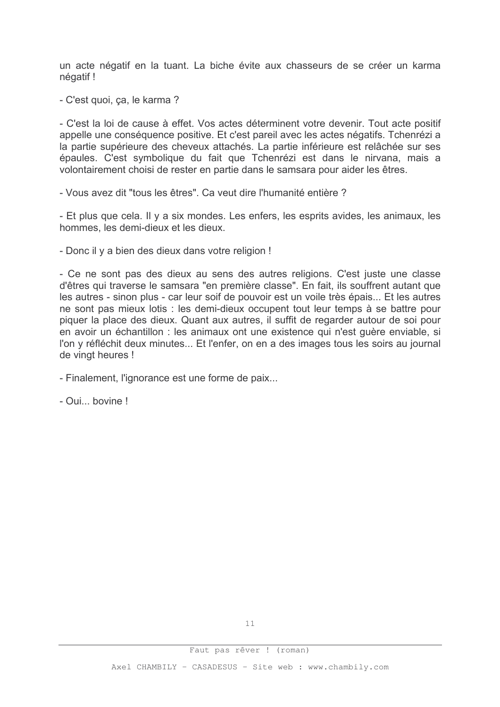un acte négatif en la tuant. La biche évite aux chasseurs de se créer un karma négatif!

- C'est quoi, ca, le karma ?

- C'est la loi de cause à effet. Vos actes déterminent votre devenir. Tout acte positif appelle une conséquence positive. Et c'est pareil avec les actes négatifs. Tchenrézi a la partie supérieure des cheveux attachés. La partie inférieure est relâchée sur ses épaules. C'est symbolique du fait que Tchenrézi est dans le nirvana, mais a volontairement choisi de rester en partie dans le samsara pour aider les êtres.

- Vous avez dit "tous les êtres". Ca veut dire l'humanité entière ?

- Et plus que cela. Il y a six mondes. Les enfers, les esprits avides, les animaux, les hommes. les demi-dieux et les dieux.

- Donc il y a bien des dieux dans votre religion !

- Ce ne sont pas des dieux au sens des autres religions. C'est juste une classe d'êtres qui traverse le samsara "en première classe". En fait, ils souffrent autant que les autres - sinon plus - car leur soif de pouvoir est un voile très épais... Et les autres ne sont pas mieux lotis : les demi-dieux occupent tout leur temps à se battre pour piquer la place des dieux. Quant aux autres, il suffit de regarder autour de soi pour en avoir un échantillon : les animaux ont une existence qui n'est guère enviable, si l'on y réfléchit deux minutes... Et l'enfer, on en a des images tous les soirs au journal de vingt heures !

- Finalement, l'ignorance est une forme de paix...

 $-D$ ui hovine l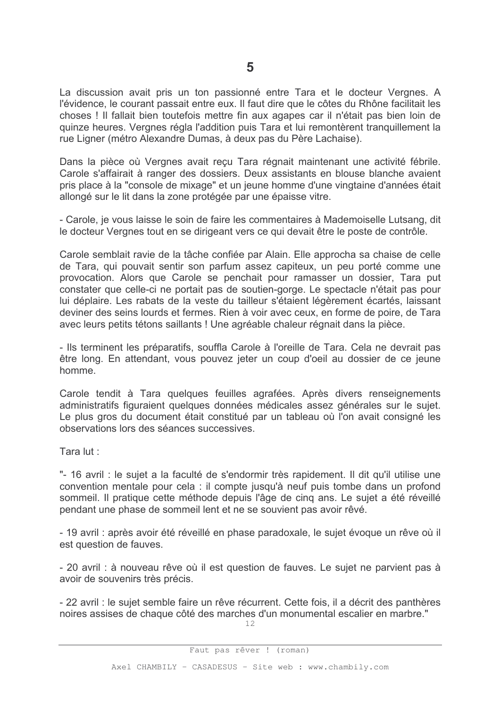La discussion avait pris un ton passionné entre Tara et le docteur Vergnes. A l'évidence, le courant passait entre eux. Il faut dire que le côtes du Rhône facilitait les choses ! Il fallait bien toutefois mettre fin aux agapes car il n'était pas bien loin de guinze heures. Vergnes régla l'addition puis Tara et lui remontèrent tranquillement la rue Ligner (métro Alexandre Dumas, à deux pas du Père Lachaise).

Dans la pièce où Vergnes avait recu Tara régnait maintenant une activité fébrile. Carole s'affairait à ranger des dossiers. Deux assistants en blouse blanche avaient pris place à la "console de mixage" et un jeune homme d'une vingtaine d'années était allongé sur le lit dans la zone protégée par une épaisse vitre.

- Carole, je vous laisse le soin de faire les commentaires à Mademoiselle Lutsang, dit le docteur Vergnes tout en se dirigeant vers ce qui devait être le poste de contrôle.

Carole semblait ravie de la tâche confiée par Alain. Elle approcha sa chaise de celle de Tara, qui pouvait sentir son parfum assez capiteux, un peu porté comme une provocation. Alors que Carole se penchait pour ramasser un dossier, Tara put constater que celle-ci ne portait pas de soutien-gorge. Le spectacle n'était pas pour lui déplaire. Les rabats de la veste du tailleur s'étaient légèrement écartés, laissant deviner des seins lourds et fermes. Rien à voir avec ceux, en forme de poire, de Tara avec leurs petits tétons saillants ! Une agréable chaleur régnait dans la pièce.

- Ils terminent les préparatifs, souffla Carole à l'oreille de Tara. Cela ne devrait pas être long. En attendant, vous pouvez jeter un coup d'oeil au dossier de ce jeune homme.

Carole tendit à Tara quelques feuilles agrafées. Après divers renseignements administratifs figuraient quelques données médicales assez générales sur le sujet. Le plus gros du document était constitué par un tableau où l'on avait consigné les observations lors des séances successives

Tara lut:

"- 16 avril : le sujet a la faculté de s'endormir très rapidement. Il dit qu'il utilise une convention mentale pour cela : il compte jusqu'à neuf puis tombe dans un profond sommeil. Il pratique cette méthode depuis l'âge de cinq ans. Le sujet a été réveillé pendant une phase de sommeil lent et ne se souvient pas avoir rêvé.

- 19 avril : après avoir été réveillé en phase paradoxale, le sujet évoque un rêve où il est question de fauves.

- 20 avril : à nouveau rêve où il est question de fauves. Le sujet ne parvient pas à avoir de souvenirs très précis.

- 22 avril : le sujet semble faire un rêve récurrent. Cette fois, il a décrit des panthères noires assises de chaque côté des marches d'un monumental escalier en marbre."

 $12$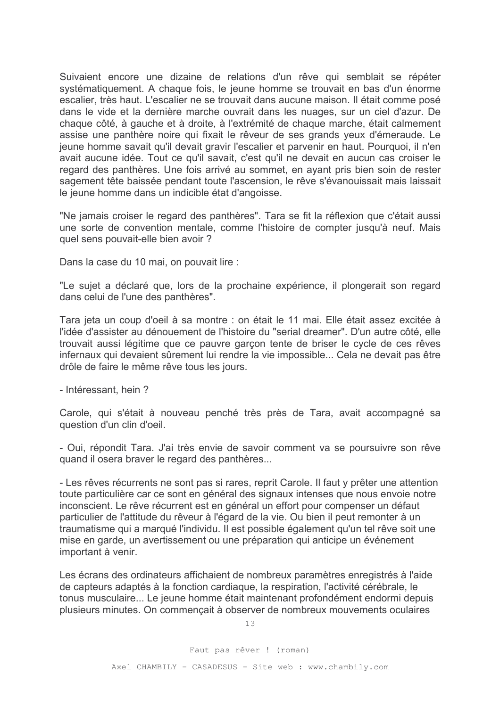Suivaient encore une dizaine de relations d'un rêve qui semblait se répéter systématiquement. A chaque fois, le jeune homme se trouvait en bas d'un énorme escalier, très haut. L'escalier ne se trouvait dans aucune maison. Il était comme posé dans le vide et la dernière marche ouvrait dans les nuages, sur un ciel d'azur. De chaque côté, à gauche et à droite, à l'extrémité de chaque marche, était calmement assise une panthère noire qui fixait le rêveur de ses grands yeux d'émeraude. Le jeune homme savait qu'il devait gravir l'escalier et parvenir en haut. Pourquoi, il n'en avait aucune idée. Tout ce qu'il savait, c'est qu'il ne devait en aucun cas croiser le regard des panthères. Une fois arrivé au sommet, en avant pris bien soin de rester sagement tête baissée pendant toute l'ascension. le rêve s'évanouissait mais laissait le ieune homme dans un indicible état d'angoisse.

"Ne jamais croiser le regard des panthères". Tara se fit la réflexion que c'était aussi une sorte de convention mentale, comme l'histoire de compter jusqu'à neuf. Mais quel sens pouvait-elle bien avoir ?

Dans la case du 10 mai, on pouvait lire :

"Le sujet a déclaré que, lors de la prochaine expérience, il plongerait son regard dans celui de l'une des panthères".

Tara jeta un coup d'oeil à sa montre : on était le 11 mai. Elle était assez excitée à l'idée d'assister au dénouement de l'histoire du "serial dreamer". D'un autre côté, elle trouvait aussi légitime que ce pauvre garcon tente de briser le cycle de ces rêves infernaux qui devaient sûrement lui rendre la vie impossible... Cela ne devait pas être drôle de faire le même rêve tous les jours.

- Intéressant, hein ?

Carole, qui s'était à nouveau penché très près de Tara, avait accompagné sa question d'un clin d'oeil.

- Oui, répondit Tara. J'ai très envie de savoir comment va se poursuivre son rêve quand il osera braver le regard des panthères...

- Les rêves récurrents ne sont pas si rares, reprit Carole. Il faut y prêter une attention toute particulière car ce sont en général des signaux intenses que nous envoie notre inconscient. Le rêve récurrent est en général un effort pour compenser un défaut particulier de l'attitude du rêveur à l'égard de la vie. Ou bien il peut remonter à un traumatisme qui a marqué l'individu. Il est possible également qu'un tel rêve soit une mise en garde, un avertissement ou une préparation qui anticipe un événement important à venir.

Les écrans des ordinateurs affichaient de nombreux paramètres enregistrés à l'aide de capteurs adaptés à la fonction cardiaque, la respiration, l'activité cérébrale, le tonus musculaire... Le jeune homme était maintenant profondément endormi depuis plusieurs minutes. On commençait à observer de nombreux mouvements oculaires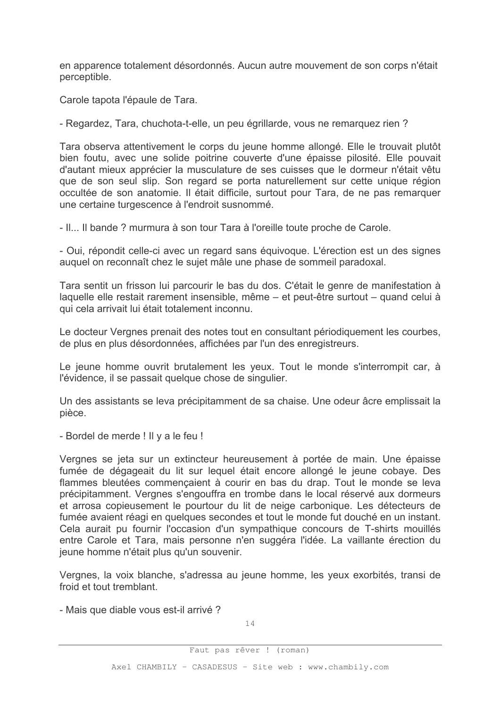en apparence totalement désordonnés. Aucun autre mouvement de son corps n'était perceptible.

Carole tapota l'épaule de Tara.

- Regardez, Tara, chuchota-t-elle, un peu égrillarde, vous ne remarquez rien?

Tara observa attentivement le corps du jeune homme allongé. Elle le trouvait plutôt bien foutu, avec une solide poitrine couverte d'une épaisse pilosité. Elle pouvait d'autant mieux apprécier la musculature de ses cuisses que le dormeur n'était vêtu que de son seul slip. Son regard se porta naturellement sur cette unique région occultée de son anatomie. Il était difficile, surtout pour Tara, de ne pas remarquer une certaine turgescence à l'endroit susnommé.

- II... Il bande ? murmura à son tour Tara à l'oreille toute proche de Carole.

- Qui, répondit celle-ci avec un regard sans équivoque. L'érection est un des signes auquel on reconnaît chez le sujet mâle une phase de sommeil paradoxal.

Tara sentit un frisson lui parcourir le bas du dos. C'était le genre de manifestation à laquelle elle restait rarement insensible, même – et peut-être surtout – quand celui à qui cela arrivait lui était totalement inconnu.

Le docteur Vergnes prenait des notes tout en consultant périodiquement les courbes, de plus en plus désordonnées, affichées par l'un des enregistreurs.

Le jeune homme ouvrit brutalement les yeux. Tout le monde s'interrompit car, à l'évidence, il se passait quelque chose de singulier.

Un des assistants se leva précipitamment de sa chaise. Une odeur âcre emplissait la pièce.

- Bordel de merde ! Il y a le feu !

Vergnes se jeta sur un extincteur heureusement à portée de main. Une épaisse fumée de dégageait du lit sur lequel était encore allongé le jeune cobaye. Des flammes bleutées commencaient à courir en bas du drap. Tout le monde se leva précipitamment. Vergnes s'engouffra en trombe dans le local réservé aux dormeurs et arrosa copieusement le pourtour du lit de neige carbonique. Les détecteurs de fumée avaient réagi en quelques secondes et tout le monde fut douché en un instant. Cela aurait pu fournir l'occasion d'un sympathique concours de T-shirts mouillés entre Carole et Tara, mais personne n'en suggéra l'idée. La vaillante érection du jeune homme n'était plus qu'un souvenir.

Vergnes, la voix blanche, s'adressa au jeune homme, les yeux exorbités, transi de froid et tout tremblant.

- Mais que diable vous est-il arrivé ?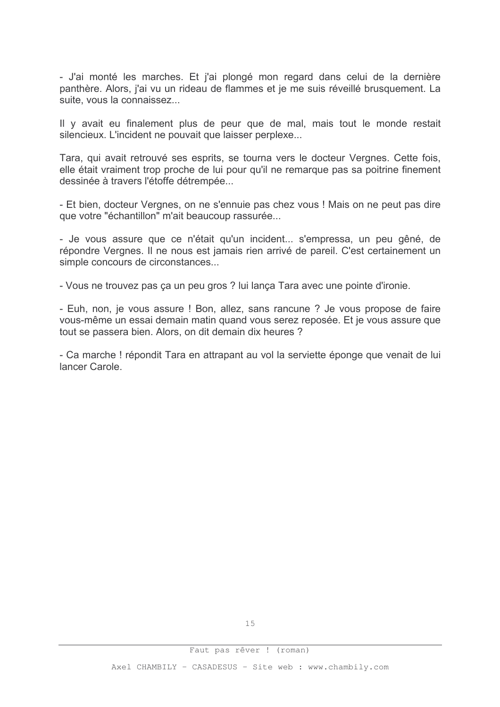- J'ai monté les marches. Et j'ai plongé mon regard dans celui de la dernière panthère. Alors, j'ai vu un rideau de flammes et je me suis réveillé brusquement. La suite, vous la connaissez...

Il y avait eu finalement plus de peur que de mal, mais tout le monde restait silencieux. L'incident ne pouvait que laisser perplexe...

Tara, qui avait retrouvé ses esprits, se tourna vers le docteur Vergnes. Cette fois, elle était vraiment trop proche de lui pour qu'il ne remarque pas sa poitrine finement dessinée à travers l'étoffe détrempée...

- Et bien, docteur Vergnes, on ne s'ennuie pas chez vous ! Mais on ne peut pas dire que votre "échantillon" m'ait beaucoup rassurée...

- Je vous assure que ce n'était qu'un incident... s'empressa, un peu gêné, de répondre Vergnes. Il ne nous est jamais rien arrivé de pareil. C'est certainement un simple concours de circonstances...

- Vous ne trouvez pas ça un peu gros ? lui lança Tara avec une pointe d'ironie.

- Euh, non, je vous assure ! Bon, allez, sans rancune ? Je vous propose de faire vous-même un essai demain matin quand vous serez reposée. Et je vous assure que tout se passera bien. Alors, on dit demain dix heures ?

- Ca marche ! répondit Tara en attrapant au vol la serviette éponge que venait de lui lancer Carole.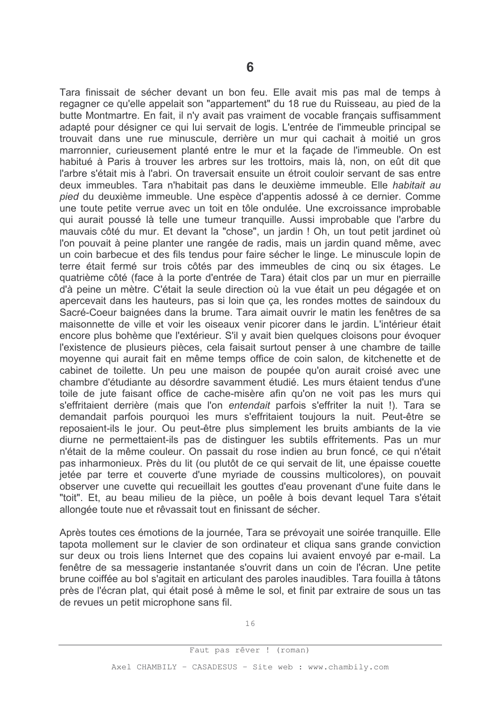Tara finissait de sécher devant un bon feu. Elle avait mis pas mal de temps à regagner ce qu'elle appelait son "appartement" du 18 rue du Ruisseau, au pied de la butte Montmartre. En fait, il n'y avait pas vraiment de vocable francais suffisamment adapté pour désigner ce qui lui servait de logis. L'entrée de l'immeuble principal se trouvait dans une rue minuscule, derrière un mur qui cachait à moitié un gros marronnier, curieusement planté entre le mur et la façade de l'immeuble. On est habitué à Paris à trouver les arbres sur les trottoirs, mais là, non, on eût dit que l'arbre s'était mis à l'abri. On traversait ensuite un étroit couloir servant de sas entre deux immeubles. Tara n'habitait pas dans le deuxième immeuble. Elle habitait au pied du deuxième immeuble. Une espèce d'appentis adossé à ce dernier. Comme une toute petite verrue avec un toit en tôle ondulée. Une excroissance improbable qui aurait poussé là telle une tumeur tranguille. Aussi improbable que l'arbre du mauvais côté du mur. Et devant la "chose", un jardin ! Oh, un tout petit jardinet où l'on pouvait à peine planter une rangée de radis, mais un jardin quand même, avec un coin barbecue et des fils tendus pour faire sécher le linge. Le minuscule lopin de terre était fermé sur trois côtés par des immeubles de cinq ou six étages. Le quatrième côté (face à la porte d'entrée de Tara) était clos par un mur en pierraille d'à peine un mètre. C'était la seule direction où la vue était un peu dégagée et on apercevait dans les hauteurs, pas si loin que ca. les rondes mottes de saindoux du Sacré-Coeur baignées dans la brume. Tara aimait ouvrir le matin les fenêtres de sa maisonnette de ville et voir les oiseaux venir picorer dans le jardin. L'intérieur était encore plus bohème que l'extérieur. S'il y avait bien quelques cloisons pour évoquer l'existence de plusieurs pièces, cela faisait surtout penser à une chambre de taille moyenne qui aurait fait en même temps office de coin salon, de kitchenette et de cabinet de toilette. Un peu une maison de poupée qu'on aurait croisé avec une chambre d'étudiante au désordre savamment étudié. Les murs étaient tendus d'une toile de jute faisant office de cache-misère afin qu'on ne voit pas les murs qui s'effritaient derrière (mais que l'on entendait parfois s'effriter la nuit !). Tara se demandait parfois pourquoi les murs s'effritaient toujours la nuit. Peut-être se reposaient-ils le jour. Ou peut-être plus simplement les bruits ambiants de la vie diurne ne permettaient-ils pas de distinguer les subtils effritements. Pas un mur n'était de la même couleur. On passait du rose indien au brun foncé, ce qui n'était pas inharmonieux. Près du lit (ou plutôt de ce qui servait de lit, une épaisse couette jetée par terre et couverte d'une myriade de coussins multicolores), on pouvait observer une cuvette qui recueillait les gouttes d'eau provenant d'une fuite dans le "toit". Et, au beau milieu de la pièce, un poêle à bois devant lequel Tara s'était allongée toute nue et rêvassait tout en finissant de sécher.

Après toutes ces émotions de la journée, Tara se prévoyait une soirée tranquille. Elle tapota mollement sur le clavier de son ordinateur et cliqua sans grande conviction sur deux ou trois liens Internet que des copains lui avaient envové par e-mail. La fenêtre de sa messagerie instantanée s'ouvrit dans un coin de l'écran. Une petite brune coiffée au bol s'agitait en articulant des paroles inaudibles. Tara fouilla à tâtons près de l'écran plat, qui était posé à même le sol, et finit par extraire de sous un tas de revues un petit microphone sans fil.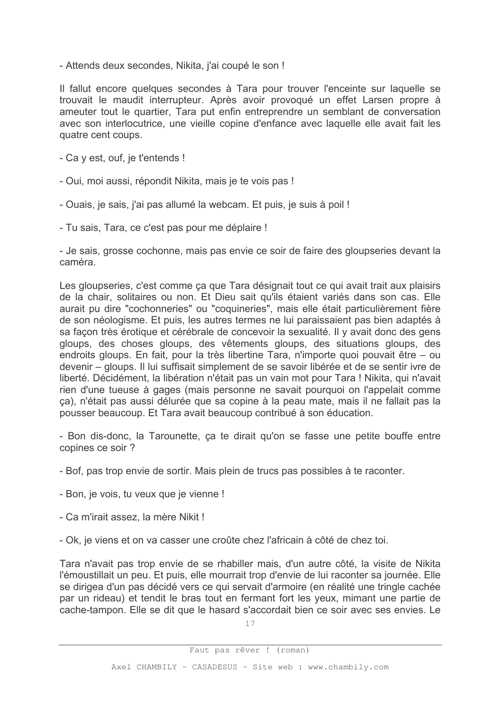- Attends deux secondes, Nikita, j'ai coupé le son !

Il fallut encore quelques secondes à Tara pour trouver l'enceinte sur laquelle se trouvait le maudit interrupteur. Après avoir provoqué un effet Larsen propre à ameuter tout le quartier, Tara put enfin entreprendre un semblant de conversation avec son interlocutrice, une vieille copine d'enfance avec laquelle elle avait fait les quatre cent coups.

- Ca y est, ouf, je t'entends !
- Qui, moi aussi, répondit Nikita, mais je te vois pas !
- Quais, je sais, j'ai pas allumé la webcam. Et puis, je suis à poil !
- Tu sais, Tara, ce c'est pas pour me déplaire !

- Je sais, grosse cochonne, mais pas envie ce soir de faire des gloupseries devant la caméra

Les gloupseries, c'est comme ça que Tara désignait tout ce qui avait trait aux plaisirs de la chair, solitaires ou non. Et Dieu sait qu'ils étaient variés dans son cas. Elle aurait pu dire "cochonneries" ou "coquineries", mais elle était particulièrement fière de son néologisme. Et puis, les autres termes ne lui paraissaient pas bien adaptés à sa façon très érotique et cérébrale de concevoir la sexualité. Il y avait donc des gens gloups, des choses gloups, des vêtements gloups, des situations gloups, des endroits gloups. En fait, pour la très libertine Tara, n'importe quoi pouvait être – ou devenir – gloups. Il lui suffisait simplement de se savoir libérée et de se sentir ivre de liberté. Décidément, la libération n'était pas un vain mot pour Tara! Nikita, qui n'avait rien d'une tueuse à gages (mais personne ne savait pourquoi on l'appelait comme ca), n'était pas aussi délurée que sa copine à la peau mate, mais il ne fallait pas la pousser beaucoup. Et Tara avait beaucoup contribué à son éducation.

- Bon dis-donc, la Tarounette, ca te dirait qu'on se fasse une petite bouffe entre copines ce soir ?

- Bof, pas trop envie de sortir. Mais plein de trucs pas possibles à te raconter.
- Bon, je vois, tu veux que je vienne !
- Ca m'irait assez, la mère Nikit!
- Ok, je viens et on va casser une croûte chez l'africain à côté de chez toi.

Tara n'avait pas trop envie de se rhabiller mais, d'un autre côté, la visite de Nikita l'émoustillait un peu. Et puis, elle mourrait trop d'envie de lui raconter sa journée. Elle se dirigea d'un pas décidé vers ce qui servait d'armoire (en réalité une tringle cachée par un rideau) et tendit le bras tout en fermant fort les yeux, mimant une partie de cache-tampon. Elle se dit que le hasard s'accordait bien ce soir avec ses envies. Le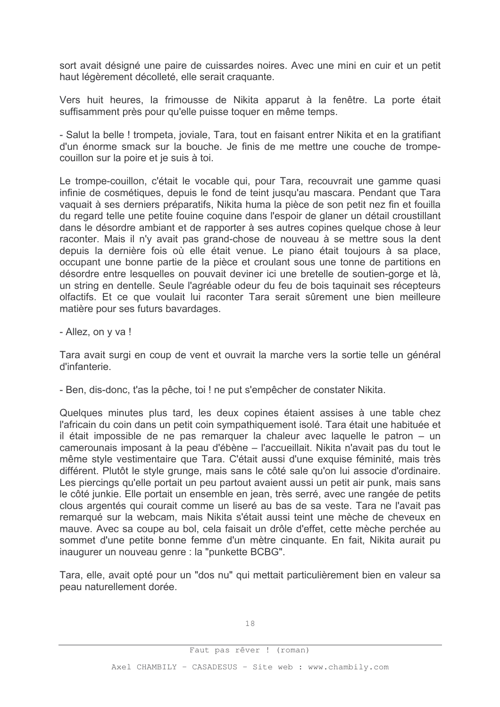sort avait désigné une paire de cuissardes noires. Avec une mini en cuir et un petit haut légèrement décolleté, elle serait craquante.

Vers huit heures, la frimousse de Nikita apparut à la fenêtre. La porte était suffisamment près pour qu'elle puisse toquer en même temps.

- Salut la belle ! trompeta, joviale, Tara, tout en faisant entrer Nikita et en la gratifiant d'un énorme smack sur la bouche. Je finis de me mettre une couche de trompecouillon sur la poire et je suis à toi.

Le trompe-couillon, c'était le vocable qui, pour Tara, recouvrait une gamme quasi infinie de cosmétiques, depuis le fond de teint jusqu'au mascara. Pendant que Tara vaquait à ses derniers préparatifs. Nikita huma la pièce de son petit nez fin et fouilla du regard telle une petite fouine coquine dans l'espoir de glaner un détail croustillant dans le désordre ambiant et de rapporter à ses autres copines quelque chose à leur raconter. Mais il n'y avait pas grand-chose de nouveau à se mettre sous la dent depuis la dernière fois où elle était venue. Le piano était toujours à sa place, occupant une bonne partie de la pièce et croulant sous une tonne de partitions en désordre entre lesquelles on pouvait deviner ici une bretelle de soutien-gorge et là, un string en dentelle. Seule l'agréable odeur du feu de bois taguinait ses récepteurs olfactifs. Et ce que voulait lui raconter Tara serait sûrement une bien meilleure matière pour ses futurs bavardages.

- Allez, on y va!

Tara avait surgi en coup de vent et ouvrait la marche vers la sortie telle un général d'infanterie.

- Ben, dis-donc, t'as la pêche, toi ! ne put s'empêcher de constater Nikita.

Quelques minutes plus tard, les deux copines étaient assises à une table chez l'africain du coin dans un petit coin sympathiquement isolé. Tara était une habituée et il était impossible de ne pas remarquer la chaleur avec laquelle le patron – un camerounais imposant à la peau d'ébène – l'accueillait. Nikita n'avait pas du tout le même style vestimentaire que Tara. C'était aussi d'une exquise féminité, mais très différent. Plutôt le style grunge, mais sans le côté sale qu'on lui associe d'ordinaire. Les piercings qu'elle portait un peu partout avaient aussi un petit air punk, mais sans le côté junkie. Elle portait un ensemble en jean, très serré, avec une rangée de petits clous argentés qui courait comme un liseré au bas de sa veste. Tara ne l'avait pas remarqué sur la webcam, mais Nikita s'était aussi teint une mèche de cheveux en mauve. Avec sa coupe au bol, cela faisait un drôle d'effet, cette mèche perchée au sommet d'une petite bonne femme d'un mètre cinquante. En fait, Nikita aurait pu inaugurer un nouveau genre : la "punkette BCBG".

Tara, elle, avait opté pour un "dos nu" qui mettait particulièrement bien en valeur sa peau naturellement dorée.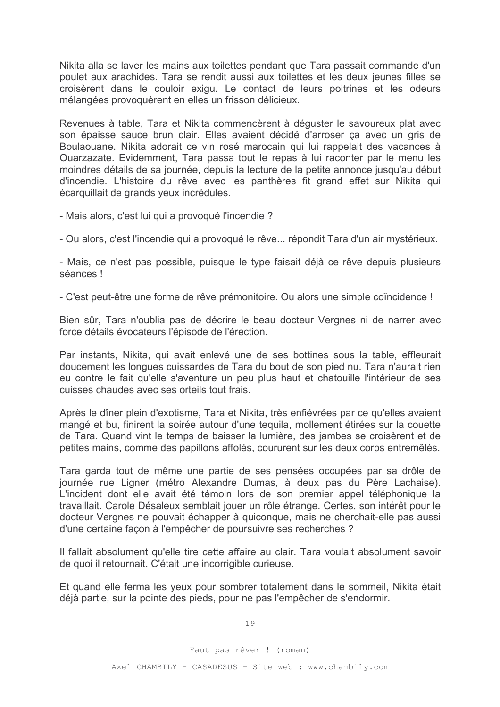Nikita alla se laver les mains aux toilettes pendant que Tara passait commande d'un poulet aux arachides. Tara se rendit aussi aux toilettes et les deux jeunes filles se croisèrent dans le couloir exigu. Le contact de leurs poitrines et les odeurs mélangées provoquèrent en elles un frisson délicieux.

Revenues à table, Tara et Nikita commencèrent à déguster le savoureux plat avec son épaisse sauce brun clair. Elles avaient décidé d'arroser ça avec un gris de Boulaouane. Nikita adorait ce vin rosé marocain qui lui rappelait des vacances à Ouarzazate. Evidemment, Tara passa tout le repas à lui raconter par le menu les moindres détails de sa journée, depuis la lecture de la petite annonce jusqu'au début d'incendie. L'histoire du rêve avec les panthères fit grand effet sur Nikita qui écarquillait de grands yeux incrédules.

- Mais alors, c'est lui qui a provoqué l'incendie ?

- Ou alors, c'est l'incendie qui a provoqué le rêve... répondit Tara d'un air mystérieux.

- Mais, ce n'est pas possible, puisque le type faisait déjà ce rêve depuis plusieurs séances!

- C'est peut-être une forme de rêve prémonitoire. Ou alors une simple coïncidence !

Bien sûr. Tara n'oublia pas de décrire le beau docteur Vergnes ni de narrer avec force détails évocateurs l'épisode de l'érection.

Par instants, Nikita, qui avait enlevé une de ses bottines sous la table, effleurait doucement les longues cuissardes de Tara du bout de son pied nu. Tara n'aurait rien eu contre le fait qu'elle s'aventure un peu plus haut et chatouille l'intérieur de ses cuisses chaudes avec ses orteils tout frais.

Après le dîner plein d'exotisme. Tara et Nikita, très enfiévrées par ce qu'elles avaient mangé et bu, finirent la soirée autour d'une tequila, mollement étirées sur la couette de Tara. Quand vint le temps de baisser la lumière, des jambes se croisèrent et de petites mains, comme des papillons affolés, coururent sur les deux corps entremêlés.

Tara garda tout de même une partie de ses pensées occupées par sa drôle de journée rue Ligner (métro Alexandre Dumas, à deux pas du Père Lachaise). L'incident dont elle avait été témoin lors de son premier appel téléphonique la travaillait. Carole Désaleux semblait jouer un rôle étrange. Certes, son intérêt pour le docteur Vergnes ne pouvait échapper à quiconque, mais ne cherchait-elle pas aussi d'une certaine façon à l'empêcher de poursuivre ses recherches ?

Il fallait absolument qu'elle tire cette affaire au clair. Tara voulait absolument savoir de quoi il retournait. C'était une incorrigible curieuse.

Et quand elle ferma les yeux pour sombrer totalement dans le sommeil, Nikita était déjà partie, sur la pointe des pieds, pour ne pas l'empêcher de s'endormir.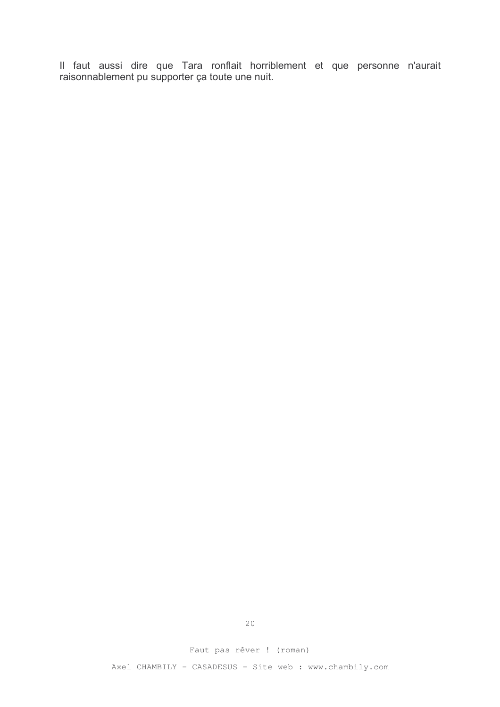Il faut aussi dire que Tara ronflait horriblement et que personne n'aurait raisonnablement pu supporter ça toute une nuit.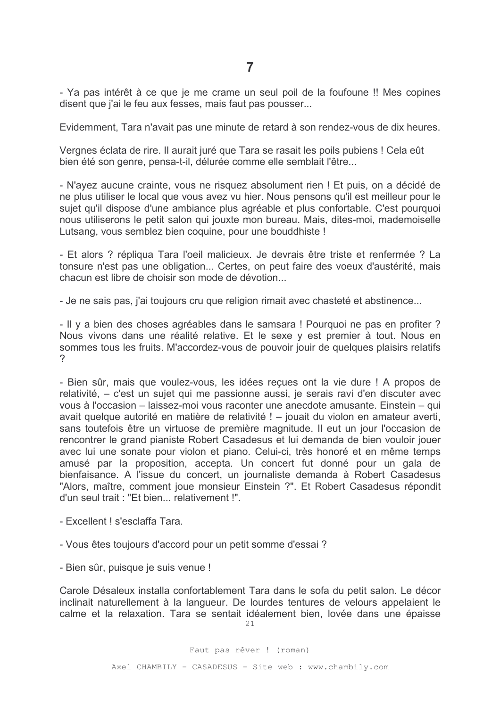- Ya pas intérêt à ce que je me crame un seul poil de la foufoune !! Mes copines disent que j'ai le feu aux fesses, mais faut pas pousser...

Evidemment, Tara n'avait pas une minute de retard à son rendez-vous de dix heures.

Vergnes éclata de rire. Il aurait juré que Tara se rasait les poils pubiens ! Cela eût bien été son genre, pensa-t-il, délurée comme elle semblait l'être...

- N'ayez aucune crainte, vous ne risquez absolument rien ! Et puis, on a décidé de ne plus utiliser le local que vous avez vu hier. Nous pensons qu'il est meilleur pour le sujet qu'il dispose d'une ambiance plus agréable et plus confortable. C'est pourquoi nous utiliserons le petit salon qui jouxte mon bureau. Mais, dites-moi, mademoiselle Lutsang, vous semblez bien coquine, pour une bouddhiste !

- Et alors ? répliqua Tara l'oeil malicieux. Je devrais être triste et renfermée ? La tonsure n'est pas une obligation... Certes, on peut faire des voeux d'austérité, mais chacun est libre de choisir son mode de dévotion

- Je ne sais pas, j'ai toujours cru que religion rimait avec chasteté et abstinence...

- Il y a bien des choses agréables dans le samsara ! Pourquoi ne pas en profiter ? Nous vivons dans une réalité relative. Et le sexe y est premier à tout. Nous en sommes tous les fruits. M'accordez-vous de pouvoir jouir de quelques plaisirs relatifs  $\mathcal{P}$ 

- Bien sûr, mais que voulez-vous, les idées recues ont la vie dure ! A propos de relativité. – c'est un sujet qui me passionne aussi, je serais ravi d'en discuter avec vous à l'occasion – laissez-moi vous raconter une anecdote amusante. Einstein – qui avait quelque autorité en matière de relativité ! – jouait du violon en amateur averti, sans toutefois être un virtuose de première magnitude. Il eut un jour l'occasion de rencontrer le grand pianiste Robert Casadesus et lui demanda de bien vouloir jouer avec lui une sonate pour violon et piano. Celui-ci, très honoré et en même temps amusé par la proposition, accepta. Un concert fut donné pour un gala de bienfaisance. A l'issue du concert, un journaliste demanda à Robert Casadesus "Alors, maître, comment joue monsieur Einstein ?". Et Robert Casadesus répondit d'un seul trait : "Et bien... relativement !".

- Excellent I s'esclaffa Tara
- Vous êtes toujours d'accord pour un petit somme d'essai ?
- Bien sûr, puisque je suis venue !

Carole Désaleux installa confortablement Tara dans le sofa du petit salon. Le décor inclinait naturellement à la langueur. De lourdes tentures de velours appelaient le calme et la relaxation. Tara se sentait idéalement bien, lovée dans une épaisse  $21$ 

Faut pas rêver ! (roman)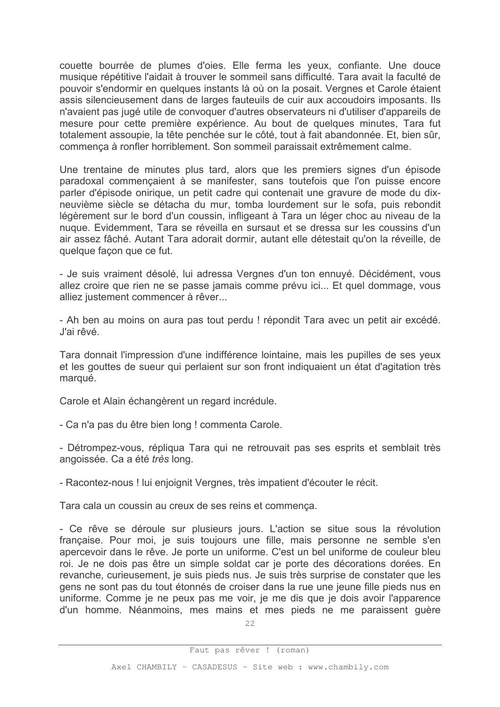couette bourrée de plumes d'oies. Elle ferma les yeux, confiante. Une douce musique répétitive l'aidait à trouver le sommeil sans difficulté. Tara avait la faculté de pouvoir s'endormir en quelques instants là où on la posait. Vergnes et Carole étaient assis silencieusement dans de larges fauteuils de cuir aux accoudoirs imposants. Ils n'avaient pas jugé utile de convoquer d'autres observateurs ni d'utiliser d'appareils de mesure pour cette première expérience. Au bout de quelques minutes, Tara fut totalement assoupie, la tête penchée sur le côté, tout à fait abandonnée. Et, bien sûr, commença à ronfler horriblement. Son sommeil paraissait extrêmement calme.

Une trentaine de minutes plus tard, alors que les premiers signes d'un épisode paradoxal commencaient à se manifester, sans toutefois que l'on puisse encore parler d'épisode onirique, un petit cadre qui contenait une gravure de mode du dixneuvième siècle se détacha du mur, tomba lourdement sur le sofa, puis rebondit légèrement sur le bord d'un coussin, infligeant à Tara un léger choc au niveau de la nuque. Evidemment, Tara se réveilla en sursaut et se dressa sur les coussins d'un air assez fâché. Autant Tara adorait dormir, autant elle détestait qu'on la réveille, de quelque facon que ce fut.

- Je suis vraiment désolé, lui adressa Vergnes d'un ton ennuyé. Décidément, vous allez croire que rien ne se passe jamais comme prévu ici... Et quel dommage, vous alliez justement commencer à rêver...

- Ah ben au moins on aura pas tout perdu ! répondit Tara avec un petit air excédé. J'ai rêvé.

Tara donnait l'impression d'une indifférence lointaine, mais les pupilles de ses yeux et les gouttes de sueur qui perlaient sur son front indiquaient un état d'agitation très marqué.

Carole et Alain échangèrent un regard incrédule.

- Ca n'a pas du être bien long ! commenta Carole.

- Détrompez-vous, répliqua Tara qui ne retrouvait pas ses esprits et semblait très angoissée. Ca a été très long.

- Racontez-nous ! lui enjoignit Vergnes, très impatient d'écouter le récit.

Tara cala un coussin au creux de ses reins et commença.

- Ce rêve se déroule sur plusieurs jours. L'action se situe sous la révolution française. Pour moi, je suis toujours une fille, mais personne ne semble s'en apercevoir dans le rêve. Je porte un uniforme. C'est un bel uniforme de couleur bleu roi. Je ne dois pas être un simple soldat car je porte des décorations dorées. En revanche, curieusement, je suis pieds nus. Je suis très surprise de constater que les gens ne sont pas du tout étonnés de croiser dans la rue une jeune fille pieds nus en uniforme. Comme je ne peux pas me voir, je me dis que je dois avoir l'apparence d'un homme. Néanmoins, mes mains et mes pieds ne me paraissent guère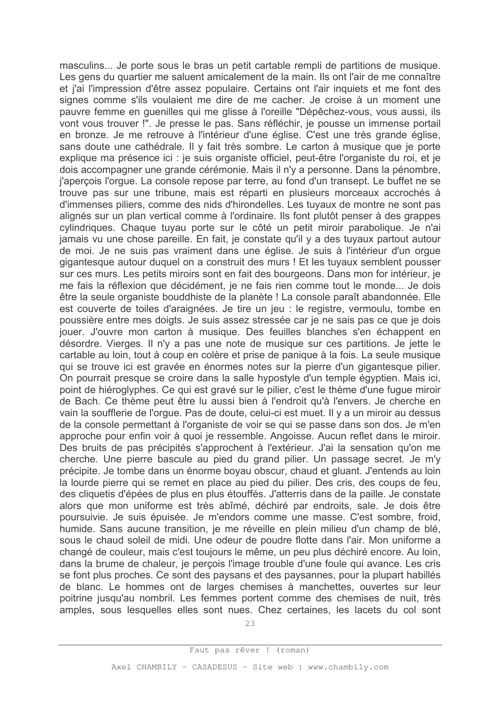masculins... Je porte sous le bras un petit cartable rempli de partitions de musique. Les gens du quartier me saluent amicalement de la main. Ils ont l'air de me connaître et j'ai l'impression d'être assez populaire. Certains ont l'air inquiets et me font des signes comme s'ils voulaient me dire de me cacher. Je croise à un moment une pauvre femme en guenilles qui me glisse à l'oreille "Dépêchez-vous, vous aussi, ils vont vous trouver !". Je presse le pas. Sans réfléchir, je pousse un immense portail en bronze. Je me retrouve à l'intérieur d'une église. C'est une très grande église, sans doute une cathédrale. Il y fait très sombre. Le carton à musique que je porte explique ma présence ici : je suis organiste officiel, peut-être l'organiste du roi, et je dois accompagner une grande cérémonie. Mais il n'y a personne. Dans la pénombre, l'apercois l'orque. La console repose par terre, au fond d'un transept. Le buffet ne se trouve pas sur une tribune, mais est réparti en plusieurs morceaux accrochés à d'immenses piliers, comme des nids d'hirondelles. Les tuyaux de montre ne sont pas alignés sur un plan vertical comme à l'ordinaire. Ils font plutôt penser à des grappes cylindriques. Chaque tuyau porte sur le côté un petit miroir parabolique. Je n'ai jamais vu une chose pareille. En fait, je constate qu'il y a des tuyaux partout autour de moi. Je ne suis pas vraiment dans une église. Je suis à l'intérieur d'un orque gigantesque autour duquel on a construit des murs ! Et les tuyaux semblent pousser sur ces murs. Les petits miroirs sont en fait des bourgeons. Dans mon for intérieur, je me fais la réflexion que décidément, je ne fais rien comme tout le monde... Je dois être la seule organiste bouddhiste de la planète ! La console paraît abandonnée. Elle est couverte de toiles d'araignées. Je tire un jeu : le registre, vermoulu, tombe en poussière entre mes doigts. Je suis assez stressée car je ne sais pas ce que je dois jouer. J'ouvre mon carton à musique. Des feuilles blanches s'en échappent en désordre. Vierges. Il n'y a pas une note de musique sur ces partitions. Je jette le cartable au loin, tout à coup en colère et prise de panique à la fois. La seule musique qui se trouve ici est gravée en énormes notes sur la pierre d'un gigantesque pilier. On pourrait presque se croire dans la salle hypostyle d'un temple égyptien. Mais ici, point de hiéroglyphes. Ce qui est gravé sur le pilier, c'est le thème d'une fugue miroir de Bach. Ce thème peut être lu aussi bien à l'endroit qu'à l'envers. Je cherche en vain la soufflerie de l'orgue. Pas de doute, celui-ci est muet. Il y a un miroir au dessus de la console permettant à l'organiste de voir se qui se passe dans son dos. Je m'en approche pour enfin voir à quoi je ressemble. Angoisse. Aucun reflet dans le miroir. Des bruits de pas précipités s'approchent à l'extérieur. J'ai la sensation qu'on me cherche. Une pierre bascule au pied du grand pilier. Un passage secret. Je m'y précipite. Je tombe dans un énorme boyau obscur, chaud et gluant. J'entends au loin la lourde pierre qui se remet en place au pied du pilier. Des cris, des coups de feu. des cliquetis d'épées de plus en plus étouffés. J'atterris dans de la paille, Je constate alors que mon uniforme est très abîmé, déchiré par endroits, sale. Je dois être poursuivie. Je suis épuisée. Je m'endors comme une masse. C'est sombre, froid, humide. Sans aucune transition, je me réveille en plein milieu d'un champ de blé, sous le chaud soleil de midi. Une odeur de poudre flotte dans l'air. Mon uniforme a changé de couleur, mais c'est toujours le même, un peu plus déchiré encore. Au loin, dans la brume de chaleur, je perçois l'image trouble d'une foule qui avance. Les cris se font plus proches. Ce sont des paysans et des paysannes, pour la plupart habillés de blanc. Le hommes ont de larges chemises à manchettes, ouvertes sur leur poitrine jusqu'au nombril. Les femmes portent comme des chemises de nuit, très amples, sous lesquelles elles sont nues. Chez certaines, les lacets du col sont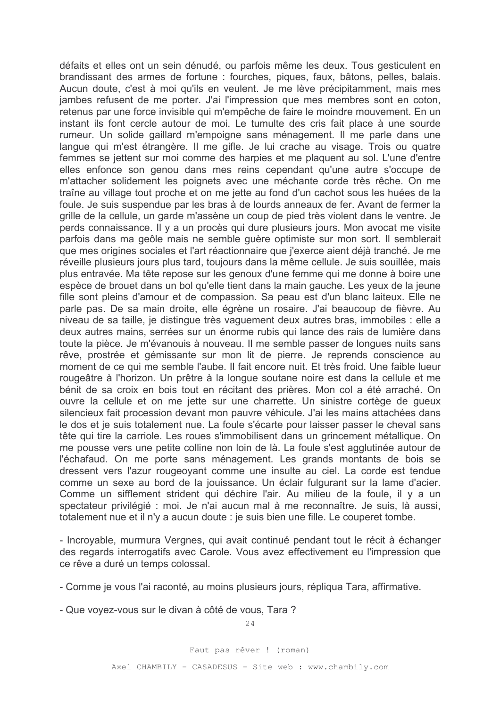défaits et elles ont un sein dénudé, ou parfois même les deux. Tous gesticulent en brandissant des armes de fortune : fourches, piques, faux, bâtons, pelles, balais. Aucun doute, c'est à moi qu'ils en veulent. Je me lève précipitamment, mais mes jambes refusent de me porter. J'ai l'impression que mes membres sont en coton, retenus par une force invisible qui m'empêche de faire le moindre mouvement. En un instant ils font cercle autour de moi. Le tumulte des cris fait place à une sourde rumeur. Un solide gaillard m'empoigne sans ménagement. Il me parle dans une langue qui m'est étrangère. Il me gifle. Je lui crache au visage. Trois ou quatre femmes se jettent sur moi comme des harpies et me plaquent au sol. L'une d'entre elles enfonce son genou dans mes reins cependant qu'une autre s'occupe de m'attacher solidement les poignets avec une méchante corde très rêche. On me traîne au village tout proche et on me jette au fond d'un cachot sous les huées de la foule. Je suis suspendue par les bras à de lourds anneaux de fer. Avant de fermer la grille de la cellule, un garde m'assène un coup de pied très violent dans le ventre. Je perds connaissance. Il y a un procès qui dure plusieurs jours. Mon avocat me visite parfois dans ma geôle mais ne semble quère optimiste sur mon sort. Il semblerait que mes origines sociales et l'art réactionnaire que j'exerce aient déjà tranché. Je me réveille plusieurs jours plus tard, toujours dans la même cellule. Je suis souillée, mais plus entravée. Ma tête repose sur les genoux d'une femme qui me donne à boire une espèce de brouet dans un bol qu'elle tient dans la main gauche. Les yeux de la jeune fille sont pleins d'amour et de compassion. Sa peau est d'un blanc laiteux. Elle ne parle pas. De sa main droite, elle égrène un rosaire. J'ai beaucoup de fièvre. Au niveau de sa taille, je distingue très vaguement deux autres bras, immobiles : elle a deux autres mains, serrées sur un énorme rubis qui lance des rais de lumière dans toute la pièce. Je m'évanouis à nouveau. Il me semble passer de longues nuits sans rêve, prostrée et gémissante sur mon lit de pierre. Je reprends conscience au moment de ce qui me semble l'aube. Il fait encore nuit. Et très froid. Une faible lueur rougeâtre à l'horizon. Un prêtre à la longue soutane noire est dans la cellule et me bénit de sa croix en bois tout en récitant des prières. Mon col a été arraché. On ouvre la cellule et on me jette sur une charrette. Un sinistre cortège de queux silencieux fait procession devant mon pauvre véhicule. J'ai les mains attachées dans le dos et je suis totalement nue. La foule s'écarte pour laisser passer le cheval sans tête qui tire la carriole. Les roues s'immobilisent dans un grincement métallique. On me pousse vers une petite colline non loin de là. La foule s'est agglutinée autour de l'échafaud. On me porte sans ménagement. Les grands montants de bois se dressent vers l'azur rougeoyant comme une insulte au ciel. La corde est tendue comme un sexe au bord de la jouissance. Un éclair fulgurant sur la lame d'acier. Comme un sifflement strident qui déchire l'air. Au milieu de la foule, il y a un spectateur privilégié : moi. Je n'ai aucun mal à me reconnaître. Je suis, là aussi, totalement nue et il n'y a aucun doute : je suis bien une fille. Le couperet tombe.

- Incrovable, murmura Vergnes, qui avait continué pendant tout le récit à échanger des regards interrogatifs avec Carole. Vous avez effectivement eu l'impression que ce rêve a duré un temps colossal.

- Comme je vous l'ai raconté, au moins plusieurs jours, répliqua Tara, affirmative.
- Que voyez-vous sur le divan à côté de vous, Tara ?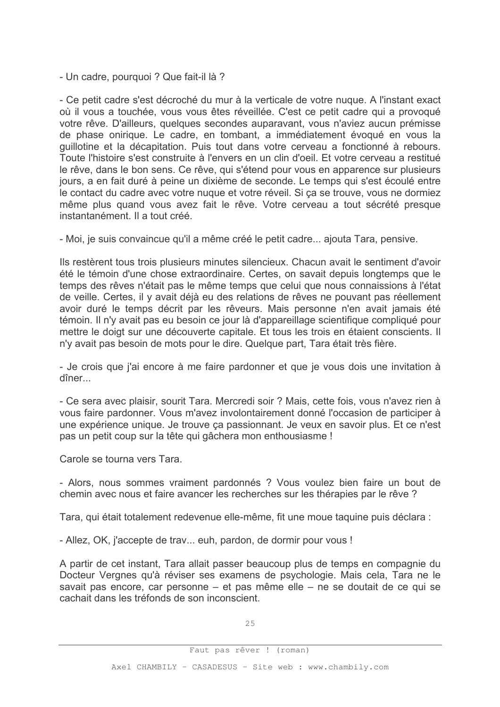- Un cadre, pourquoi ? Que fait-il là ?

- Ce petit cadre s'est décroché du mur à la verticale de votre nuque. A l'instant exact où il vous a touchée, vous vous êtes réveillée. C'est ce petit cadre qui a provoqué votre rêve. D'ailleurs, quelques secondes auparavant, vous n'aviez aucun prémisse de phase onirique. Le cadre, en tombant, a immédiatement évoqué en vous la quillotine et la décapitation. Puis tout dans votre cerveau a fonctionné à rebours. Toute l'histoire s'est construite à l'envers en un clin d'oeil. Et votre cerveau a restitué le rêve, dans le bon sens. Ce rêve, qui s'étend pour vous en apparence sur plusieurs jours, a en fait duré à peine un dixième de seconde. Le temps qui s'est écoulé entre le contact du cadre avec votre nuque et votre réveil. Si ça se trouve, vous ne dormiez même plus quand vous avez fait le rêve. Votre cerveau a tout sécrété presque instantanément. Il a tout créé.

- Moi, je suis convaincue qu'il a même créé le petit cadre... ajouta Tara, pensive.

Ils restèrent tous trois plusieurs minutes silencieux. Chacun avait le sentiment d'avoir été le témoin d'une chose extraordinaire. Certes, on savait depuis longtemps que le temps des rêves n'était pas le même temps que celui que nous connaissions à l'état de veille. Certes, il y avait déjà eu des relations de rêves ne pouvant pas réellement avoir duré le temps décrit par les rêveurs. Mais personne n'en avait jamais été témoin. Il n'y avait pas eu besoin ce jour là d'appareillage scientifique compliqué pour mettre le doigt sur une découverte capitale. Et tous les trois en étaient conscients. Il n'y avait pas besoin de mots pour le dire. Quelque part, Tara était très fière.

- Je crois que j'ai encore à me faire pardonner et que je vous dois une invitation à dîner

- Ce sera avec plaisir, sourit Tara. Mercredi soir ? Mais, cette fois, vous n'avez rien à vous faire pardonner. Vous m'avez involontairement donné l'occasion de participer à une expérience unique. Je trouve ca passionnant. Je veux en savoir plus. Et ce n'est pas un petit coup sur la tête qui gâchera mon enthousiasme !

Carole se tourna vers Tara.

- Alors, nous sommes vraiment pardonnés ? Vous voulez bien faire un bout de chemin avec nous et faire avancer les recherches sur les thérapies par le rêve ?

Tara, qui était totalement redevenue elle-même, fit une moue taquine puis déclara :

- Allez, OK, j'accepte de trav... euh, pardon, de dormir pour vous !

A partir de cet instant, Tara allait passer beaucoup plus de temps en compagnie du Docteur Vergnes qu'à réviser ses examens de psychologie. Mais cela, Tara ne le savait pas encore, car personne – et pas même elle – ne se doutait de ce qui se cachait dans les tréfonds de son inconscient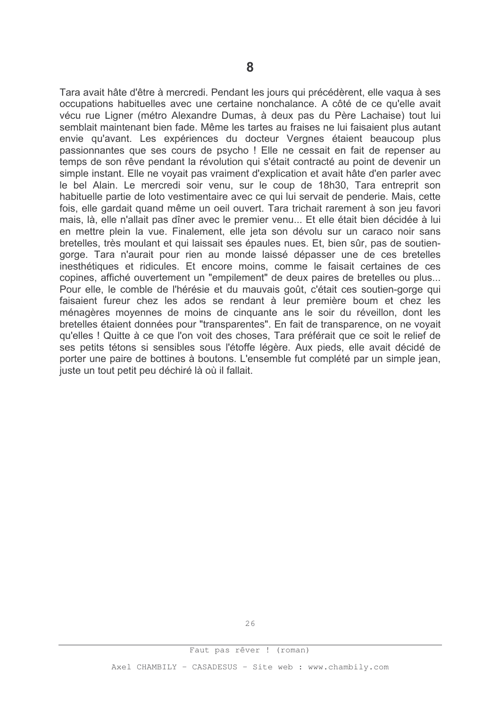Tara avait hâte d'être à mercredi. Pendant les jours qui précédèrent, elle vaqua à ses occupations habituelles avec une certaine nonchalance. A côté de ce qu'elle avait vécu rue Ligner (métro Alexandre Dumas, à deux pas du Père Lachaise) tout lui semblait maintenant bien fade. Même les tartes au fraises ne lui faisaient plus autant envie qu'avant. Les expériences du docteur Vergnes étaient beaucoup plus passionnantes que ses cours de psycho ! Elle ne cessait en fait de repenser au temps de son rêve pendant la révolution qui s'était contracté au point de devenir un simple instant. Elle ne voyait pas vraiment d'explication et avait hâte d'en parler avec le bel Alain. Le mercredi soir venu, sur le coup de 18h30, Tara entreprit son habituelle partie de loto vestimentaire avec ce qui lui servait de penderie. Mais, cette fois, elle gardait quand même un oeil ouvert. Tara trichait rarement à son jeu favori mais, là, elle n'allait pas dîner avec le premier venu... Et elle était bien décidée à lui en mettre plein la vue. Finalement, elle jeta son dévolu sur un caraco noir sans bretelles, très moulant et qui laissait ses épaules nues. Et, bien sûr, pas de soutiengorge. Tara n'aurait pour rien au monde laissé dépasser une de ces bretelles inesthétiques et ridicules. Et encore moins, comme le faisait certaines de ces copines, affiché ouvertement un "empilement" de deux paires de bretelles ou plus... Pour elle, le comble de l'hérésie et du mauvais goût, c'était ces soutien-gorge qui faisaient fureur chez les ados se rendant à leur première boum et chez les ménagères moyennes de moins de cinguante ans le soir du réveillon, dont les bretelles étaient données pour "transparentes". En fait de transparence, on ne voyait qu'elles! Quitte à ce que l'on voit des choses. Tara préférait que ce soit le relief de ses petits tétons si sensibles sous l'étoffe légère. Aux pieds, elle avait décidé de porter une paire de bottines à boutons. L'ensemble fut complété par un simple jean, juste un tout petit peu déchiré là où il fallait.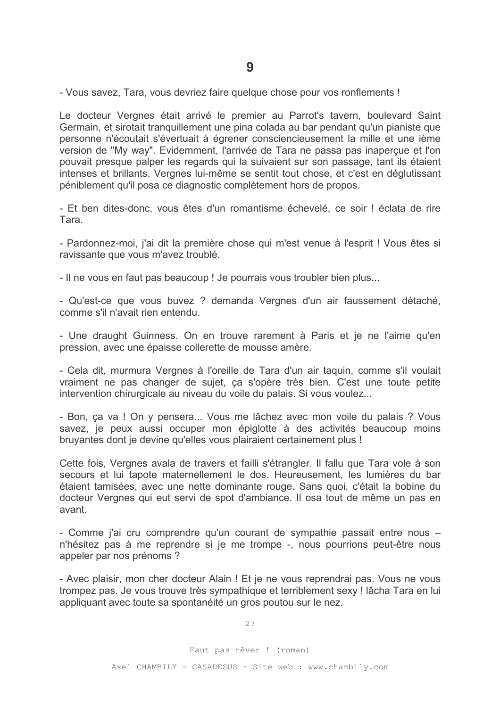- Vous savez. Tara, yous devriez faire quelque chose pour vos ronflements !

Le docteur Vergnes était arrivé le premier au Parrot's tavern, boulevard Saint Germain, et sirotait tranguillement une pina colada au bar pendant qu'un pianiste que personne n'écoutait s'évertuait à égrener consciencieusement la mille et une ième version de "My way". Evidemment, l'arrivée de Tara ne passa pas inaperçue et l'on pouvait presque palper les regards qui la suivaient sur son passage, tant ils étaient intenses et brillants. Vergnes lui-même se sentit tout chose, et c'est en déglutissant péniblement qu'il posa ce diagnostic complètement hors de propos.

- Et ben dites-donc, vous êtes d'un romantisme échevelé, ce soir ! éclata de rire Tara

- Pardonnez-moi, j'ai dit la première chose qui m'est venue à l'esprit ! Vous êtes si ravissante que vous m'avez troublé.

- Il ne vous en faut pas beaucoup ! Je pourrais vous troubler bien plus...

- Qu'est-ce que vous buvez ? demanda Vergnes d'un air faussement détaché, comme s'il n'avait rien entendu.

- Une draught Guinness. On en trouve rarement à Paris et je ne l'aime qu'en pression, avec une épaisse collerette de mousse amère.

- Cela dit, murmura Vergnes à l'oreille de Tara d'un air taquin, comme s'il voulait vraiment ne pas changer de sujet, ça s'opère très bien. C'est une toute petite intervention chirurgicale au niveau du voile du palais. Si vous voulez...

- Bon, ca va ! On y pensera... Vous me lâchez avec mon voile du palais ? Vous savez, je peux aussi occuper mon épiglotte à des activités beaucoup moins bruyantes dont je devine qu'elles vous plairaient certainement plus !

Cette fois, Vergnes avala de travers et failli s'étrangler. Il fallu que Tara vole à son secours et lui tapote maternellement le dos. Heureusement, les lumières du bar étaient tamisées, avec une nette dominante rouge. Sans quoi, c'était la bobine du docteur Vergnes qui eut servi de spot d'ambiance. Il osa tout de même un pas en avant

- Comme j'ai cru comprendre qu'un courant de sympathie passait entre nous n'hésitez pas à me reprendre si je me trompe -, nous pourrions peut-être nous appeler par nos prénoms ?

- Avec plaisir, mon cher docteur Alain ! Et je ne vous reprendrai pas. Vous ne vous trompez pas. Je vous trouve très sympathique et terriblement sexy ! lâcha Tara en lui appliquant avec toute sa spontanéité un gros poutou sur le nez.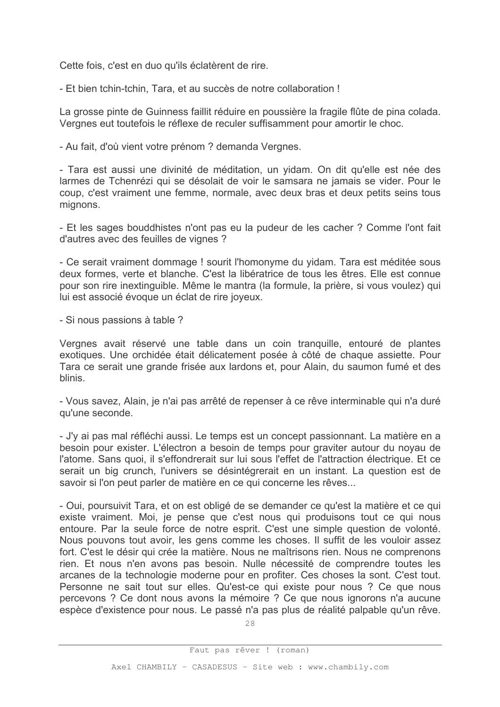Cette fois, c'est en duo qu'ils éclatèrent de rire.

- Et bien tchin-tchin, Tara, et au succès de notre collaboration !

La grosse pinte de Guinness faillit réduire en poussière la fragile flûte de pina colada. Vergnes eut toutefois le réflexe de reculer suffisamment pour amortir le choc.

- Au fait, d'où vient votre prénom ? demanda Vergnes.

- Tara est aussi une divinité de méditation, un vidam. On dit qu'elle est née des larmes de Tchenrézi qui se désolait de voir le samsara ne jamais se vider. Pour le coup, c'est vraiment une femme, normale, avec deux bras et deux petits seins tous mignons.

- Et les sages bouddhistes n'ont pas eu la pudeur de les cacher ? Comme l'ont fait d'autres avec des feuilles de vignes ?

- Ce serait vraiment dommage ! sourit l'homonyme du vidam. Tara est méditée sous deux formes, verte et blanche. C'est la libératrice de tous les êtres. Elle est connue pour son rire inextinguible. Même le mantra (la formule, la prière, si vous voulez) qui lui est associé évoque un éclat de rire joyeux.

- Si nous passions à table ?

Vergnes avait réservé une table dans un coin tranguille, entouré de plantes exotiques. Une orchidée était délicatement posée à côté de chaque assiette. Pour Tara ce serait une grande frisée aux lardons et, pour Alain, du saumon fumé et des **blinis** 

- Vous savez, Alain, je n'ai pas arrêté de repenser à ce rêve interminable qui n'a duré qu'une seconde.

- J'y ai pas mal réfléchi aussi. Le temps est un concept passionnant. La matière en a besoin pour exister. L'électron a besoin de temps pour graviter autour du noyau de l'atome. Sans quoi, il s'effondrerait sur lui sous l'effet de l'attraction électrique. Et ce serait un big crunch, l'univers se désintégrerait en un instant. La question est de savoir si l'on peut parler de matière en ce qui concerne les rêves...

- Oui, poursuivit Tara, et on est obligé de se demander ce qu'est la matière et ce qui existe vraiment. Moi, je pense que c'est nous qui produisons tout ce qui nous entoure. Par la seule force de notre esprit. C'est une simple question de volonté. Nous pouvons tout avoir, les gens comme les choses. Il suffit de les vouloir assez fort. C'est le désir qui crée la matière. Nous ne maîtrisons rien. Nous ne comprenons rien. Et nous n'en avons pas besoin. Nulle nécessité de comprendre toutes les arcanes de la technologie moderne pour en profiter. Ces choses la sont. C'est tout. Personne ne sait tout sur elles. Qu'est-ce qui existe pour nous ? Ce que nous percevons ? Ce dont nous avons la mémoire ? Ce que nous ignorons n'a aucune espèce d'existence pour nous. Le passé n'a pas plus de réalité palpable qu'un rêve.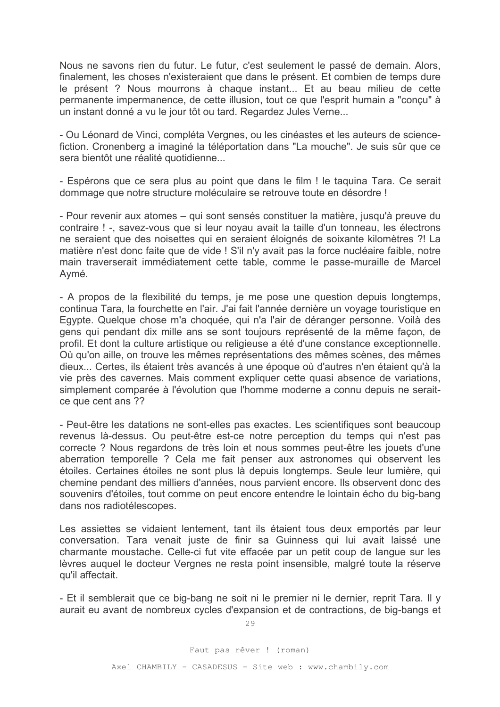Nous ne savons rien du futur. Le futur, c'est seulement le passé de demain. Alors, finalement, les choses n'existeraient que dans le présent. Et combien de temps dure le présent ? Nous mourrons à chaque instant... Et au beau milieu de cette permanente impermanence, de cette illusion, tout ce que l'esprit humain a "conçu" à un instant donné a vu le jour tôt ou tard. Regardez Jules Verne...

- Ou Léonard de Vinci, compléta Vergnes, ou les cinéastes et les auteurs de sciencefiction. Cronenberg a imaginé la téléportation dans "La mouche". Je suis sûr que ce sera bientôt une réalité quotidienne...

- Espérons que ce sera plus au point que dans le film ! le taquina Tara. Ce serait dommage que notre structure moléculaire se retrouve toute en désordre !

- Pour revenir aux atomes – qui sont sensés constituer la matière, jusqu'à preuve du contraire ! -, savez-vous que si leur novau avait la taille d'un tonneau, les électrons ne seraient que des noisettes qui en seraient éloignés de soixante kilomètres ?! La matière n'est donc faite que de vide ! S'il n'y avait pas la force nucléaire faible, notre main traverserait immédiatement cette table, comme le passe-muraille de Marcel Aymé.

- A propos de la flexibilité du temps, je me pose une question depuis longtemps, continua Tara. la fourchette en l'air. J'ai fait l'année dernière un vovage touristique en Egypte. Quelque chose m'a choquée, qui n'a l'air de déranger personne. Voilà des gens qui pendant dix mille ans se sont toujours représenté de la même façon, de profil. Et dont la culture artistique ou religieuse a été d'une constance exceptionnelle. Où qu'on aille, on trouve les mêmes représentations des mêmes scènes, des mêmes dieux... Certes, ils étaient très avancés à une époque où d'autres n'en étaient qu'à la vie près des cavernes. Mais comment expliquer cette quasi absence de variations, simplement comparée à l'évolution que l'homme moderne a connu depuis ne seraitce que cent ans ??

- Peut-être les datations ne sont-elles pas exactes. Les scientifiques sont beaucoup revenus là-dessus. Ou peut-être est-ce notre perception du temps qui n'est pas correcte? Nous regardons de très loin et nous sommes peut-être les jouets d'une aberration temporelle ? Cela me fait penser aux astronomes qui observent les étoiles. Certaines étoiles ne sont plus là depuis longtemps. Seule leur lumière, qui chemine pendant des milliers d'années, nous parvient encore. Ils observent donc des souvenirs d'étoiles, tout comme on peut encore entendre le lointain écho du big-bang dans nos radiotélescopes.

Les assiettes se vidaient lentement, tant ils étaient tous deux emportés par leur conversation. Tara venait juste de finir sa Guinness qui lui avait laissé une charmante moustache. Celle-ci fut vite effacée par un petit coup de langue sur les lèvres auguel le docteur Vergnes ne resta point insensible, malgré toute la réserve qu'il affectait.

- Et il semblerait que ce big-bang ne soit ni le premier ni le dernier, reprit Tara. Il y aurait eu avant de nombreux cycles d'expansion et de contractions, de big-bangs et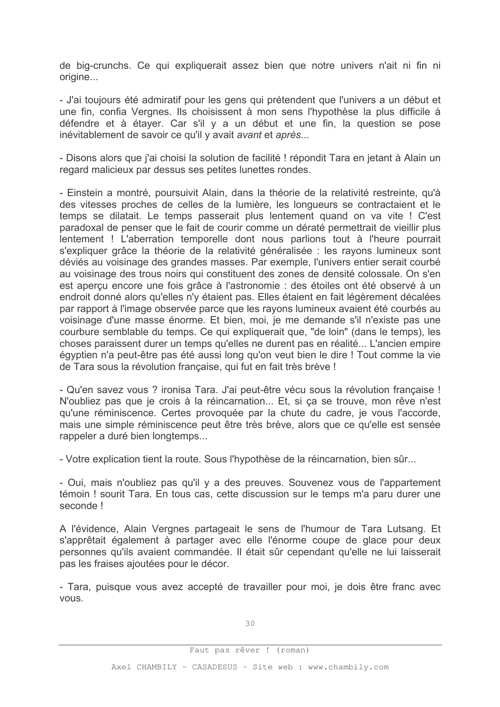de big-crunchs. Ce qui expliquerait assez bien que notre univers n'ait ni fin ni origine...

- J'ai toujours été admiratif pour les gens qui prétendent que l'univers a un début et une fin, confia Vergnes. Ils choisissent à mon sens l'hypothèse la plus difficile à défendre et à étayer. Car s'il y a un début et une fin, la question se pose inévitablement de savoir ce qu'il y avait avant et après...

- Disons alors que j'ai choisi la solution de facilité ! répondit Tara en jetant à Alain un regard malicieux par dessus ses petites lunettes rondes.

- Einstein a montré, poursuivit Alain, dans la théorie de la relativité restreinte, qu'à des vitesses proches de celles de la lumière, les longueurs se contractaient et le temps se dilatait. Le temps passerait plus lentement quand on va vite ! C'est paradoxal de penser que le fait de courir comme un dératé permettrait de vieillir plus lentement ! L'aberration temporelle dont nous parlions tout à l'heure pourrait s'expliquer grâce la théorie de la relativité généralisée : les rayons lumineux sont déviés au voisinage des grandes masses. Par exemple, l'univers entier serait courbé au voisinage des trous noirs qui constituent des zones de densité colossale. On s'en est apercu encore une fois grâce à l'astronomie : des étoiles ont été observé à un endroit donné alors qu'elles n'y étaient pas. Elles étaient en fait légèrement décalées par rapport à l'image observée parce que les rayons lumineux avaient été courbés au voisinage d'une masse énorme. Et bien, moi, je me demande s'il n'existe pas une courbure semblable du temps. Ce qui expliquerait que, "de loin" (dans le temps), les choses paraissent durer un temps qu'elles ne durent pas en réalité... L'ancien empire éqyptien n'a peut-être pas été aussi long qu'on veut bien le dire ! Tout comme la vie de Tara sous la révolution française, qui fut en fait très brève !

- Qu'en savez vous ? ironisa Tara. J'ai peut-être vécu sous la révolution française ! N'oubliez pas que je crois à la réincarnation... Et, si ca se trouve, mon rêve n'est qu'une réminiscence. Certes provoquée par la chute du cadre, je vous l'accorde, mais une simple réminiscence peut être très brève, alors que ce qu'elle est sensée rappeler a duré bien longtemps...

- Votre explication tient la route. Sous l'hypothèse de la réincarnation, bien sûr...

- Oui, mais n'oubliez pas qu'il y a des preuves. Souvenez vous de l'appartement témoin ! sourit Tara. En tous cas, cette discussion sur le temps m'a paru durer une seconde !

A l'évidence, Alain Vergnes partageait le sens de l'humour de Tara Lutsang. Et s'apprêtait également à partager avec elle l'énorme coupe de glace pour deux personnes qu'ils avaient commandée. Il était sûr cependant qu'elle ne lui laisserait pas les fraises ajoutées pour le décor.

- Tara, puisque vous avez accepté de travailler pour moi, je dois être franc avec vous.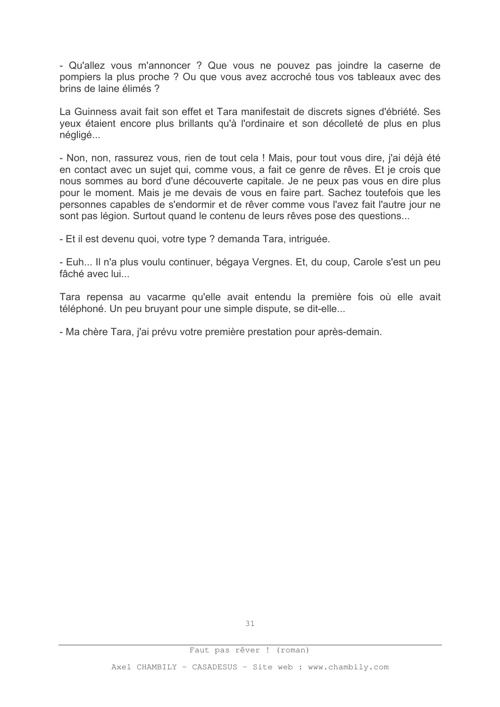- Qu'allez vous m'annoncer ? Que vous ne pouvez pas joindre la caserne de pompiers la plus proche ? Ou que vous avez accroché tous vos tableaux avec des brins de laine élimés ?

La Guinness avait fait son effet et Tara manifestait de discrets signes d'ébriété. Ses yeux étaient encore plus brillants qu'à l'ordinaire et son décolleté de plus en plus négligé...

- Non, non, rassurez vous, rien de tout cela ! Mais, pour tout vous dire, j'ai déjà été en contact avec un sujet qui, comme vous, a fait ce genre de rêves. Et je crois que nous sommes au bord d'une découverte capitale. Je ne peux pas vous en dire plus pour le moment. Mais je me devais de vous en faire part. Sachez toutefois que les personnes capables de s'endormir et de rêver comme vous l'avez fait l'autre jour ne sont pas légion. Surtout quand le contenu de leurs rêves pose des questions...

- Et il est devenu quoi, votre type ? demanda Tara, intriguée.

- Euh... Il n'a plus voulu continuer, bégaya Vergnes. Et, du coup, Carole s'est un peu fâché avec lui...

Tara repensa au vacarme qu'elle avait entendu la première fois où elle avait téléphoné. Un peu bruyant pour une simple dispute, se dit-elle...

- Ma chère Tara, j'ai prévu votre première prestation pour après-demain.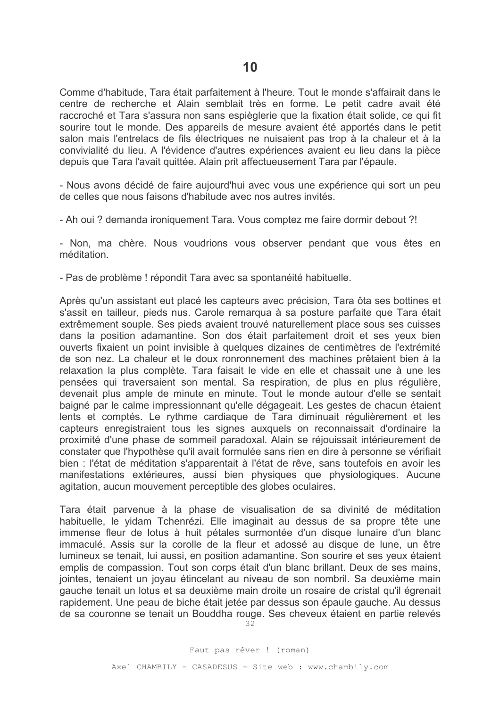Comme d'habitude. Tara était parfaitement à l'heure. Tout le monde s'affairait dans le centre de recherche et Alain semblait très en forme. Le petit cadre avait été raccroché et Tara s'assura non sans espièglerie que la fixation était solide, ce qui fit sourire tout le monde. Des appareils de mesure avaient été apportés dans le petit salon mais l'entrelacs de fils électriques ne nuisaient pas trop à la chaleur et à la convivialité du lieu. A l'évidence d'autres expériences avaient eu lieu dans la pièce depuis que Tara l'avait quittée. Alain prit affectueusement Tara par l'épaule.

- Nous avons décidé de faire aujourd'hui avec vous une expérience qui sort un peu de celles que nous faisons d'habitude avec nos autres invités.

- Ah oui ? demanda ironiquement Tara. Vous comptez me faire dormir debout ?!

- Non, ma chère. Nous voudrions vous observer pendant que vous êtes en méditation

- Pas de problème ! répondit Tara avec sa spontanéité habituelle.

Après au'un assistant eut placé les capteurs avec précision, Tara ôta ses bottines et s'assit en tailleur, pieds nus. Carole remarqua à sa posture parfaite que Tara était extrêmement souple. Ses pieds avaient trouvé naturellement place sous ses cuisses dans la position adamantine. Son dos était parfaitement droit et ses yeux bien ouverts fixaient un point invisible à quelques dizaines de centimètres de l'extrémité de son nez. La chaleur et le doux ronronnement des machines prêtaient bien à la relaxation la plus complète. Tara faisait le vide en elle et chassait une à une les pensées qui traversaient son mental. Sa respiration, de plus en plus réqulière. devenait plus ample de minute en minute. Tout le monde autour d'elle se sentait baigné par le calme impressionnant qu'elle dégageait. Les gestes de chacun étaient lents et comptés. Le rythme cardiague de Tara diminuait régulièrement et les capteurs enregistraient tous les signes auxquels on reconnaissait d'ordinaire la proximité d'une phase de sommeil paradoxal. Alain se réjouissait intérieurement de constater que l'hypothèse qu'il avait formulée sans rien en dire à personne se vérifiait bien : l'état de méditation s'apparentait à l'état de rêve, sans toutefois en avoir les manifestations extérieures, aussi bien physiques que physiologiques. Aucune agitation, aucun mouvement perceptible des globes oculaires.

Tara était parvenue à la phase de visualisation de sa divinité de méditation habituelle, le vidam Tchenrézi. Elle imaginait au dessus de sa propre tête une immense fleur de lotus à huit pétales surmontée d'un disque lunaire d'un blanc immaculé. Assis sur la corolle de la fleur et adossé au disque de lune, un être lumineux se tenait, lui aussi, en position adamantine. Son sourire et ses veux étaient emplis de compassion. Tout son corps était d'un blanc brillant. Deux de ses mains, jointes, tenaient un joyau étincelant au niveau de son nombril. Sa deuxième main gauche tenait un lotus et sa deuxième main droite un rosaire de cristal qu'il égrenait rapidement. Une peau de biche était jetée par dessus son épaule gauche. Au dessus de sa couronne se tenait un Bouddha rouge. Ses cheveux étaient en partie relevés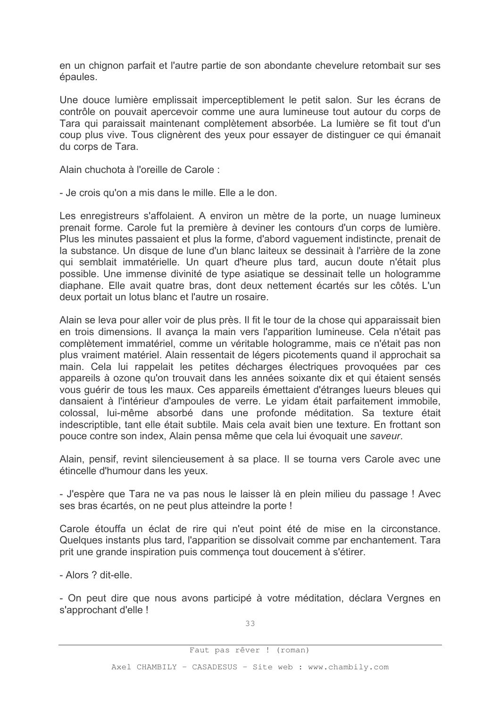en un chignon parfait et l'autre partie de son abondante chevelure retombait sur ses épaules.

Une douce lumière emplissait imperceptiblement le petit salon. Sur les écrans de contrôle on pouvait apercevoir comme une aura lumineuse tout autour du corps de Tara qui paraissait maintenant complètement absorbée. La lumière se fit tout d'un coup plus vive. Tous clignèrent des yeux pour essayer de distinguer ce qui émanait du corps de Tara.

Alain chuchota à l'oreille de Carole :

- Je crois qu'on a mis dans le mille. Elle a le don.

Les enregistreurs s'affolaient. A environ un mètre de la porte, un nuage lumineux prenait forme. Carole fut la première à deviner les contours d'un corps de lumière. Plus les minutes passaient et plus la forme, d'abord vaguement indistincte, prenait de la substance. Un disque de lune d'un blanc laiteux se dessinait à l'arrière de la zone qui semblait immatérielle. Un quart d'heure plus tard, aucun doute n'était plus possible. Une immense divinité de type asiatique se dessinait telle un hologramme diaphane. Elle avait quatre bras, dont deux nettement écartés sur les côtés. L'un deux portait un lotus blanc et l'autre un rosaire.

Alain se leva pour aller voir de plus près. Il fit le tour de la chose qui apparaissait bien en trois dimensions. Il avança la main vers l'apparition lumineuse. Cela n'était pas complètement immatériel, comme un véritable hologramme, mais ce n'était pas non plus vraiment matériel. Alain ressentait de légers picotements quand il approchait sa main. Cela lui rappelait les petites décharges électriques provoquées par ces appareils à ozone qu'on trouvait dans les années soixante dix et qui étaient sensés vous guérir de tous les maux. Ces appareils émettaient d'étranges lueurs bleues qui dansaient à l'intérieur d'ampoules de verre. Le vidam était parfaitement immobile, colossal. lui-même absorbé dans une profonde méditation. Sa texture était indescriptible, tant elle était subtile. Mais cela avait bien une texture. En frottant son pouce contre son index, Alain pensa même que cela lui évoquait une saveur.

Alain, pensif, revint silencieusement à sa place. Il se tourna vers Carole avec une étincelle d'humour dans les yeux.

- J'espère que Tara ne va pas nous le laisser là en plein milieu du passage ! Avec ses bras écartés, on ne peut plus atteindre la porte !

Carole étouffa un éclat de rire qui n'eut point été de mise en la circonstance. Quelques instants plus tard, l'apparition se dissolvait comme par enchantement. Tara prit une grande inspiration puis commença tout doucement à s'étirer.

- Alors ? dit-elle

- On peut dire que nous avons participé à votre méditation, déclara Vergnes en s'approchant d'elle !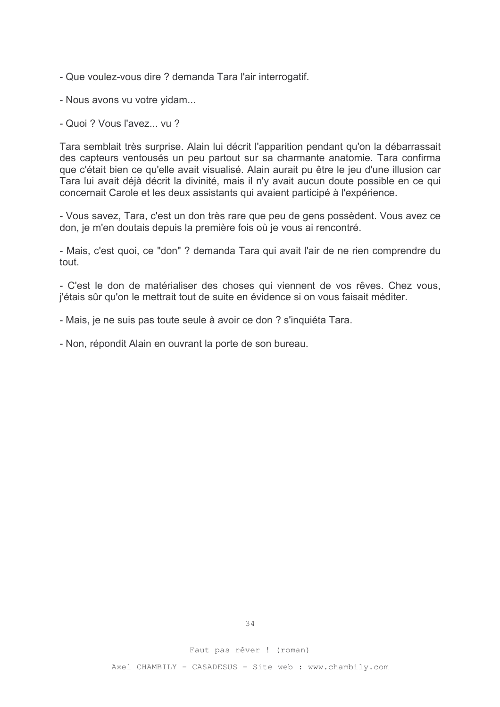- Que voulez-vous dire ? demanda Tara l'air interrogatif.
- Nous avons vu votre yidam...
- Quoi ? Vous l'avez... vu ?

Tara semblait très surprise. Alain lui décrit l'apparition pendant qu'on la débarrassait des capteurs ventousés un peu partout sur sa charmante anatomie. Tara confirma que c'était bien ce qu'elle avait visualisé. Alain aurait pu être le jeu d'une illusion car Tara lui avait déià décrit la divinité, mais il n'y avait aucun doute possible en ce qui concernait Carole et les deux assistants qui avaient participé à l'expérience.

- Vous savez, Tara, c'est un don très rare que peu de gens possèdent. Vous avez ce don, je m'en doutais depuis la première fois où je vous ai rencontré.

- Mais, c'est quoi, ce "don" ? demanda Tara qui avait l'air de ne rien comprendre du tout

- C'est le don de matérialiser des choses qui viennent de vos rêves. Chez vous, j'étais sûr qu'on le mettrait tout de suite en évidence si on vous faisait méditer.

- Mais, je ne suis pas toute seule à avoir ce don ? s'inquiéta Tara.

- Non, répondit Alain en ouvrant la porte de son bureau.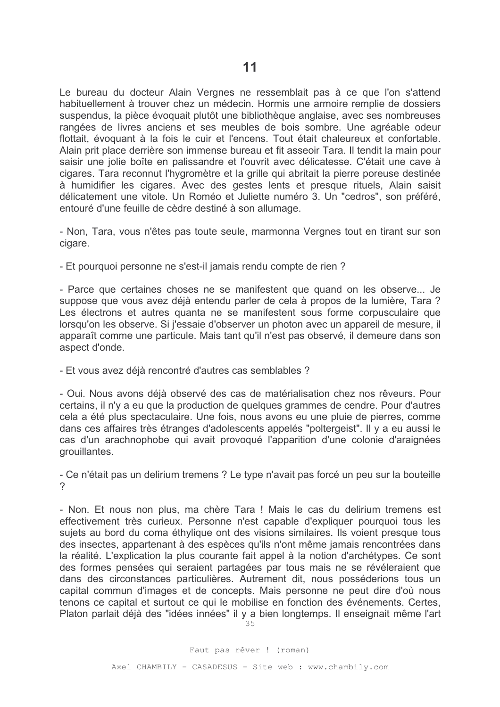Le bureau du docteur Alain Vergnes ne ressemblait pas à ce que l'on s'attend habituellement à trouver chez un médecin. Hormis une armoire remplie de dossiers suspendus, la pièce évoquait plutôt une bibliothèque anglaise, avec ses nombreuses rangées de livres anciens et ses meubles de bois sombre. Une agréable odeur flottait, évoquant à la fois le cuir et l'encens. Tout était chaleureux et confortable. Alain prit place derrière son immense bureau et fit asseoir Tara. Il tendit la main pour saisir une jolie boîte en palissandre et l'ouvrit avec délicatesse. C'était une cave à cigares. Tara reconnut l'hygromètre et la grille qui abritait la pierre poreuse destinée à humidifier les cigares. Avec des gestes lents et presque rituels, Alain saisit délicatement une vitole. Un Roméo et Juliette numéro 3. Un "cedros", son préféré, entouré d'une feuille de cèdre destiné à son allumage.

- Non, Tara, vous n'êtes pas toute seule, marmonna Vergnes tout en tirant sur son cigare.

- Et pourquoi personne ne s'est-il jamais rendu compte de rien?

- Parce que certaines choses ne se manifestent que quand on les observe... Je suppose que vous avez déià entendu parler de cela à propos de la lumière. Tara ? Les électrons et autres quanta ne se manifestent sous forme corpusculaire que lorsqu'on les observe. Si j'essaie d'observer un photon avec un appareil de mesure, il apparaît comme une particule. Mais tant qu'il n'est pas observé, il demeure dans son aspect d'onde.

- Et vous avez déjà rencontré d'autres cas semblables ?

- Oui. Nous avons déjà observé des cas de matérialisation chez nos rêveurs. Pour certains, il n'y a eu que la production de quelques grammes de cendre. Pour d'autres cela a été plus spectaculaire. Une fois, nous avons eu une pluie de pierres, comme dans ces affaires très étranges d'adolescents appelés "poltergeist". Il y a eu aussi le cas d'un arachnophobe qui avait provoqué l'apparition d'une colonie d'araignées grouillantes.

- Ce n'était pas un delirium tremens ? Le type n'avait pas forcé un peu sur la bouteille

- Non. Et nous non plus, ma chère Tara ! Mais le cas du delirium tremens est effectivement très curieux. Personne n'est capable d'expliquer pourquoi tous les sujets au bord du coma éthylique ont des visions similaires. Ils voient presque tous des insectes, appartenant à des espèces qu'ils n'ont même jamais rencontrées dans la réalité. L'explication la plus courante fait appel à la notion d'archétypes. Ce sont des formes pensées qui seraient partagées par tous mais ne se révéleraient que dans des circonstances particulières. Autrement dit, nous posséderions tous un capital commun d'images et de concepts. Mais personne ne peut dire d'où nous tenons ce capital et surtout ce qui le mobilise en fonction des événements. Certes, Platon parlait déjà des "idées innées" il y a bien longtemps. Il enseignait même l'art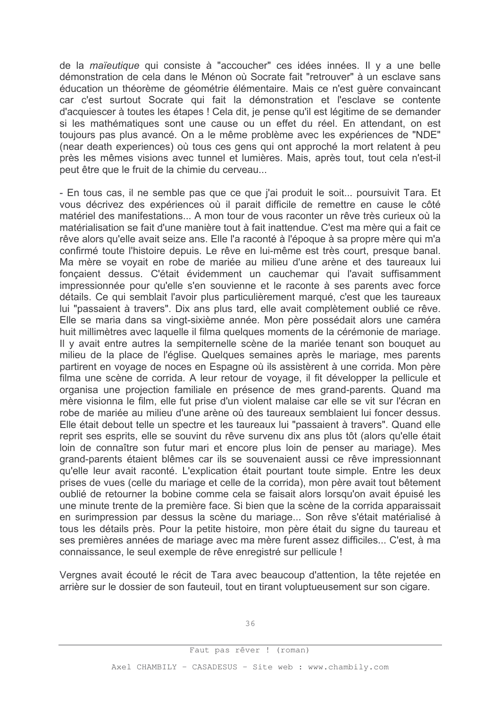de la maïeutique qui consiste à "accoucher" ces idées innées. Il y a une belle démonstration de cela dans le Ménon où Socrate fait "retrouver" à un esclave sans éducation un théorème de géométrie élémentaire. Mais ce n'est quère convaincant car c'est surtout Socrate qui fait la démonstration et l'esclave se contente d'acquiescer à toutes les étapes ! Cela dit, je pense qu'il est légitime de se demander si les mathématiques sont une cause ou un effet du réel. En attendant, on est toujours pas plus avancé. On a le même problème avec les expériences de "NDE" (near death experiences) où tous ces gens qui ont approché la mort relatent à peu près les mêmes visions avec tunnel et lumières. Mais, après tout, tout cela n'est-il peut être que le fruit de la chimie du cerveau...

- En tous cas, il ne semble pas que ce que j'ai produit le soit... poursuivit Tara. Et vous décrivez des expériences où il parait difficile de remettre en cause le côté matériel des manifestations... A mon tour de vous raconter un rêve très curieux où la matérialisation se fait d'une manière tout à fait inattendue. C'est ma mère qui a fait ce rêve alors qu'elle avait seize ans. Elle l'a raconté à l'époque à sa propre mère qui m'a confirmé toute l'histoire depuis. Le rêve en lui-même est très court, presque banal. Ma mère se voyait en robe de mariée au milieu d'une arène et des taureaux lui fonçaient dessus. C'était évidemment un cauchemar qui l'avait suffisamment impressionnée pour qu'elle s'en souvienne et le raconte à ses parents avec force détails. Ce qui semblait l'avoir plus particulièrement marqué, c'est que les taureaux lui "passaient à travers". Dix ans plus tard, elle avait complètement oublié ce rêve. Elle se maria dans sa vingt-sixième année. Mon père possédait alors une caméra huit millimètres avec laquelle il filma quelques moments de la cérémonie de mariage. Il y avait entre autres la sempiternelle scène de la mariée tenant son bouquet au milieu de la place de l'église. Quelques semaines après le mariage, mes parents partirent en voyage de noces en Espagne où ils assistèrent à une corrida. Mon père filma une scène de corrida. A leur retour de voyage, il fit développer la pellicule et organisa une projection familiale en présence de mes grand-parents. Quand ma mère visionna le film, elle fut prise d'un violent malaise car elle se vit sur l'écran en robe de mariée au milieu d'une arène où des faureaux semblaient lui foncer dessus. Elle était debout telle un spectre et les taureaux lui "passaient à travers". Quand elle reprit ses esprits, elle se souvint du rêve survenu dix ans plus tôt (alors qu'elle était loin de connaître son futur mari et encore plus loin de penser au mariage). Mes grand-parents étaient blêmes car ils se souvenaient aussi ce rêve impressionnant qu'elle leur avait raconté. L'explication était pourtant toute simple. Entre les deux prises de vues (celle du mariage et celle de la corrida), mon père avait tout bêtement oublié de retourner la bobine comme cela se faisait alors lorsqu'on avait épuisé les une minute trente de la première face. Si bien que la scène de la corrida apparaissait en surimpression par dessus la scène du mariage... Son rêve s'était matérialisé à tous les détails près. Pour la petite histoire, mon père était du signe du taureau et ses premières années de mariage avec ma mère furent assez difficiles... C'est, à ma connaissance, le seul exemple de rêve enregistré sur pellicule !

Vergnes avait écouté le récit de Tara avec beaucoup d'attention, la tête rejetée en arrière sur le dossier de son fauteuil, tout en tirant voluptueusement sur son cigare.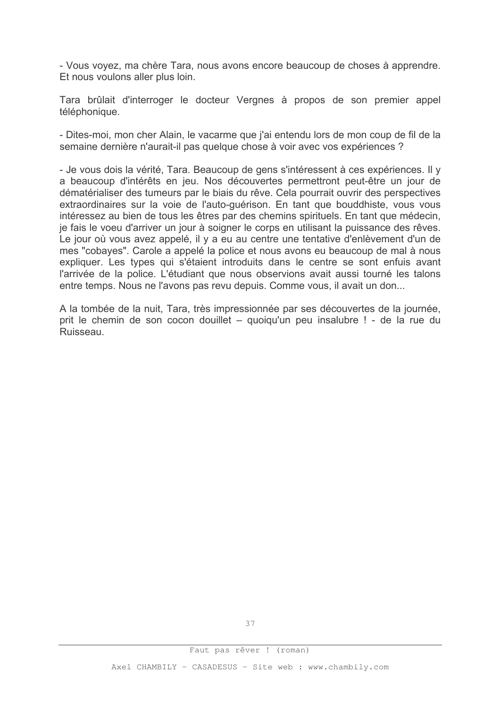- Vous voyez, ma chère Tara, nous avons encore beaucoup de choses à apprendre. Et nous voulons aller plus loin.

Tara brûlait d'interroger le docteur Vergnes à propos de son premier appel téléphonique.

- Dites-moi, mon cher Alain, le vacarme que j'ai entendu lors de mon coup de fil de la semaine dernière n'aurait-il pas quelque chose à voir avec vos expériences ?

- Je vous dois la vérité. Tara. Beaucoup de gens s'intéressent à ces expériences. Il y a beaucoup d'intérêts en jeu. Nos découvertes permettront peut-être un jour de dématérialiser des tumeurs par le biais du rêve. Cela pourrait ouvrir des perspectives extraordinaires sur la voie de l'auto-guérison. En tant que bouddhiste, vous vous intéressez au bien de tous les êtres par des chemins spirituels. En tant que médecin, je fais le voeu d'arriver un jour à soigner le corps en utilisant la puissance des rêves. Le jour où vous avez appelé, il y a eu au centre une tentative d'enlèvement d'un de mes "cobayes". Carole a appelé la police et nous avons eu beaucoup de mal à nous expliquer. Les types qui s'étaient introduits dans le centre se sont enfuis avant l'arrivée de la police. L'étudiant que nous observions avait aussi tourné les talons entre temps. Nous ne l'avons pas revu depuis. Comme vous, il avait un don...

A la tombée de la nuit. Tara, très impressionnée par ses découvertes de la journée, prit le chemin de son cocon douillet – quoiqu'un peu insalubre ! - de la rue du Ruisseau.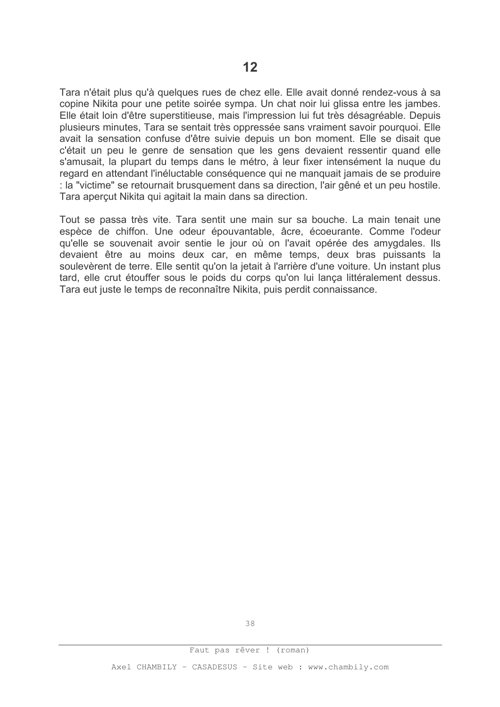Tara n'était plus qu'à quelques rues de chez elle. Elle avait donné rendez-vous à sa copine Nikita pour une petite soirée sympa. Un chat noir lui glissa entre les jambes. Elle était loin d'être superstitieuse, mais l'impression lui fut très désagréable. Depuis plusieurs minutes. Tara se sentait très oppressée sans vraiment savoir pourquoi. Elle avait la sensation confuse d'être suivie depuis un bon moment. Elle se disait que c'était un peu le genre de sensation que les gens devaient ressentir quand elle s'amusait, la plupart du temps dans le métro, à leur fixer intensément la nuque du regard en attendant l'inéluctable conséquence qui ne manquait jamais de se produire : la "victime" se retournait brusquement dans sa direction, l'air gêné et un peu hostile. Tara aperçut Nikita qui agitait la main dans sa direction.

Tout se passa très vite. Tara sentit une main sur sa bouche. La main tenait une espèce de chiffon. Une odeur épouvantable, âcre, écoeurante. Comme l'odeur qu'elle se souvenait avoir sentie le jour où on l'avait opérée des amygdales. Ils devaient être au moins deux car, en même temps, deux bras puissants la soulevèrent de terre. Elle sentit qu'on la jetait à l'arrière d'une voiture. Un instant plus tard, elle crut étouffer sous le poids du corps qu'on lui lança littéralement dessus. Tara eut juste le temps de reconnaître Nikita, puis perdit connaissance.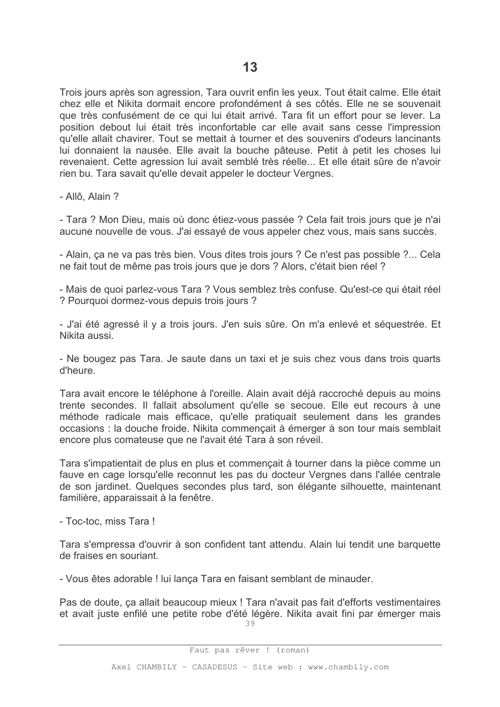Trois jours après son agression, Tara ouvrit enfin les yeux. Tout était calme. Elle était chez elle et Nikita dormait encore profondément à ses côtés. Elle ne se souvenait que très confusément de ce qui lui était arrivé. Tara fit un effort pour se lever. La position debout lui était très inconfortable car elle avait sans cesse l'impression qu'elle allait chavirer. Tout se mettait à tourner et des souvenirs d'odeurs lancinants lui donnaient la nausée. Elle avait la bouche pâteuse. Petit à petit les choses lui revenaient. Cette agression lui avait semblé très réelle... Et elle était sûre de n'avoir rien bu. Tara savait qu'elle devait appeler le docteur Vergnes.

- Allô, Alain?

- Tara ? Mon Dieu, mais où donc étiez-vous passée ? Cela fait trois jours que je n'ai aucune nouvelle de vous. J'ai essayé de vous appeler chez vous, mais sans succès.

- Alain, ça ne va pas très bien. Vous dites trois jours ? Ce n'est pas possible ?... Cela ne fait tout de même pas trois jours que je dors ? Alors, c'était bien réel ?

- Mais de quoi parlez-vous Tara ? Vous semblez très confuse. Qu'est-ce qui était réel ? Pourquoi dormez-vous depuis trois jours ?

- J'ai été agressé il y a trois jours. J'en suis sûre. On m'a enlevé et séquestrée. Et Nikita aussi

- Ne bougez pas Tara. Je saute dans un taxi et je suis chez vous dans trois quarts d'heure.

Tara avait encore le téléphone à l'oreille. Alain avait déjà raccroché depuis au moins trente secondes. Il fallait absolument qu'elle se secoue. Elle eut recours à une méthode radicale mais efficace, qu'elle pratiquait seulement dans les grandes occasions : la douche froide. Nikita commencait à émerger à son tour mais semblait encore plus comateuse que ne l'avait été Tara à son réveil.

Tara s'impatientait de plus en plus et commençait à tourner dans la pièce comme un fauve en cage lorsqu'elle reconnut les pas du docteur Vergnes dans l'allée centrale de son jardinet. Quelques secondes plus tard, son élégante silhouette, maintenant familière, apparaissait à la fenêtre.

- Toc-toc, miss Tara!

Tara s'empressa d'ouvrir à son confident tant attendu. Alain lui tendit une barquette de fraises en souriant.

- Vous êtes adorable ! lui lança Tara en faisant semblant de minauder.

Pas de doute, ca allait beaucoup mieux ! Tara n'avait pas fait d'efforts vestimentaires et avait juste enfilé une petite robe d'été légère. Nikita avait fini par émerger mais 39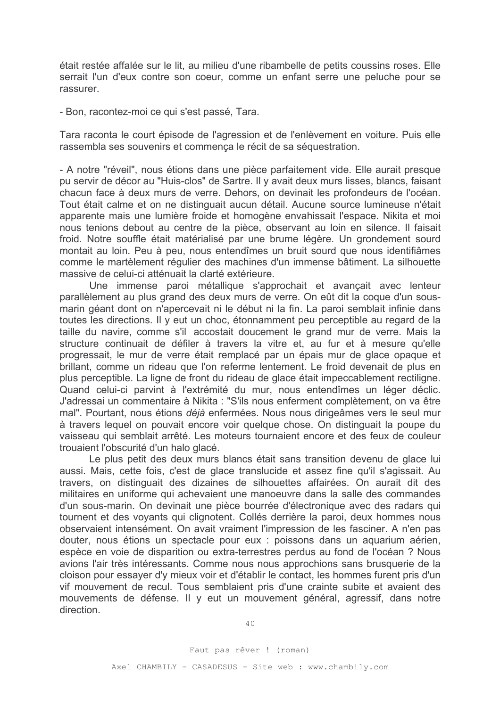était restée affalée sur le lit, au milieu d'une ribambelle de petits coussins roses. Elle serrait l'un d'eux contre son coeur, comme un enfant serre une peluche pour se rassurer.

- Bon, racontez-moi ce qui s'est passé, Tara.

Tara raconta le court épisode de l'agression et de l'enlèvement en voiture. Puis elle rassembla ses souvenirs et commença le récit de sa séquestration.

- A notre "réveil", nous étions dans une pièce parfaitement vide. Elle aurait presque pu servir de décor au "Huis-clos" de Sartre. Il y avait deux murs lisses, blancs, faisant chacun face à deux murs de verre. Dehors, on devinait les profondeurs de l'océan. Tout était calme et on ne distinguait aucun détail. Aucune source lumineuse n'était apparente mais une lumière froide et homogène envahissait l'espace. Nikita et moi nous tenions debout au centre de la pièce, observant au loin en silence. Il faisait froid. Notre souffle était matérialisé par une brume légère. Un grondement sourd montait au loin. Peu à peu, nous entendîmes un bruit sourd que nous identifiâmes comme le martèlement réqulier des machines d'un immense bâtiment. La silhouette massive de celui-ci atténuait la clarté extérieure.

Une immense paroi métallique s'approchait et avancait avec lenteur parallèlement au plus grand des deux murs de verre. On eût dit la coque d'un sousmarin géant dont on n'apercevait ni le début ni la fin. La paroi semblait infinie dans toutes les directions. Il y eut un choc, étonnamment peu perceptible au regard de la taille du navire, comme s'il accostait doucement le grand mur de verre. Mais la structure continuait de défiler à travers la vitre et, au fur et à mesure qu'elle progressait, le mur de verre était remplacé par un épais mur de glace opaque et brillant, comme un rideau que l'on referme lentement. Le froid devenait de plus en plus perceptible. La ligne de front du rideau de glace était impeccablement rectiligne. Quand celui-ci parvint à l'extrémité du mur, nous entendîmes un léger déclic. J'adressai un commentaire à Nikita : "S'ils nous enferment complètement, on va être mal". Pourtant, nous étions *déià* enfermées. Nous nous dirigeâmes vers le seul mur à travers lequel on pouvait encore voir quelque chose. On distinguait la poupe du vaisseau qui semblait arrêté. Les moteurs tournaient encore et des feux de couleur trouaient l'obscurité d'un halo glacé.

Le plus petit des deux murs blancs était sans transition devenu de glace lui aussi. Mais, cette fois, c'est de glace translucide et assez fine qu'il s'agissait. Au travers, on distinguait des dizaines de silhouettes affairées. On aurait dit des militaires en uniforme qui achevaient une manoeuvre dans la salle des commandes d'un sous-marin. On devinait une pièce bourrée d'électronique avec des radars qui tournent et des voyants qui clignotent. Collés derrière la paroi, deux hommes nous observaient intensément. On avait vraiment l'impression de les fasciner. A n'en pas douter, nous étions un spectacle pour eux : poissons dans un aquarium aérien, espèce en voie de disparition ou extra-terrestres perdus au fond de l'océan ? Nous avions l'air très intéressants. Comme nous nous approchions sans brusquerie de la cloison pour essayer d'y mieux voir et d'établir le contact, les hommes furent pris d'un vif mouvement de recul. Tous semblaient pris d'une crainte subite et avaient des mouvements de défense. Il y eut un mouvement général, agressif, dans notre direction.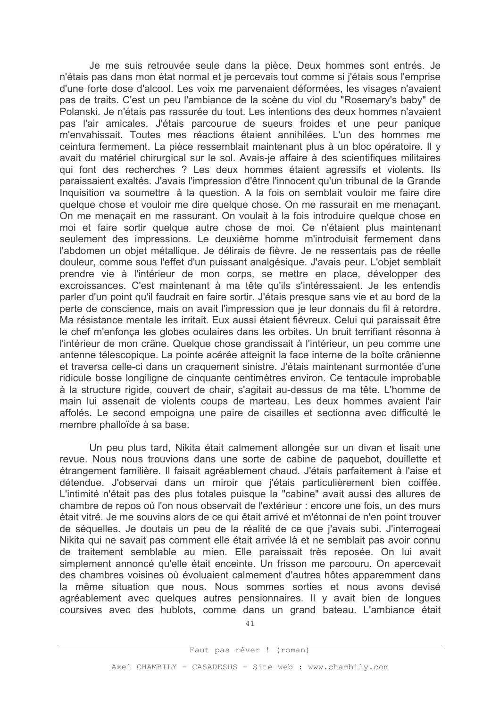Je me suis retrouvée seule dans la pièce. Deux hommes sont entrés. Je n'étais pas dans mon état normal et je percevais tout comme si j'étais sous l'emprise d'une forte dose d'alcool. Les voix me parvenaient déformées, les visages n'avaient pas de traits. C'est un peu l'ambiance de la scène du viol du "Rosemary's baby" de Polanski. Je n'étais pas rassurée du tout. Les intentions des deux hommes n'avaient pas l'air amicales. J'étais parcourue de sueurs froides et une peur panique m'envahissait. Toutes mes réactions étaient annihilées. L'un des hommes me ceintura fermement. La pièce ressemblait maintenant plus à un bloc opératoire. Il y avait du matériel chirurgical sur le sol. Avais-je affaire à des scientifiques militaires qui font des recherches ? Les deux hommes étaient agressifs et violents. Ils paraissaient exaltés. J'avais l'impression d'être l'innocent qu'un tribunal de la Grande Inquisition va soumettre à la question. A la fois on semblait vouloir me faire dire quelque chose et vouloir me dire quelque chose. On me rassurait en me menacant. On me menaçait en me rassurant. On voulait à la fois introduire quelque chose en moi et faire sortir quelque autre chose de moi. Ce n'étaient plus maintenant seulement des impressions. Le deuxième homme m'introduisit fermement dans l'abdomen un objet métallique. Je délirais de fièvre. Je ne ressentais pas de réelle douleur, comme sous l'effet d'un puissant analgésique. J'avais peur. L'objet semblait prendre vie à l'intérieur de mon corps, se mettre en place, développer des excroissances. C'est maintenant à ma tête qu'ils s'intéressaient. Je les entendis parler d'un point qu'il faudrait en faire sortir. J'étais presque sans vie et au bord de la perte de conscience, mais on avait l'impression que je leur donnais du fil à retordre. Ma résistance mentale les irritait. Eux aussi étaient fiévreux. Celui qui paraissait être le chef m'enfonca les globes oculaires dans les orbites. Un bruit terrifiant résonna à l'intérieur de mon crâne. Quelque chose grandissait à l'intérieur, un peu comme une antenne télescopique. La pointe acérée atteignit la face interne de la boîte crânienne et traversa celle-ci dans un craquement sinistre. J'étais maintenant surmontée d'une ridicule bosse longiligne de cinquante centimètres environ. Ce tentacule improbable à la structure rigide, couvert de chair, s'agitait au-dessus de ma tête. L'homme de main lui assenait de violents coups de marteau. Les deux hommes avaient l'air affolés. Le second empoigna une paire de cisailles et sectionna avec difficulté le membre phalloïde à sa base.

Un peu plus tard, Nikita était calmement allongée sur un divan et lisait une revue. Nous nous trouvions dans une sorte de cabine de paquebot, douillette et étrangement familière. Il faisait agréablement chaud. J'étais parfaitement à l'aise et détendue. J'observai dans un miroir que l'étais particulièrement bien coiffée. L'intimité n'était pas des plus totales puisque la "cabine" avait aussi des allures de chambre de repos où l'on nous observait de l'extérieur : encore une fois, un des murs était vitré. Je me souvins alors de ce qui était arrivé et m'étonnai de n'en point trouver de séquelles. Je doutais un peu de la réalité de ce que j'avais subi. J'interrogeai Nikita qui ne savait pas comment elle était arrivée là et ne semblait pas avoir connu de traitement semblable au mien. Elle paraissait très reposée. On lui avait simplement annoncé qu'elle était enceinte. Un frisson me parcouru. On apercevait des chambres voisines où évoluaient calmement d'autres hôtes apparemment dans la même situation que nous. Nous sommes sorties et nous avons devisé agréablement avec quelques autres pensionnaires. Il y avait bien de longues coursives avec des hublots, comme dans un grand bateau. L'ambiance était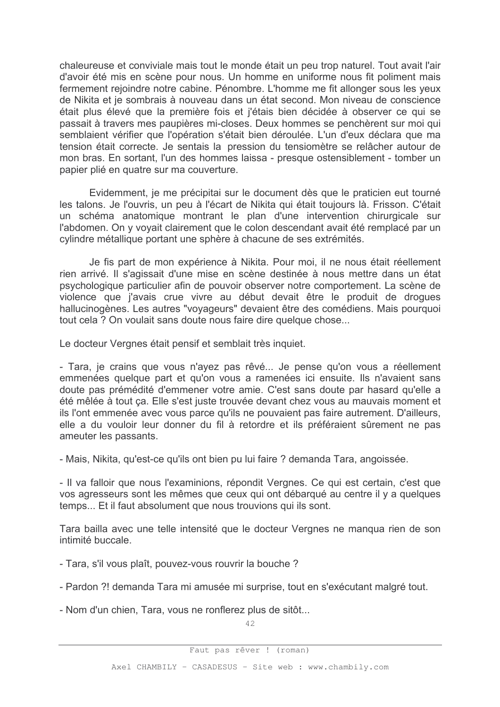chaleureuse et conviviale mais tout le monde était un peu trop naturel. Tout avait l'air d'avoir été mis en scène pour nous. Un homme en uniforme nous fit poliment mais fermement rejoindre notre cabine. Pénombre. L'homme me fit allonger sous les yeux de Nikita et je sombrais à nouveau dans un état second. Mon niveau de conscience était plus élevé que la première fois et j'étais bien décidée à observer ce qui se passait à travers mes paupières mi-closes. Deux hommes se penchèrent sur moi qui semblaient vérifier que l'opération s'était bien déroulée. L'un d'eux déclara que ma tension était correcte. Je sentais la pression du tensiomètre se relâcher autour de mon bras. En sortant, l'un des hommes laissa - presque ostensiblement - tomber un papier plié en quatre sur ma couverture.

Evidemment, je me précipitai sur le document dès que le praticien eut tourné les talons. Je l'ouvris, un peu à l'écart de Nikita qui était toujours là. Frisson. C'était un schéma anatomique montrant le plan d'une intervention chirurgicale sur l'abdomen. On y voyait clairement que le colon descendant avait été remplacé par un cylindre métallique portant une sphère à chacune de ses extrémités.

Je fis part de mon expérience à Nikita. Pour moi, il ne nous était réellement rien arrivé. Il s'agissait d'une mise en scène destinée à nous mettre dans un état psychologique particulier afin de pouvoir observer notre comportement. La scène de violence que j'avais crue vivre au début devait être le produit de drogues hallucinogènes. Les autres "vovageurs" devaient être des comédiens. Mais pourquoi tout cela ? On voulait sans doute nous faire dire quelque chose...

Le docteur Vergnes était pensif et semblait très inquiet.

- Tara, je crains que vous n'avez pas rêvé... Je pense qu'on vous a réellement emmenées quelque part et qu'on vous a ramenées ici ensuite. Ils n'avaient sans doute pas prémédité d'emmener votre amie. C'est sans doute par hasard qu'elle a été mêlée à tout ca. Elle s'est juste trouvée devant chez vous au mauvais moment et ils l'ont emmenée avec vous parce qu'ils ne pouvaient pas faire autrement. D'ailleurs, elle a du vouloir leur donner du fil à retordre et ils préféraient sûrement ne pas ameuter les passants.

- Mais, Nikita, qu'est-ce qu'ils ont bien pu lui faire ? demanda Tara, angoissée.

- Il va falloir que nous l'examinions, répondit Vergnes. Ce qui est certain, c'est que vos agresseurs sont les mêmes que ceux qui ont débarqué au centre il y a quelques temps... Et il faut absolument que nous trouvions qui ils sont.

Tara bailla avec une telle intensité que le docteur Vergnes ne manqua rien de son intimité buccale

- Tara, s'il vous plaît, pouvez-vous rouvrir la bouche ?
- Pardon ?! demanda Tara mi amusée mi surprise, tout en s'exécutant malgré tout.
- Nom d'un chien, Tara, vous ne ronflerez plus de sitôt...

 $42.$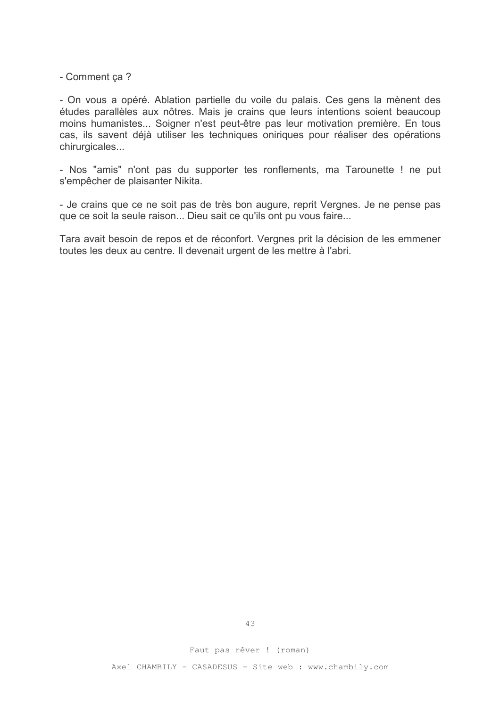- Comment ça ?

- On vous a opéré. Ablation partielle du voile du palais. Ces gens la mènent des études parallèles aux nôtres. Mais je crains que leurs intentions soient beaucoup moins humanistes... Soigner n'est peut-être pas leur motivation première. En tous cas, ils savent déjà utiliser les techniques oniriques pour réaliser des opérations chirurgicales...

- Nos "amis" n'ont pas du supporter tes ronflements, ma Tarounette ! ne put s'empêcher de plaisanter Nikita.

- Je crains que ce ne soit pas de très bon augure, reprit Vergnes. Je ne pense pas que ce soit la seule raison... Dieu sait ce qu'ils ont pu vous faire...

Tara avait besoin de repos et de réconfort. Vergnes prit la décision de les emmener toutes les deux au centre. Il devenait urgent de les mettre à l'abri.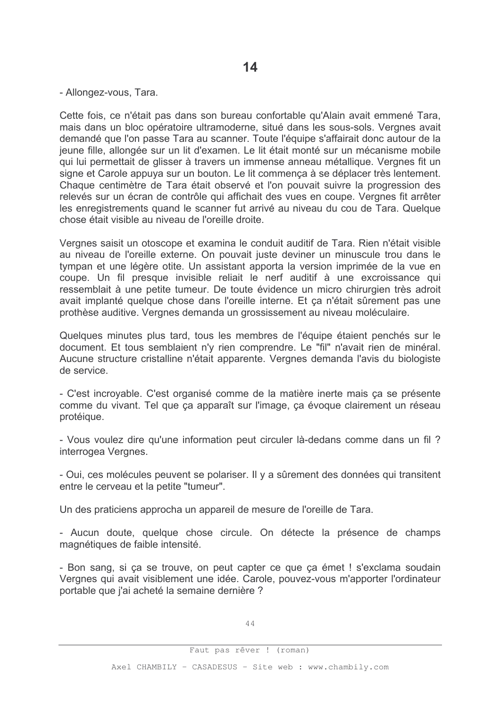- Allongez-vous, Tara.

Cette fois, ce n'était pas dans son bureau confortable qu'Alain avait emmené Tara, mais dans un bloc opératoire ultramoderne, situé dans les sous-sols. Vergnes avait demandé que l'on passe Tara au scanner. Toute l'équipe s'affairait donc autour de la jeune fille, allongée sur un lit d'examen. Le lit était monté sur un mécanisme mobile qui lui permettait de glisser à travers un immense anneau métallique. Vergnes fit un signe et Carole appuya sur un bouton. Le lit commenca à se déplacer très lentement. Chaque centimètre de Tara était observé et l'on pouvait suivre la progression des relevés sur un écran de contrôle qui affichait des vues en coupe. Vergnes fit arrêter les enregistrements quand le scanner fut arrivé au niveau du cou de Tara. Quelque chose était visible au niveau de l'oreille droite.

Vergnes saisit un otoscope et examina le conduit auditif de Tara. Rien n'était visible au niveau de l'oreille externe. On pouvait juste deviner un minuscule trou dans le tympan et une légère otite. Un assistant apporta la version imprimée de la vue en coupe. Un fil presque invisible reliait le nerf auditif à une excroissance qui ressemblait à une petite tumeur. De toute évidence un micro chirurgien très adroit avait implanté quelque chose dans l'oreille interne. Et ca n'était sûrement pas une prothèse auditive. Vergnes demanda un grossissement au niveau moléculaire.

Quelques minutes plus tard, tous les membres de l'équipe étaient penchés sur le document. Et tous semblaient n'y rien comprendre. Le "fil" n'avait rien de minéral. Aucune structure cristalline n'était apparente. Vergnes demanda l'avis du biologiste de service.

- C'est incrovable. C'est organisé comme de la matière inerte mais ca se présente comme du vivant. Tel que ça apparaît sur l'image, ça évoque clairement un réseau protéique.

- Vous voulez dire qu'une information peut circuler là-dedans comme dans un fil? interrogea Vergnes.

- Oui, ces molécules peuvent se polariser. Il y a sûrement des données qui transitent entre le cerveau et la petite "tumeur".

Un des praticiens approcha un appareil de mesure de l'oreille de Tara.

- Aucun doute, quelque chose circule. On détecte la présence de champs magnétiques de faible intensité.

- Bon sang, si ca se trouve, on peut capter ce que ca émet ! s'exclama soudain Vergnes qui avait visiblement une idée. Carole, pouvez-vous m'apporter l'ordinateur portable que j'ai acheté la semaine dernière ?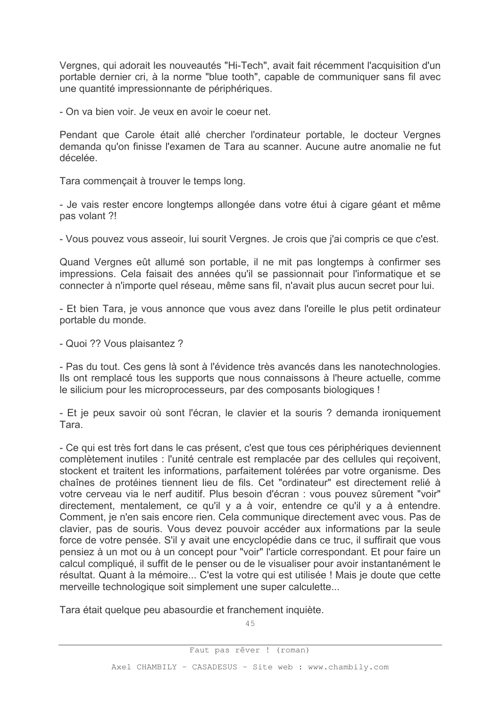Vergnes, qui adorait les nouveautés "Hi-Tech", avait fait récemment l'acquisition d'un portable dernier cri, à la norme "blue tooth", capable de communiquer sans fil avec une quantité impressionnante de périphériques.

- On va bien voir, Je veux en avoir le coeur net.

Pendant que Carole était allé chercher l'ordinateur portable, le docteur Vergnes demanda qu'on finisse l'examen de Tara au scanner. Aucune autre anomalie ne fut décelée.

Tara commencait à trouver le temps long.

- Je vais rester encore longtemps allongée dans votre étui à cigare géant et même pas volant ?!

- Vous pouvez vous asseoir, lui sourit Vergnes. Je crois que j'ai compris ce que c'est.

Quand Vergnes eût allumé son portable, il ne mit pas longtemps à confirmer ses impressions. Cela faisait des années qu'il se passionnait pour l'informatique et se connecter à n'importe quel réseau, même sans fil, n'avait plus aucun secret pour lui.

- Et bien Tara, je vous annonce que vous avez dans l'oreille le plus petit ordinateur portable du monde.

- Quoi ?? Vous plaisantez ?

- Pas du tout. Ces gens là sont à l'évidence très avancés dans les nanotechnologies. Ils ont remplacé tous les supports que nous connaissons à l'heure actuelle, comme le silicium pour les microprocesseurs, par des composants biologiques !

- Et je peux savoir où sont l'écran, le clavier et la souris ? demanda ironiquement Tara

- Ce qui est très fort dans le cas présent, c'est que tous ces périphériques deviennent complètement inutiles : l'unité centrale est remplacée par des cellules qui recoivent. stockent et traitent les informations, parfaitement tolérées par votre organisme. Des chaînes de protéines tiennent lieu de fils. Cet "ordinateur" est directement relié à votre cerveau via le nerf auditif. Plus besoin d'écran : vous pouvez sûrement "voir" directement, mentalement, ce qu'il y a à voir, entendre ce qu'il y a à entendre. Comment, je n'en sais encore rien. Cela communique directement avec vous. Pas de clavier, pas de souris. Vous devez pouvoir accéder aux informations par la seule force de votre pensée. S'il y avait une encyclopédie dans ce truc, il suffirait que vous pensiez à un mot ou à un concept pour "voir" l'article correspondant. Et pour faire un calcul compliqué, il suffit de le penser ou de le visualiser pour avoir instantanément le résultat. Quant à la mémoire... C'est la votre qui est utilisée ! Mais je doute que cette merveille technologique soit simplement une super calculette...

Tara était quelque peu abasourdie et franchement inquiète.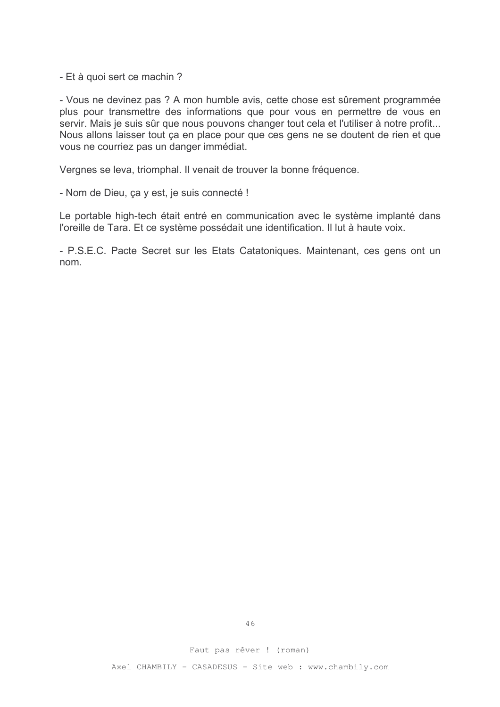- Et à quoi sert ce machin ?

- Vous ne devinez pas ? A mon humble avis, cette chose est sûrement programmée plus pour transmettre des informations que pour vous en permettre de vous en servir. Mais je suis sûr que nous pouvons changer tout cela et l'utiliser à notre profit... Nous allons laisser tout ca en place pour que ces gens ne se doutent de rien et que vous ne courriez pas un danger immédiat.

Vergnes se leva, triomphal. Il venait de trouver la bonne fréquence.

- Nom de Dieu, ça y est, je suis connecté !

Le portable high-tech était entré en communication avec le système implanté dans l'oreille de Tara. Et ce système possédait une identification. Il lut à haute voix.

- P.S.E.C. Pacte Secret sur les Etats Catatoniques. Maintenant, ces gens ont un nom.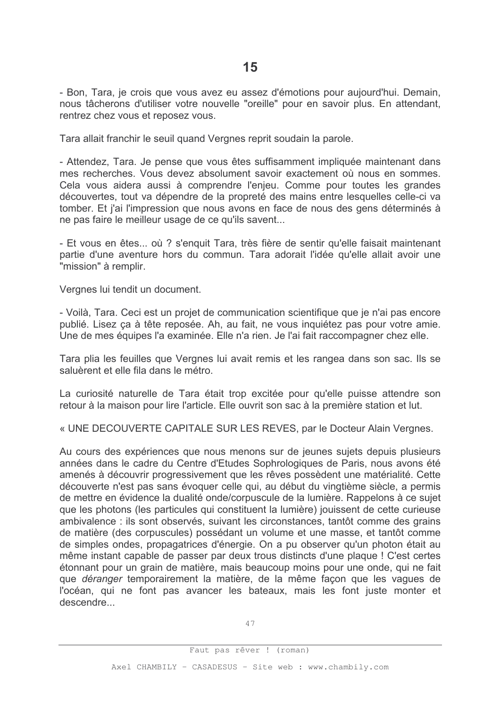- Bon, Tara, je crois que vous avez eu assez d'émotions pour aujourd'hui. Demain, nous tâcherons d'utiliser votre nouvelle "oreille" pour en savoir plus. En attendant, rentrez chez vous et reposez vous.

Tara allait franchir le seuil quand Vergnes reprit soudain la parole.

- Attendez. Tara. Je pense que vous êtes suffisamment impliquée maintenant dans mes recherches. Vous devez absolument savoir exactement où nous en sommes. Cela vous aidera aussi à comprendre l'enjeu. Comme pour toutes les grandes découvertes, tout va dépendre de la propreté des mains entre lesquelles celle-ci va tomber. Et j'ai l'impression que nous avons en face de nous des gens déterminés à ne pas faire le meilleur usage de ce qu'ils savent...

- Et vous en êtes... où ? s'enquit Tara, très fière de sentir qu'elle faisait maintenant partie d'une aventure hors du commun. Tara adorait l'idée qu'elle allait avoir une "mission" à remplir.

Vergnes lui tendit un document.

- Voilà. Tara. Ceci est un projet de communication scientifique que je n'ai pas encore publié. Lisez ça à tête reposée. Ah, au fait, ne vous inquiétez pas pour votre amie. Une de mes équipes l'a examinée. Elle n'a rien. Je l'ai fait raccompagner chez elle.

Tara plia les feuilles que Vergnes lui avait remis et les rangea dans son sac. Ils se saluèrent et elle fila dans le métro.

La curiosité naturelle de Tara était trop excitée pour qu'elle puisse attendre son retour à la maison pour lire l'article. Elle ouvrit son sac à la première station et lut.

« UNE DECOUVERTE CAPITALE SUR LES REVES, par le Docteur Alain Vergnes.

Au cours des expériences que nous menons sur de jeunes sujets depuis plusieurs années dans le cadre du Centre d'Etudes Sophrologiques de Paris, nous avons été amenés à découvrir progressivement que les rêves possèdent une matérialité. Cette découverte n'est pas sans évoquer celle qui, au début du vingtième siècle, a permis de mettre en évidence la dualité onde/corpuscule de la lumière. Rappelons à ce sujet que les photons (les particules qui constituent la lumière) jouissent de cette curieuse ambivalence : ils sont observés, suivant les circonstances, tantôt comme des grains de matière (des corpuscules) possédant un volume et une masse, et tantôt comme de simples ondes, propagatrices d'énergie. On a pu observer qu'un photon était au même instant capable de passer par deux trous distincts d'une plaque ! C'est certes étonnant pour un grain de matière, mais beaucoup moins pour une onde, qui ne fait que déranger temporairement la matière, de la même façon que les vagues de l'océan, qui ne font pas avancer les bateaux, mais les font juste monter et descendre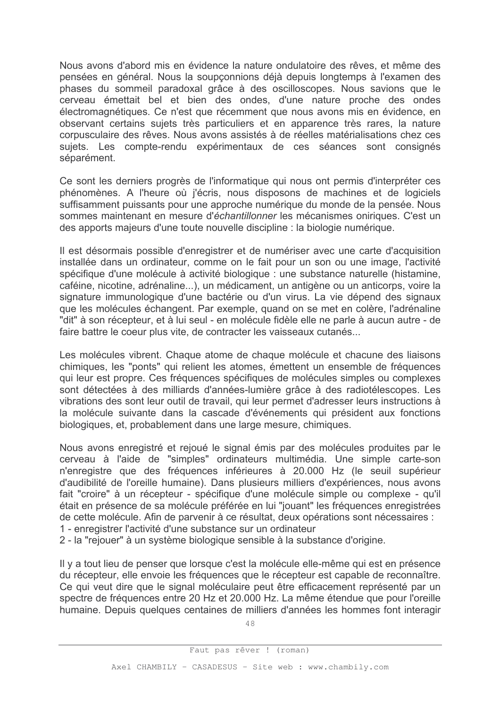Nous avons d'abord mis en évidence la nature ondulatoire des rêves, et même des pensées en général. Nous la soupconnions déjà depuis longtemps à l'examen des phases du sommeil paradoxal grâce à des oscilloscopes. Nous savions que le cerveau émettait bel et bien des ondes, d'une nature proche des ondes électromagnétiques. Ce n'est que récemment que nous avons mis en évidence, en observant certains sujets très particuliers et en apparence très rares, la nature corpusculaire des rêves. Nous avons assistés à de réelles matérialisations chez ces sujets. Les compte-rendu expérimentaux de ces séances sont consignés séparément.

Ce sont les derniers progrès de l'informatique qui nous ont permis d'interpréter ces phénomènes. A l'heure où j'écris, nous disposons de machines et de logiciels suffisamment puissants pour une approche numérique du monde de la pensée. Nous sommes maintenant en mesure d'échantillonner les mécanismes oniriques. C'est un des apports majeurs d'une toute nouvelle discipline : la biologie numérique.

Il est désormais possible d'enregistrer et de numériser avec une carte d'acquisition installée dans un ordinateur, comme on le fait pour un son ou une image, l'activité spécifique d'une molécule à activité biologique : une substance naturelle (histamine, caféine, nicotine, adrénaline...), un médicament, un antigène ou un anticorps, voire la signature immunologique d'une bactérie ou d'un virus. La vie dépend des signaux que les molécules échangent. Par exemple, quand on se met en colère, l'adrénaline "dit" à son récepteur, et à lui seul - en molécule fidèle elle ne parle à aucun autre - de faire battre le coeur plus vite, de contracter les vaisseaux cutanés...

Les molécules vibrent. Chaque atome de chaque molécule et chacune des liaisons chimiques, les "ponts" qui relient les atomes, émettent un ensemble de fréquences qui leur est propre. Ces fréquences spécifiques de molécules simples ou complexes sont détectées à des milliards d'années-lumière grâce à des radiotélescopes. Les vibrations des sont leur outil de travail, qui leur permet d'adresser leurs instructions à la molécule suivante dans la cascade d'événements qui président aux fonctions biologiques, et, probablement dans une large mesure, chimiques.

Nous avons enregistré et rejoué le signal émis par des molécules produites par le cerveau à l'aide de "simples" ordinateurs multimédia. Une simple carte-son n'enregistre que des fréquences inférieures à 20.000 Hz (le seuil supérieur d'audibilité de l'oreille humaine). Dans plusieurs milliers d'expériences, nous avons fait "croire" à un récepteur - spécifique d'une molécule simple ou complexe - qu'il était en présence de sa molécule préférée en lui "jouant" les fréquences enregistrées de cette molécule. Afin de parvenir à ce résultat, deux opérations sont nécessaires :

- 1 enregistrer l'activité d'une substance sur un ordinateur
- 2 la "rejouer" à un système biologique sensible à la substance d'origine.

Il y a tout lieu de penser que lorsque c'est la molécule elle-même qui est en présence du récepteur, elle envoie les fréquences que le récepteur est capable de reconnaître. Ce qui veut dire que le signal moléculaire peut être efficacement représenté par un spectre de fréquences entre 20 Hz et 20.000 Hz. La même étendue que pour l'oreille humaine. Depuis quelques centaines de milliers d'années les hommes font interagir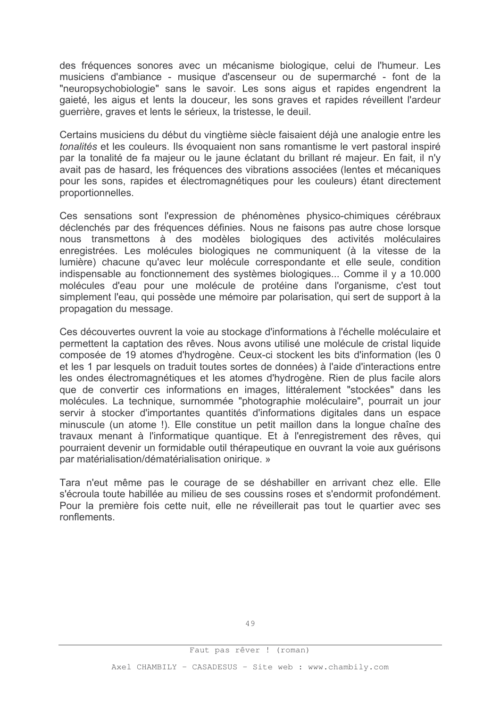des fréquences sonores avec un mécanisme biologique, celui de l'humeur. Les musiciens d'ambiance - musique d'ascenseur ou de supermarché - font de la "neuropsychobiologie" sans le savoir. Les sons aigus et rapides engendrent la gaieté, les aigus et lents la douceur, les sons graves et rapides réveillent l'ardeur guerrière, graves et lents le sérieux, la tristesse, le deuil.

Certains musiciens du début du vingtième siècle faisaient déjà une analogie entre les tonalités et les couleurs. Ils évoquaient non sans romantisme le vert pastoral inspiré par la tonalité de fa majeur ou le jaune éclatant du brillant ré majeur. En fait, il n'y avait pas de hasard, les fréquences des vibrations associées (lentes et mécaniques pour les sons, rapides et électromagnétiques pour les couleurs) étant directement proportionnelles.

Ces sensations sont l'expression de phénomènes physico-chimiques cérébraux déclenchés par des fréquences définies. Nous ne faisons pas autre chose lorsque nous transmettons à des modèles biologiques des activités moléculaires enregistrées. Les molécules biologiques ne communiquent (à la vitesse de la lumière) chacune qu'avec leur molécule correspondante et elle seule, condition indispensable au fonctionnement des systèmes biologiques... Comme il y a 10.000 molécules d'eau pour une molécule de protéine dans l'organisme, c'est tout simplement l'eau, qui possède une mémoire par polarisation, qui sert de support à la propagation du message.

Ces découvertes ouvrent la voie au stockage d'informations à l'échelle moléculaire et permettent la captation des rêves. Nous avons utilisé une molécule de cristal liquide composée de 19 atomes d'hydrogène. Ceux-ci stockent les bits d'information (les 0 et les 1 par lesquels on traduit toutes sortes de données) à l'aide d'interactions entre les ondes électromagnétiques et les atomes d'hydrogène. Rien de plus facile alors que de convertir ces informations en images, littéralement "stockées" dans les molécules. La technique, surnommée "photographie moléculaire", pourrait un jour servir à stocker d'importantes quantités d'informations digitales dans un espace minuscule (un atome !). Elle constitue un petit maillon dans la longue chaîne des travaux menant à l'informatique quantique. Et à l'enregistrement des rêves, qui pourraient devenir un formidable outil thérapeutique en ouvrant la voie aux quérisons par matérialisation/dématérialisation onirique. »

Tara n'eut même pas le courage de se déshabiller en arrivant chez elle. Elle s'écroula toute habillée au milieu de ses coussins roses et s'endormit profondément. Pour la première fois cette nuit, elle ne réveillerait pas tout le quartier avec ses ronflements.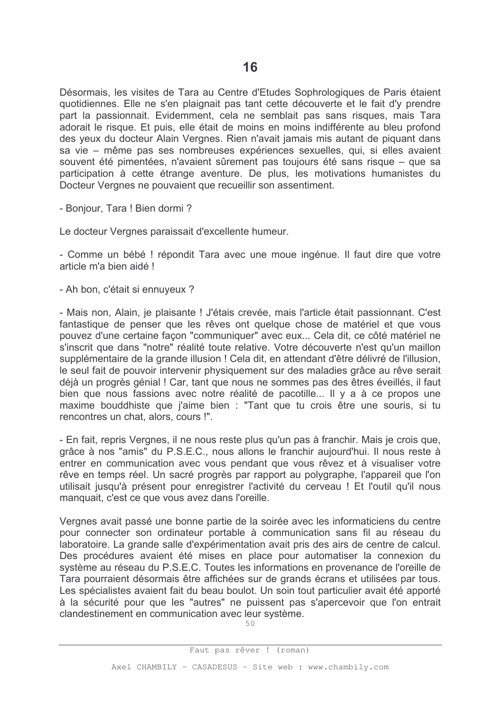Désormais, les visites de Tara au Centre d'Etudes Sophrologiques de Paris étaient quotidiennes. Elle ne s'en plaignait pas tant cette découverte et le fait d'y prendre part la passionnait. Evidemment, cela ne semblait pas sans risques, mais Tara adorait le risque. Et puis, elle était de moins en moins indifférente au bleu profond des veux du docteur Alain Vergnes. Rien n'avait jamais mis autant de piquant dans sa vie – même pas ses nombreuses expériences sexuelles, qui, si elles avaient souvent été pimentées, n'avaient sûrement pas toujours été sans risque – que sa participation à cette étrange aventure. De plus, les motivations humanistes du Docteur Vergnes ne pouvaient que recueillir son assentiment.

- Bonjour, Tara ! Bien dormi?

Le docteur Vergnes paraissait d'excellente humeur.

- Comme un bébé ! répondit Tara avec une moue ingénue. Il faut dire que votre article m'a bien aidé !

- Ah bon, c'était si ennuyeux ?

- Mais non, Alain, je plaisante ! J'étais crevée, mais l'article était passionnant. C'est fantastique de penser que les rêves ont quelque chose de matériel et que vous pouvez d'une certaine façon "communiquer" avec eux... Cela dit, ce côté matériel ne s'inscrit que dans "notre" réalité toute relative. Votre découverte n'est qu'un maillon supplémentaire de la grande illusion ! Cela dit, en attendant d'être délivré de l'illusion, le seul fait de pouvoir intervenir physiquement sur des maladies grâce au rêve serait déià un progrès génial ! Car, tant que nous ne sommes pas des êtres éveillés, il faut bien que nous fassions avec notre réalité de pacotille... Il y a à ce propos une maxime bouddhiste que j'aime bien : "Tant que tu crois être une souris, si tu rencontres un chat, alors, cours !".

- En fait, repris Vergnes, il ne nous reste plus gu'un pas à franchir. Mais je crois que, grâce à nos "amis" du P.S.E.C., nous allons le franchir aujourd'hui. Il nous reste à entrer en communication avec vous pendant que vous rêvez et à visualiser votre rêve en temps réel. Un sacré progrès par rapport au polygraphe, l'appareil que l'on utilisait jusqu'à présent pour enregistrer l'activité du cerveau ! Et l'outil qu'il nous manquait, c'est ce que vous avez dans l'oreille.

Vergnes avait passé une bonne partie de la soirée avec les informaticiens du centre pour connecter son ordinateur portable à communication sans fil au réseau du laboratoire. La grande salle d'expérimentation avait pris des airs de centre de calcul. Des procédures avaient été mises en place pour automatiser la connexion du système au réseau du P.S.E.C. Toutes les informations en provenance de l'oreille de Tara pourraient désormais être affichées sur de grands écrans et utilisées par tous. Les spécialistes avaient fait du beau boulot. Un soin tout particulier avait été apporté à la sécurité pour que les "autres" ne puissent pas s'apercevoir que l'on entrait clandestinement en communication avec leur système.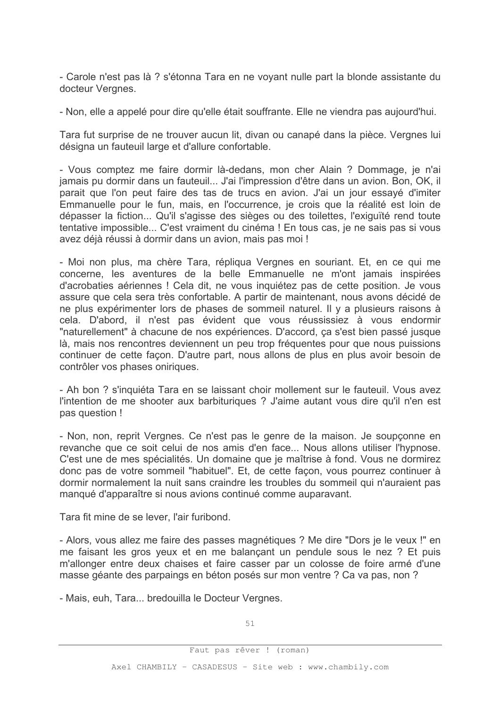- Carole n'est pas là ? s'étonna Tara en ne voyant nulle part la blonde assistante du docteur Vergnes.

- Non, elle a appelé pour dire qu'elle était souffrante. Elle ne viendra pas aujourd'hui.

Tara fut surprise de ne trouver aucun lit, divan ou canapé dans la pièce. Vergnes lui désigna un fauteuil large et d'allure confortable.

- Vous comptez me faire dormir là-dedans, mon cher Alain ? Dommage, je n'ai jamais pu dormir dans un fauteuil... J'ai l'impression d'être dans un avion. Bon. OK. il parait que l'on peut faire des tas de trucs en avion. J'ai un jour essayé d'imiter Emmanuelle pour le fun, mais, en l'occurrence, je crois que la réalité est loin de dépasser la fiction... Qu'il s'agisse des sièges ou des toilettes, l'exiguïté rend toute tentative impossible... C'est vraiment du cinéma ! En tous cas, je ne sais pas si vous avez déjà réussi à dormir dans un avion, mais pas moi !

- Moi non plus, ma chère Tara, répliqua Vergnes en souriant. Et, en ce qui me concerne, les aventures de la belle Emmanuelle ne m'ont jamais inspirées d'acrobaties aériennes ! Cela dit, ne vous inquiétez pas de cette position. Je vous assure que cela sera très confortable. A partir de maintenant, nous avons décidé de ne plus expérimenter lors de phases de sommeil naturel. Il y a plusieurs raisons à cela. D'abord, il n'est pas évident que vous réussissiez à vous endormir "naturellement" à chacune de nos expériences. D'accord, ça s'est bien passé jusque là, mais nos rencontres deviennent un peu trop fréquentes pour que nous puissions continuer de cette facon. D'autre part, nous allons de plus en plus avoir besoin de contrôler vos phases oniriques.

- Ah bon ? s'inquiéta Tara en se laissant choir mollement sur le fauteuil. Vous avez l'intention de me shooter aux barbituriques ? J'aime autant vous dire qu'il n'en est pas question !

- Non, non, reprit Vergnes. Ce n'est pas le genre de la maison. Je soupconne en revanche que ce soit celui de nos amis d'en face... Nous allons utiliser l'hypnose. C'est une de mes spécialités. Un domaine que je maîtrise à fond. Vous ne dormirez donc pas de votre sommeil "habituel". Et, de cette façon, vous pourrez continuer à dormir normalement la nuit sans craindre les troubles du sommeil qui n'auraient pas manqué d'apparaître si nous avions continué comme auparavant.

Tara fit mine de se lever, l'air furibond.

- Alors, vous allez me faire des passes magnétiques ? Me dire "Dors je le veux !" en me faisant les gros yeux et en me balançant un pendule sous le nez ? Et puis m'allonger entre deux chaises et faire casser par un colosse de foire armé d'une masse géante des parpaings en béton posés sur mon ventre ? Ca va pas, non ?

- Mais, euh, Tara... bredouilla le Docteur Vergnes.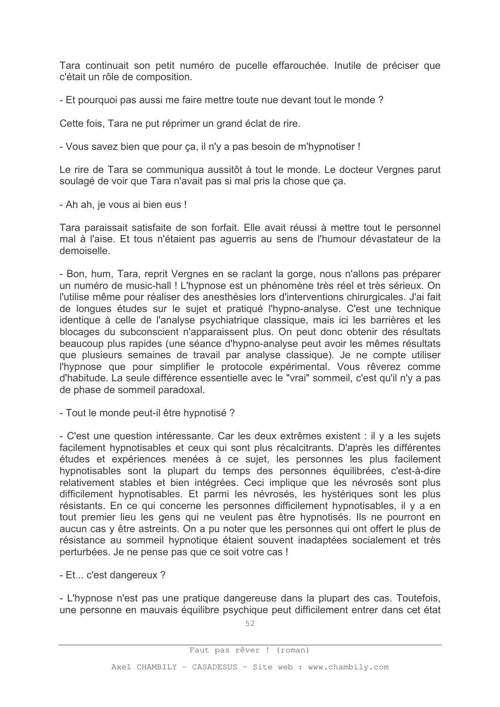Tara continuait son petit numéro de pucelle effarouchée. Inutile de préciser que c'était un rôle de composition.

- Et pourquoi pas aussi me faire mettre toute nue devant tout le monde?

Cette fois, Tara ne put réprimer un grand éclat de rire.

- Vous savez bien que pour ca. il n'y a pas besoin de m'hypnotiser !

Le rire de Tara se communiqua aussitôt à tout le monde. Le docteur Vergnes parut soulagé de voir que Tara n'avait pas si mal pris la chose que ca.

- Ah ah, je vous ai bien eus !

Tara paraissait satisfaite de son forfait. Elle avait réussi à mettre tout le personnel mal à l'aise. Et tous n'étaient pas aguerris au sens de l'humour dévastateur de la demoiselle

- Bon, hum, Tara, reprit Vergnes en se raclant la gorge, nous n'allons pas préparer un numéro de music-hall! L'hypnose est un phénomène très réel et très sérieux. On l'utilise même pour réaliser des anesthésies lors d'interventions chirurgicales. J'ai fait de longues études sur le sujet et pratiqué l'hypno-analyse. C'est une technique identique à celle de l'analyse psychiatrique classique, mais ici les barrières et les blocages du subconscient n'apparaissent plus. On peut donc obtenir des résultats beaucoup plus rapides (une séance d'hypno-analyse peut avoir les mêmes résultats que plusieurs semaines de travail par analyse classique). Je ne compte utiliser l'hypnose que pour simplifier le protocole expérimental. Vous rêverez comme d'habitude. La seule différence essentielle avec le "vrai" sommeil, c'est qu'il n'y a pas de phase de sommeil paradoxal.

- Tout le monde peut-il être hypnotisé ?

- C'est une question intéressante. Car les deux extrêmes existent : il y a les sujets facilement hypnotisables et ceux qui sont plus récalcitrants. D'après les différentes études et expériences menées à ce sujet, les personnes les plus facilement hypnotisables sont la plupart du temps des personnes équilibrées, c'est-à-dire relativement stables et bien intégrées. Ceci implique que les névrosés sont plus difficilement hypnotisables. Et parmi les névrosés, les hystériques sont les plus résistants. En ce qui concerne les personnes difficilement hypnotisables, il y a en tout premier lieu les gens qui ne veulent pas être hypnotisés. Ils ne pourront en aucun cas y être astreints. On a pu noter que les personnes qui ont offert le plus de résistance au sommeil hypnotique étaient souvent inadaptées socialement et très perturbées. Je ne pense pas que ce soit votre cas !

- Et... c'est dangereux ?

- L'hypnose n'est pas une pratique dangereuse dans la plupart des cas. Toutefois, une personne en mauvais équilibre psychique peut difficilement entrer dans cet état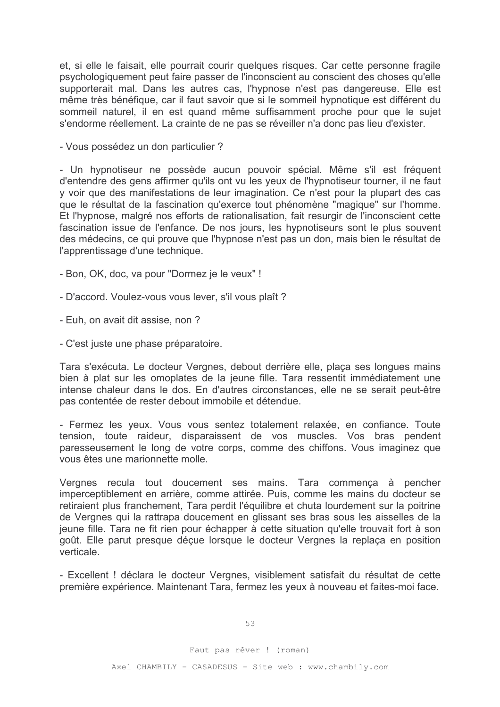et, si elle le faisait, elle pourrait courir quelques risques. Car cette personne fragile psychologiquement peut faire passer de l'inconscient au conscient des choses qu'elle supporterait mal. Dans les autres cas, l'hypnose n'est pas dangereuse. Elle est même très bénéfique, car il faut savoir que si le sommeil hypnotique est différent du sommeil naturel, il en est quand même suffisamment proche pour que le sujet s'endorme réellement. La crainte de ne pas se réveiller n'a donc pas lieu d'exister.

- Vous possédez un don particulier?

- Un hypnotiseur ne possède aucun pouvoir spécial. Même s'il est fréquent d'entendre des gens affirmer qu'ils ont vu les veux de l'hypnotiseur tourner, il ne faut y voir que des manifestations de leur imagination. Ce n'est pour la plupart des cas que le résultat de la fascination qu'exerce tout phénomène "magique" sur l'homme. Et l'hypnose, malgré nos efforts de rationalisation, fait resurgir de l'inconscient cette fascination issue de l'enfance. De nos jours, les hypnotiseurs sont le plus souvent des médecins, ce qui prouve que l'hypnose n'est pas un don, mais bien le résultat de l'apprentissage d'une technique.

- Bon, OK, doc, va pour "Dormez je le veux" !
- D'accord. Voulez-vous vous lever, s'il vous plaît?
- Euh, on avait dit assise, non?
- C'est juste une phase préparatoire.

Tara s'exécuta. Le docteur Vergnes, debout derrière elle, placa ses longues mains bien à plat sur les omoplates de la jeune fille. Tara ressentit immédiatement une intense chaleur dans le dos. En d'autres circonstances, elle ne se serait peut-être pas contentée de rester debout immobile et détendue.

- Fermez les yeux. Vous vous sentez totalement relaxée, en confiance. Toute tension, toute raideur, disparaissent de vos muscles. Vos bras pendent paresseusement le long de votre corps, comme des chiffons. Vous imaginez que vous êtes une marionnette molle.

Vergnes recula tout doucement ses mains. Tara commenca à pencher imperceptiblement en arrière, comme attirée. Puis, comme les mains du docteur se retiraient plus franchement, Tara perdit l'équilibre et chuta lourdement sur la poitrine de Vergnes qui la rattrapa doucement en glissant ses bras sous les aisselles de la jeune fille. Tara ne fit rien pour échapper à cette situation qu'elle trouvait fort à son goût. Elle parut presque déçue lorsque le docteur Vergnes la replaça en position verticale

- Excellent ! déclara le docteur Vergnes, visiblement satisfait du résultat de cette première expérience. Maintenant Tara, fermez les yeux à nouveau et faites-moi face.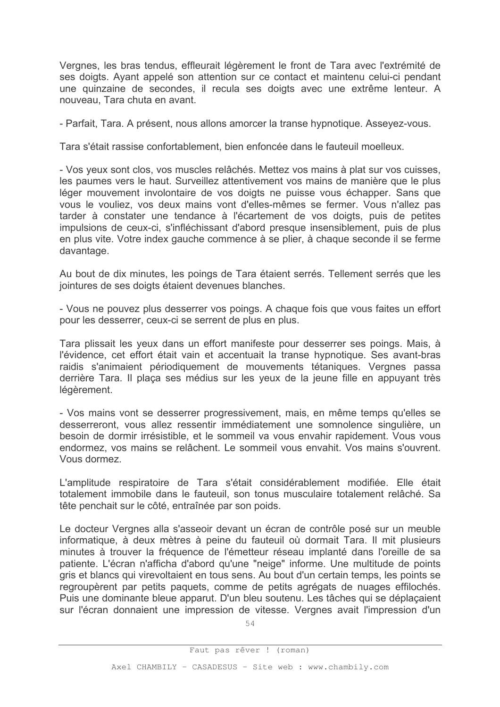Vergnes, les bras tendus, effleurait légèrement le front de Tara avec l'extrémité de ses doigts. Ayant appelé son attention sur ce contact et maintenu celui-ci pendant une quinzaine de secondes, il recula ses doigts avec une extrême lenteur. A nouveau. Tara chuta en avant.

- Parfait, Tara. A présent, nous allons amorcer la transe hypnotique. Asseyez-vous.

Tara s'était rassise confortablement, bien enfoncée dans le fauteuil moelleux.

- Vos yeux sont clos, vos muscles relâchés. Mettez vos mains à plat sur vos cuisses, les paymes vers le haut. Surveillez attentivement vos mains de manière que le plus léger mouvement involontaire de vos doigts ne puisse vous échapper. Sans que vous le vouliez, vos deux mains vont d'elles-mêmes se fermer. Vous n'allez pas tarder à constater une tendance à l'écartement de vos doigts, puis de petites impulsions de ceux-ci, s'infléchissant d'abord presque insensiblement, puis de plus en plus vite. Votre index gauche commence à se plier, à chaque seconde il se ferme davantage.

Au bout de dix minutes, les poings de Tara étaient serrés. Tellement serrés que les jointures de ses doigts étaient devenues blanches.

- Vous ne pouvez plus desserrer vos poings. A chaque fois que vous faites un effort pour les desserrer, ceux-ci se serrent de plus en plus.

Tara plissait les yeux dans un effort manifeste pour desserrer ses poings. Mais, à l'évidence, cet effort était vain et accentuait la transe hypnotique. Ses avant-bras raidis s'animaient périodiquement de mouvements tétaniques. Vergnes passa derrière Tara. Il plaça ses médius sur les yeux de la jeune fille en appuyant très légèrement.

- Vos mains vont se desserrer progressivement, mais, en même temps qu'elles se desserreront, vous allez ressentir immédiatement une somnolence singulière, un besoin de dormir irrésistible, et le sommeil va vous envahir rapidement. Vous vous endormez, vos mains se relâchent. Le sommeil vous envahit. Vos mains s'ouvrent. Vous dormez.

L'amplitude respiratoire de Tara s'était considérablement modifiée. Elle était totalement immobile dans le fauteuil, son tonus musculaire totalement relâché. Sa tête penchait sur le côté, entraînée par son poids.

Le docteur Vergnes alla s'asseoir devant un écran de contrôle posé sur un meuble informatique, à deux mètres à peine du fauteuil où dormait Tara. Il mit plusieurs minutes à trouver la fréquence de l'émetteur réseau implanté dans l'oreille de sa patiente. L'écran n'afficha d'abord qu'une "neige" informe. Une multitude de points gris et blancs qui virevoltaient en tous sens. Au bout d'un certain temps, les points se regroupèrent par petits paquets, comme de petits agrégats de nuages effilochés. Puis une dominante bleue apparut. D'un bleu soutenu. Les tâches qui se déplacaient sur l'écran donnaient une impression de vitesse. Vergnes avait l'impression d'un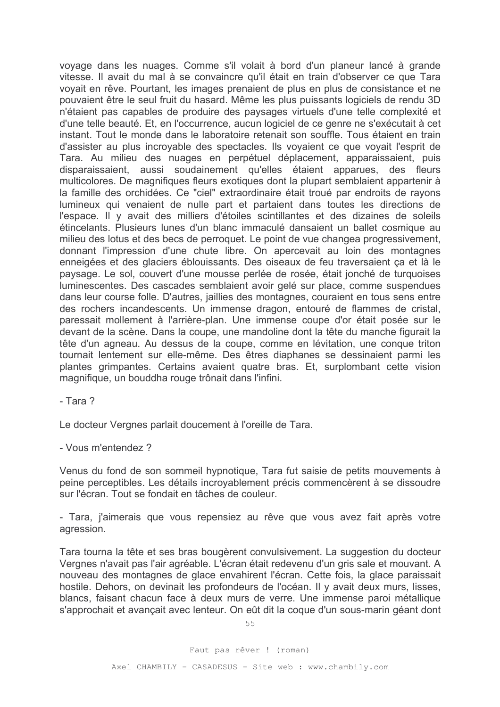voyage dans les nuages. Comme s'il volait à bord d'un planeur lancé à grande vitesse. Il avait du mal à se convaincre qu'il était en train d'observer ce que Tara voyait en rêve. Pourtant, les images prenaient de plus en plus de consistance et ne pouvaient être le seul fruit du hasard. Même les plus puissants logiciels de rendu 3D n'étaient pas capables de produire des paysages virtuels d'une telle complexité et d'une telle beauté. Et, en l'occurrence, aucun logiciel de ce genre ne s'exécutait à cet instant. Tout le monde dans le laboratoire retenait son souffle. Tous étaient en train d'assister au plus incroyable des spectacles. Ils voyaient ce que voyait l'esprit de Tara. Au milieu des nuages en perpétuel déplacement, apparaissaient, puis disparaissaient, aussi soudainement qu'elles étaient apparues, des fleurs multicolores. De magnifiques fleurs exotiques dont la plupart semblaient appartenir à la famille des orchidées. Ce "ciel" extraordinaire était troué par endroits de rayons lumineux qui venaient de nulle part et partaient dans toutes les directions de l'espace. Il y avait des milliers d'étoiles scintillantes et des dizaines de soleils étincelants. Plusieurs lunes d'un blanc immaculé dansaient un ballet cosmique au milieu des lotus et des becs de perroquet. Le point de vue changea progressivement, donnant l'impression d'une chute libre. On apercevait au loin des montagnes enneigées et des glaciers éblouissants. Des oiseaux de feu traversaient ca et là le paysage. Le sol, couvert d'une mousse perlée de rosée, était jonché de turquoises luminescentes. Des cascades semblaient avoir gelé sur place, comme suspendues dans leur course folle. D'autres, jaillies des montagnes, couraient en tous sens entre des rochers incandescents. Un immense dragon, entouré de flammes de cristal, paressait mollement à l'arrière-plan. Une immense coupe d'or était posée sur le devant de la scène. Dans la coupe, une mandoline dont la tête du manche figurait la tête d'un agneau. Au dessus de la coupe, comme en lévitation, une conque triton tournait lentement sur elle-même. Des êtres diaphanes se dessinaient parmi les plantes grimpantes. Certains avaient quatre bras. Et, surplombant cette vision magnifique, un bouddha rouge trônait dans l'infini.

- Tara ?

Le docteur Vergnes parlait doucement à l'oreille de Tara.

- Vous m'entendez ?

Venus du fond de son sommeil hypnotique, Tara fut saisie de petits mouvements à peine perceptibles. Les détails incrovablement précis commencèrent à se dissoudre sur l'écran. Tout se fondait en tâches de couleur.

- Tara, j'aimerais que vous repensiez au rêve que vous avez fait après votre agression.

Tara tourna la tête et ses bras bougèrent convulsivement. La suggestion du docteur Vergnes n'avait pas l'air agréable. L'écran était redevenu d'un gris sale et mouvant. A nouveau des montagnes de glace envahirent l'écran. Cette fois, la glace paraissait hostile. Dehors, on devinait les profondeurs de l'océan. Il y avait deux murs, lisses. blancs, faisant chacun face à deux murs de verre. Une immense paroi métallique s'approchait et avançait avec lenteur. On eût dit la coque d'un sous-marin géant dont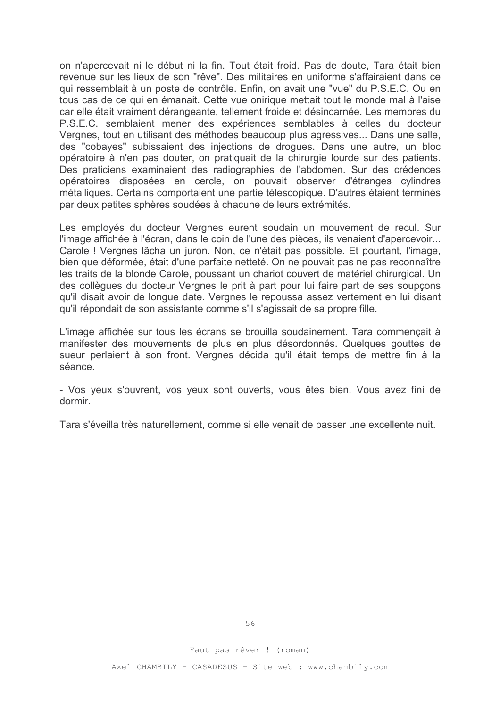on n'apercevait ni le début ni la fin. Tout était froid. Pas de doute, Tara était bien revenue sur les lieux de son "rêve". Des militaires en uniforme s'affairaient dans ce qui ressemblait à un poste de contrôle. Enfin, on avait une "vue" du P.S.E.C. Ou en tous cas de ce qui en émanait. Cette vue onirique mettait tout le monde mal à l'aise car elle était vraiment dérangeante, tellement froide et désincarnée. Les membres du P.S.E.C. semblaient mener des expériences semblables à celles du docteur Vergnes, tout en utilisant des méthodes beaucoup plus agressives... Dans une salle, des "cobayes" subissaient des injections de drogues. Dans une autre, un bloc opératoire à n'en pas douter, on pratiquait de la chirurgie lourde sur des patients. Des praticiens examinaient des radiographies de l'abdomen. Sur des crédences opératoires disposées en cercle, on pouvait observer d'étranges cylindres métalliques. Certains comportaient une partie télescopique. D'autres étaient terminés par deux petites sphères soudées à chacune de leurs extrémités.

Les employés du docteur Vergnes eurent soudain un mouvement de recul. Sur l'image affichée à l'écran, dans le coin de l'une des pièces, ils venaient d'apercevoir... Carole ! Vergnes lâcha un juron. Non, ce n'était pas possible. Et pourtant, l'image, bien que déformée, était d'une parfaite netteté. On ne pouvait pas ne pas reconnaître les traits de la blonde Carole, poussant un chariot couvert de matériel chirurgical. Un des collègues du docteur Vergnes le prit à part pour lui faire part de ses soupçons qu'il disait avoir de longue date. Vergnes le repoussa assez vertement en lui disant qu'il répondait de son assistante comme s'il s'agissait de sa propre fille.

L'image affichée sur tous les écrans se brouilla soudainement. Tara commençait à manifester des mouvements de plus en plus désordonnés. Quelques gouttes de sueur perlaient à son front. Vergnes décida qu'il était temps de mettre fin à la séance

- Vos yeux s'ouvrent, vos yeux sont ouverts, vous êtes bien. Vous avez fini de dormir

Tara s'éveilla très naturellement, comme si elle venait de passer une excellente nuit.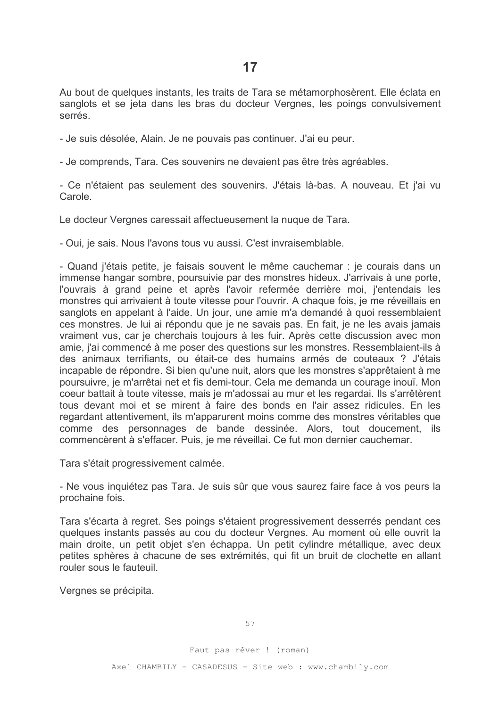Au bout de quelques instants, les traits de Tara se métamorphosèrent. Elle éclata en sanglots et se jeta dans les bras du docteur Vergnes, les poings convulsivement serrés.

- Je suis désolée, Alain. Je ne pouvais pas continuer. J'ai eu peur.

- Je comprends, Tara. Ces souvenirs ne devaient pas être très agréables.

- Ce n'étaient pas seulement des souvenirs. J'étais là-bas. A nouveau. Et j'ai vu Carole.

Le docteur Vergnes caressait affectueusement la nuque de Tara.

- Oui, je sais. Nous l'avons tous vu aussi. C'est invraisemblable.

- Quand j'étais petite, je faisais souvent le même cauchemar : je courais dans un immense hangar sombre, poursuivie par des monstres hideux. J'arrivais à une porte, l'ouvrais à grand peine et après l'avoir refermée derrière moi, j'entendais les monstres qui arrivaient à toute vitesse pour l'ouvrir. A chaque fois, je me réveillais en sanglots en appelant à l'aide. Un jour, une amie m'a demandé à quoi ressemblaient ces monstres. Je lui ai répondu que je ne savais pas. En fait, je ne les avais jamais vraiment vus, car je cherchais toujours à les fuir. Après cette discussion avec mon amie, j'ai commencé à me poser des questions sur les monstres. Ressemblaient-ils à des animaux terrifiants, ou était-ce des humains armés de couteaux ? J'étais incapable de répondre. Si bien qu'une nuit, alors que les monstres s'apprêtaient à me poursuivre, je m'arrêtai net et fis demi-tour. Cela me demanda un courage inouï. Mon coeur battait à toute vitesse, mais je m'adossai au mur et les regardai. Ils s'arrêtèrent tous devant moi et se mirent à faire des bonds en l'air assez ridicules. En les regardant attentivement, ils m'apparurent moins comme des monstres véritables que comme des personnages de bande dessinée. Alors, tout doucement, ils commencèrent à s'effacer. Puis, je me réveillai. Ce fut mon dernier cauchemar.

Tara s'était progressivement calmée.

- Ne vous inquiétez pas Tara. Je suis sûr que vous saurez faire face à vos peurs la prochaine fois.

Tara s'écarta à regret. Ses poings s'étaient progressivement desserrés pendant ces quelques instants passés au cou du docteur Vergnes. Au moment où elle ouvrit la main droite, un petit objet s'en échappa. Un petit cylindre métallique, avec deux petites sphères à chacune de ses extrémités, qui fit un bruit de clochette en allant rouler sous le fauteuil

Vergnes se précipita.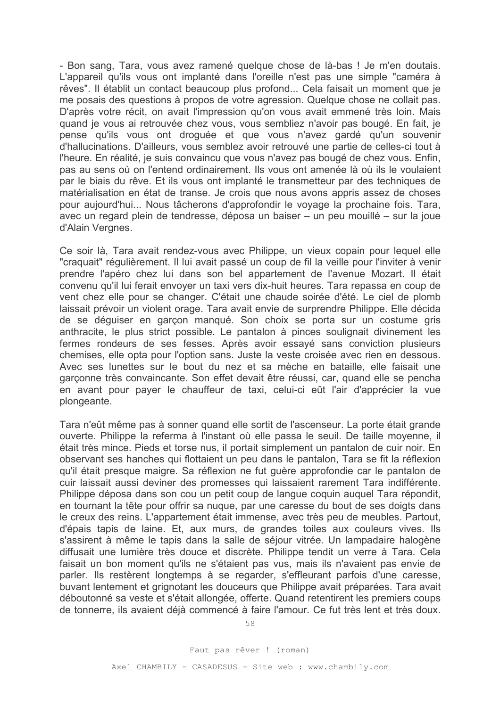- Bon sang, Tara, vous avez ramené quelque chose de là-bas ! Je m'en doutais. L'appareil qu'ils vous ont implanté dans l'oreille n'est pas une simple "caméra à rêves". Il établit un contact beaucoup plus profond... Cela faisait un moment que je me posais des questions à propos de votre agression. Quelque chose ne collait pas. D'après votre récit, on avait l'impression qu'on vous avait emmené très loin. Mais quand je vous ai retrouvée chez vous, vous sembliez n'avoir pas bougé. En fait, je pense qu'ils vous ont droquée et que vous n'avez gardé qu'un souvenir d'hallucinations. D'ailleurs, vous semblez avoir retrouvé une partie de celles-ci tout à l'heure. En réalité, je suis convaincu que vous n'avez pas bougé de chez vous. Enfin, pas au sens où on l'entend ordinairement. Ils vous ont amenée là où ils le voulaient par le biais du rêve. Et ils vous ont implanté le transmetteur par des techniques de matérialisation en état de transe. Je crois que nous avons appris assez de choses pour aujourd'hui... Nous tâcherons d'approfondir le voyage la prochaine fois. Tara, avec un regard plein de tendresse, déposa un baiser - un peu mouillé - sur la joue d'Alain Vergnes.

Ce soir là, Tara avait rendez-vous avec Philippe, un vieux copain pour lequel elle "craquait" réqulièrement. Il lui avait passé un coup de fil la veille pour l'inviter à venir prendre l'apéro chez lui dans son bel appartement de l'avenue Mozart. Il était convenu qu'il lui ferait envoyer un taxi vers dix-huit heures. Tara repassa en coup de vent chez elle pour se changer. C'était une chaude soirée d'été. Le ciel de plomb laissait prévoir un violent orage. Tara avait envie de surprendre Philippe. Elle décida de se déquiser en garçon manqué. Son choix se porta sur un costume gris anthracite, le plus strict possible. Le pantalon à pinces soulignait divinement les fermes rondeurs de ses fesses. Après avoir essayé sans conviction plusieurs chemises, elle opta pour l'option sans. Juste la veste croisée avec rien en dessous. Avec ses lunettes sur le bout du nez et sa mèche en bataille, elle faisait une garçonne très convaincante. Son effet devait être réussi, car, quand elle se pencha en avant pour payer le chauffeur de taxi, celui-ci eût l'air d'apprécier la vue plongeante.

Tara n'eût même pas à sonner quand elle sortit de l'ascenseur. La porte était grande ouverte. Philippe la referma à l'instant où elle passa le seuil. De taille moyenne, il était très mince. Pieds et torse nus, il portait simplement un pantalon de cuir noir. En observant ses hanches qui flottaient un peu dans le pantalon. Tara se fit la réflexion qu'il était presque maigre. Sa réflexion ne fut guère approfondie car le pantalon de cuir laissait aussi deviner des promesses qui laissaient rarement Tara indifférente. Philippe déposa dans son cou un petit coup de langue coquin auguel Tara répondit. en tournant la tête pour offrir sa nuque, par une caresse du bout de ses doigts dans le creux des reins. L'appartement était immense, avec très peu de meubles. Partout, d'épais tapis de laine. Et, aux murs, de grandes toiles aux couleurs vives. Ils s'assirent à même le tapis dans la salle de séjour vitrée. Un lampadaire halogène diffusait une lumière très douce et discrète. Philippe tendit un verre à Tara. Cela faisait un bon moment qu'ils ne s'étaient pas vus, mais ils n'avaient pas envie de parler. Ils restèrent longtemps à se regarder, s'effleurant parfois d'une caresse, buvant lentement et grignotant les douceurs que Philippe avait préparées. Tara avait déboutonné sa veste et s'était allongée, offerte. Quand retentirent les premiers coups de tonnerre, ils avaient déjà commencé à faire l'amour. Ce fut très lent et très doux.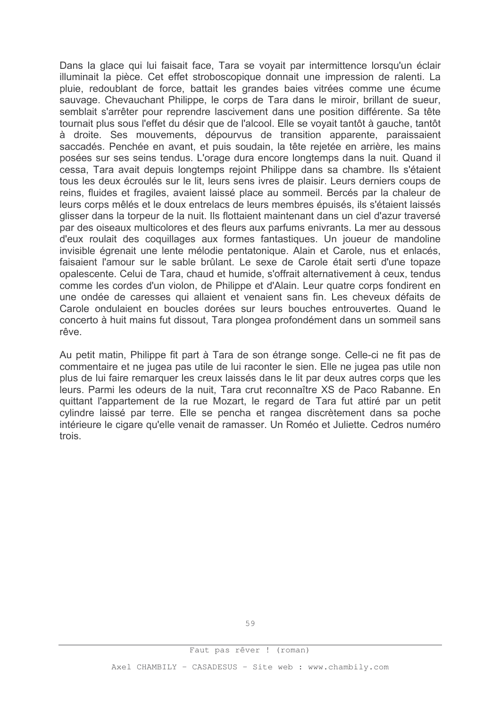Dans la glace qui lui faisait face, Tara se voyait par intermittence lorsqu'un éclair illuminait la pièce. Cet effet stroboscopique donnait une impression de ralenti. La pluie, redoublant de force, battait les grandes baies vitrées comme une écume sauvage. Chevauchant Philippe, le corps de Tara dans le miroir, brillant de sueur, semblait s'arrêter pour reprendre lascivement dans une position différente. Sa tête tournait plus sous l'effet du désir que de l'alcool. Elle se voyait tantôt à gauche, tantôt à droite. Ses mouvements, dépourvus de transition apparente, paraissaient saccadés. Penchée en avant, et puis soudain, la tête rejetée en arrière, les mains posées sur ses seins tendus. L'orage dura encore longtemps dans la nuit. Quand il cessa, Tara avait depuis longtemps rejoint Philippe dans sa chambre. Ils s'étaient tous les deux écroulés sur le lit, leurs sens ivres de plaisir. Leurs derniers coups de reins, fluides et fragiles, avaient laissé place au sommeil. Bercés par la chaleur de leurs corps mêlés et le doux entrelacs de leurs membres épuisés, ils s'étaient laissés glisser dans la torpeur de la nuit. Ils flottaient maintenant dans un ciel d'azur traversé par des oiseaux multicolores et des fleurs aux parfums enivrants. La mer au dessous d'eux roulait des coquillages aux formes fantastiques. Un joueur de mandoline invisible égrenait une lente mélodie pentatonique. Alain et Carole, nus et enlacés, faisaient l'amour sur le sable brûlant. Le sexe de Carole était serti d'une topaze opalescente. Celui de Tara, chaud et humide, s'offrait alternativement à ceux, tendus comme les cordes d'un violon, de Philippe et d'Alain. Leur quatre corps fondirent en une ondée de caresses qui allaient et venaient sans fin. Les cheveux défaits de Carole ondulaient en boucles dorées sur leurs bouches entrouvertes. Quand le concerto à huit mains fut dissout. Tara plongea profondément dans un sommeil sans rêve.

Au petit matin, Philippe fit part à Tara de son étrange songe. Celle-ci ne fit pas de commentaire et ne jugea pas utile de lui raconter le sien. Elle ne jugea pas utile non plus de lui faire remarquer les creux laissés dans le lit par deux autres corps que les leurs. Parmi les odeurs de la nuit, Tara crut reconnaître XS de Paco Rabanne. En quittant l'appartement de la rue Mozart, le regard de Tara fut attiré par un petit cvlindre laissé par terre. Elle se pencha et rangea discrètement dans sa poche intérieure le cigare qu'elle venait de ramasser. Un Roméo et Juliette. Cedros numéro trois.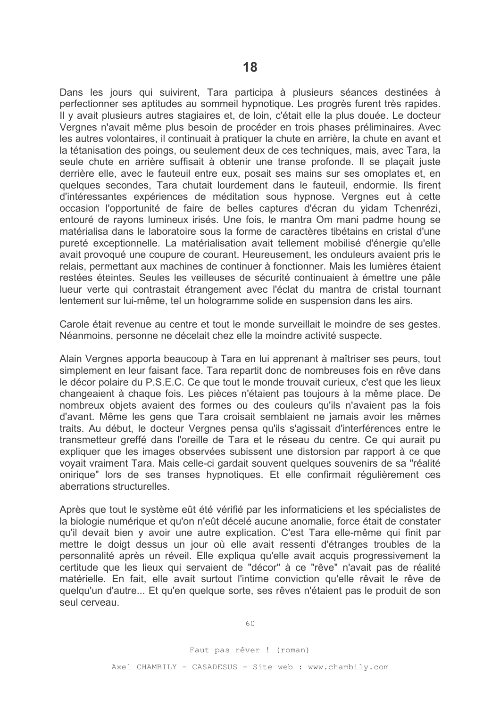Dans les jours qui suivirent, Tara participa à plusieurs séances destinées à perfectionner ses aptitudes au sommeil hypnotique. Les progrès furent très rapides. Il y avait plusieurs autres stagiaires et, de loin, c'était elle la plus douée. Le docteur Vergnes n'avait même plus besoin de procéder en trois phases préliminaires. Avec les autres volontaires, il continuait à pratiquer la chute en arrière, la chute en avant et la tétanisation des poings, ou seulement deux de ces techniques, mais, avec Tara, la seule chute en arrière suffisait à obtenir une transe profonde. Il se placait juste derrière elle, avec le fauteuil entre eux, posait ses mains sur ses omoplates et, en quelques secondes, Tara chutait lourdement dans le fauteuil, endormie. Ils firent d'intéressantes expériences de méditation sous hypnose. Vergnes eut à cette occasion l'opportunité de faire de belles captures d'écran du vidam Tchenrézi, entouré de rayons lumineux irisés. Une fois, le mantra Om mani padme houng se matérialisa dans le laboratoire sous la forme de caractères tibétains en cristal d'une pureté exceptionnelle. La matérialisation avait tellement mobilisé d'énergie qu'elle avait provoqué une coupure de courant. Heureusement, les onduleurs avaient pris le relais, permettant aux machines de continuer à fonctionner. Mais les lumières étaient restées éteintes. Seules les veilleuses de sécurité continuaient à émettre une pâle lueur verte qui contrastait étrangement avec l'éclat du mantra de cristal tournant lentement sur lui-même, tel un hologramme solide en suspension dans les airs.

Carole était revenue au centre et tout le monde surveillait le moindre de ses gestes. Néanmoins, personne ne décelait chez elle la moindre activité suspecte.

Alain Vergnes apporta beaucoup à Tara en lui apprenant à maîtriser ses peurs, tout simplement en leur faisant face. Tara repartit donc de nombreuses fois en rêve dans le décor polaire du P.S.E.C. Ce que tout le monde trouvait curieux, c'est que les lieux changeaient à chaque fois. Les pièces n'étaient pas toujours à la même place. De nombreux objets avaient des formes ou des couleurs qu'ils n'avaient pas la fois d'avant. Même les gens que Tara croisait semblaient ne jamais avoir les mêmes traits. Au début, le docteur Vergnes pensa qu'ils s'agissait d'interférences entre le transmetteur greffé dans l'oreille de Tara et le réseau du centre. Ce qui aurait pu expliquer que les images observées subissent une distorsion par rapport à ce que voyait vraiment Tara. Mais celle-ci gardait souvent quelques souvenirs de sa "réalité" onirique" lors de ses transes hypnotiques. Et elle confirmait régulièrement ces aberrations structurelles

Après que tout le système eût été vérifié par les informaticiens et les spécialistes de la biologie numérique et qu'on n'eût décelé aucune anomalie, force était de constater qu'il devait bien y avoir une autre explication. C'est Tara elle-même qui finit par mettre le doigt dessus un jour où elle avait ressenti d'étranges troubles de la personnalité après un réveil. Elle expliqua qu'elle avait acquis progressivement la certitude que les lieux qui servaient de "décor" à ce "rêve" n'avait pas de réalité matérielle. En fait, elle avait surtout l'intime conviction qu'elle rêvait le rêve de quelqu'un d'autre... Et qu'en quelque sorte, ses rêves n'étaient pas le produit de son seul cerveau.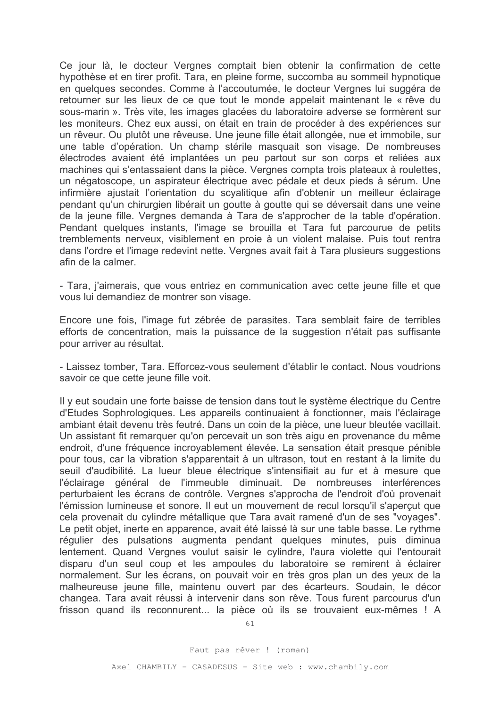Ce jour là, le docteur Vergnes comptait bien obtenir la confirmation de cette hypothèse et en tirer profit. Tara, en pleine forme, succomba au sommeil hypnotique en quelques secondes. Comme à l'accoutumée, le docteur Vergnes lui suggéra de retourner sur les lieux de ce que tout le monde appelait maintenant le « rêve du sous-marin ». Très vite, les images glacées du laboratoire adverse se formèrent sur les moniteurs. Chez eux aussi, on était en train de procéder à des expériences sur un rêveur. Ou plutôt une rêveuse. Une jeune fille était allongée, nue et immobile, sur une table d'opération. Un champ stérile masquait son visage. De nombreuses électrodes avaient été implantées un peu partout sur son corps et reliées aux machines qui s'entassaient dans la pièce. Vergnes compta trois plateaux à roulettes, un négatoscope, un aspirateur électrique avec pédale et deux pieds à sérum. Une infirmière ajustait l'orientation du scyalitique afin d'obtenir un meilleur éclairage pendant qu'un chirurgien libérait un goutte à goutte qui se déversait dans une veine de la jeune fille. Vergnes demanda à Tara de s'approcher de la table d'opération. Pendant quelques instants, l'image se brouilla et Tara fut parcourue de petits tremblements nerveux, visiblement en proie à un violent malaise. Puis tout rentra dans l'ordre et l'image redevint nette. Vergnes avait fait à Tara plusieurs suggestions afin de la calmer.

- Tara, j'aimerais, que vous entriez en communication avec cette jeune fille et que vous lui demandiez de montrer son visage.

Encore une fois, l'image fut zébrée de parasites. Tara semblait faire de terribles efforts de concentration, mais la puissance de la suggestion n'était pas suffisante pour arriver au résultat.

- Laissez tomber. Tara. Efforcez-vous seulement d'établir le contact. Nous voudrions savoir ce que cette jeune fille voit.

Il y eut soudain une forte baisse de tension dans tout le système électrique du Centre d'Etudes Sophrologiques. Les appareils continuaient à fonctionner, mais l'éclairage ambiant était devenu très feutré. Dans un coin de la pièce, une lueur bleutée vacillait. Un assistant fit remarquer qu'on percevait un son très aigu en provenance du même endroit, d'une fréquence incroyablement élevée. La sensation était presque pénible pour tous, car la vibration s'apparentait à un ultrason, tout en restant à la limite du seuil d'audibilité. La lueur bleue électrique s'intensifiait au fur et à mesure que l'éclairage général de l'immeuble diminuait. De nombreuses interférences perturbaient les écrans de contrôle. Vergnes s'approcha de l'endroit d'où provenait l'émission lumineuse et sonore. Il eut un mouvement de recul lorsqu'il s'aperçut que cela provenait du cylindre métallique que Tara avait ramené d'un de ses "voyages". Le petit objet, inerte en apparence, avait été laissé là sur une table basse. Le rythme réqulier des pulsations augmenta pendant quelques minutes, puis diminua lentement. Quand Vergnes voulut saisir le cylindre, l'aura violette qui l'entourait disparu d'un seul coup et les ampoules du laboratoire se remirent à éclairer normalement. Sur les écrans, on pouvait voir en très gros plan un des yeux de la malheureuse jeune fille, maintenu ouvert par des écarteurs. Soudain, le décor changea. Tara avait réussi à intervenir dans son rêve. Tous furent parcourus d'un frisson quand ils reconnurent... la pièce où ils se trouvaient eux-mêmes ! A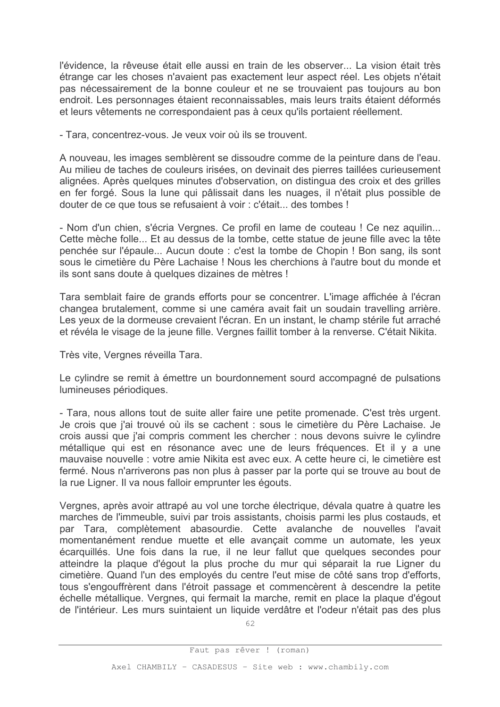l'évidence, la rêveuse était elle aussi en train de les observer... La vision était très étrange car les choses n'avaient pas exactement leur aspect réel. Les objets n'était pas nécessairement de la bonne couleur et ne se trouvaient pas toujours au bon endroit. Les personnages étaient reconnaissables, mais leurs traits étaient déformés et leurs vêtements ne correspondaient pas à ceux qu'ils portaient réellement.

- Tara, concentrez-vous. Je veux voir où ils se trouvent.

A nouveau, les images semblèrent se dissoudre comme de la peinture dans de l'eau. Au milieu de taches de couleurs irisées, on devinait des pierres taillées curieusement alignées. Après quelques minutes d'observation, on distingua des croix et des grilles en fer forgé. Sous la lune qui pâlissait dans les nuages, il n'était plus possible de douter de ce que tous se refusaient à voir : c'était... des tombes !

- Nom d'un chien, s'écria Vergnes. Ce profil en lame de couteau ! Ce nez aquilin... Cette mèche folle... Et au dessus de la tombe, cette statue de jeune fille avec la tête penchée sur l'épaule... Aucun doute : c'est la tombe de Chopin ! Bon sang, ils sont sous le cimetière du Père Lachaise ! Nous les cherchions à l'autre bout du monde et ils sont sans doute à quelques dizaines de mètres !

Tara semblait faire de grands efforts pour se concentrer. L'image affichée à l'écran changea brutalement, comme si une caméra avait fait un soudain travelling arrière. Les yeux de la dormeuse crevaient l'écran. En un instant, le champ stérile fut arraché et révéla le visage de la jeune fille. Vergnes faillit tomber à la renverse. C'était Nikita.

Très vite, Vergnes réveilla Tara.

Le cylindre se remit à émettre un bourdonnement sourd accompagné de pulsations lumineuses périodiques.

- Tara, nous allons tout de suite aller faire une petite promenade. C'est très urgent. Je crois que j'ai trouvé où ils se cachent : sous le cimetière du Père Lachaise. Je crois aussi que j'ai compris comment les chercher : nous devons suivre le cylindre métallique qui est en résonance avec une de leurs fréquences. Et il y a une mauvaise nouvelle : votre amie Nikita est avec eux. A cette heure ci, le cimetière est fermé. Nous n'arriverons pas non plus à passer par la porte qui se trouve au bout de la rue Ligner. Il va nous falloir emprunter les égouts.

Vergnes, après avoir attrapé au vol une torche électrique, dévala quatre à quatre les marches de l'immeuble, suivi par trois assistants, choisis parmi les plus costauds, et par Tara, complètement abasourdie. Cette avalanche de nouvelles l'avait momentanément rendue muette et elle avancait comme un automate, les yeux écarquillés. Une fois dans la rue, il ne leur fallut que quelques secondes pour atteindre la plaque d'égout la plus proche du mur qui séparait la rue Ligner du cimetière. Quand l'un des employés du centre l'eut mise de côté sans trop d'efforts, tous s'engouffrèrent dans l'étroit passage et commencèrent à descendre la petite échelle métallique. Vergnes, qui fermait la marche, remit en place la plaque d'égout de l'intérieur. Les murs suintaient un liquide verdâtre et l'odeur n'était pas des plus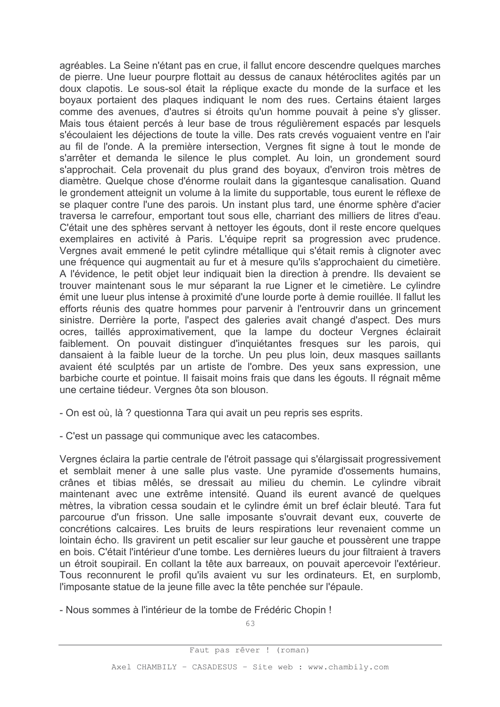agréables. La Seine n'étant pas en crue, il fallut encore descendre quelques marches de pierre. Une lueur pourpre flottait au dessus de canaux hétéroclites agités par un doux clapotis. Le sous-sol était la réplique exacte du monde de la surface et les boyaux portaient des plaques indiquant le nom des rues. Certains étaient larges comme des avenues, d'autres si étroits qu'un homme pouvait à peine s'y glisser. Mais tous étaient percés à leur base de trous régulièrement espacés par lesquels s'écoulaient les déjections de toute la ville. Des rats crevés voquaient ventre en l'air au fil de l'onde. A la première intersection, Vergnes fit signe à tout le monde de s'arrêter et demanda le silence le plus complet. Au loin, un grondement sourd s'approchait. Cela provenait du plus grand des boyaux, d'environ trois mètres de diamètre. Quelque chose d'énorme roulait dans la gigantesque canalisation. Quand le grondement atteignit un volume à la limite du supportable, tous eurent le réflexe de se plaquer contre l'une des parois. Un instant plus tard, une énorme sphère d'acier traversa le carrefour, emportant tout sous elle, charriant des milliers de litres d'eau. C'était une des sphères servant à nettover les égouts, dont il reste encore quelques exemplaires en activité à Paris. L'équipe reprit sa progression avec prudence. Vergnes avait emmené le petit cylindre métallique qui s'était remis à clignoter avec une fréquence qui augmentait au fur et à mesure qu'ils s'approchaient du cimetière. A l'évidence, le petit objet leur indiquait bien la direction à prendre. Ils devaient se trouver maintenant sous le mur séparant la rue Ligner et le cimetière. Le cylindre émit une lueur plus intense à proximité d'une lourde porte à demie rouillée. Il fallut les efforts réunis des quatre hommes pour parvenir à l'entrouvrir dans un grincement sinistre. Derrière la porte, l'aspect des galeries avait changé d'aspect. Des murs ocres, taillés approximativement, que la lampe du docteur Vergnes éclairait faiblement. On pouvait distinguer d'inquiétantes fresques sur les parois, qui dansaient à la faible lueur de la torche. Un peu plus loin, deux masques saillants avaient été sculptés par un artiste de l'ombre. Des yeux sans expression, une barbiche courte et pointue. Il faisait moins frais que dans les égouts. Il régnait même une certaine tiédeur. Vergnes ôta son blouson.

- On est où, là ? questionna Tara qui avait un peu repris ses esprits.
- C'est un passage qui communique avec les catacombes.

Vergnes éclaira la partie centrale de l'étroit passage qui s'élargissait progressivement et semblait mener à une salle plus vaste. Une pyramide d'ossements humains, crânes et tibias mêlés, se dressait au milieu du chemin. Le cylindre vibrait maintenant avec une extrême intensité. Quand ils eurent avancé de quelques mètres, la vibration cessa soudain et le cylindre émit un bref éclair bleuté. Tara fut parcourue d'un frisson. Une salle imposante s'ouvrait devant eux, couverte de concrétions calcaires. Les bruits de leurs respirations leur revenaient comme un lointain écho. Ils gravirent un petit escalier sur leur gauche et poussèrent une trappe en bois. C'était l'intérieur d'une tombe. Les dernières lueurs du jour filtraient à travers un étroit soupirail. En collant la tête aux barreaux, on pouvait apercevoir l'extérieur. Tous reconnurent le profil qu'ils avaient vu sur les ordinateurs. Et, en surplomb, l'imposante statue de la jeune fille avec la tête penchée sur l'épaule.

- Nous sommes à l'intérieur de la tombe de Frédéric Chopin !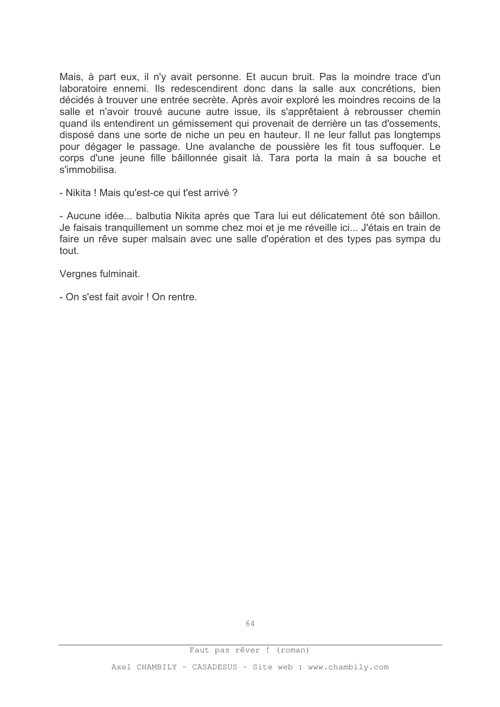Mais, à part eux, il n'y avait personne. Et aucun bruit. Pas la moindre trace d'un laboratoire ennemi. Ils redescendirent donc dans la salle aux concrétions, bien décidés à trouver une entrée secrète. Après avoir exploré les moindres recoins de la salle et n'avoir trouvé aucune autre issue, ils s'apprêtaient à rebrousser chemin quand ils entendirent un gémissement qui provenait de derrière un tas d'ossements, disposé dans une sorte de niche un peu en hauteur. Il ne leur fallut pas longtemps pour dégager le passage. Une avalanche de poussière les fit tous suffoquer. Le corps d'une jeune fille bâillonnée gisait là. Tara porta la main à sa bouche et s'immobilisa.

- Nikita ! Mais qu'est-ce qui t'est arrivé ?

- Aucune idée... balbutia Nikita après que Tara lui eut délicatement ôté son bâillon. Je faisais tranguillement un somme chez moi et je me réveille ici... J'étais en train de faire un rêve super malsain avec une salle d'opération et des types pas sympa du tout.

Vergnes fulminait.

- On s'est fait avoir ! On rentre.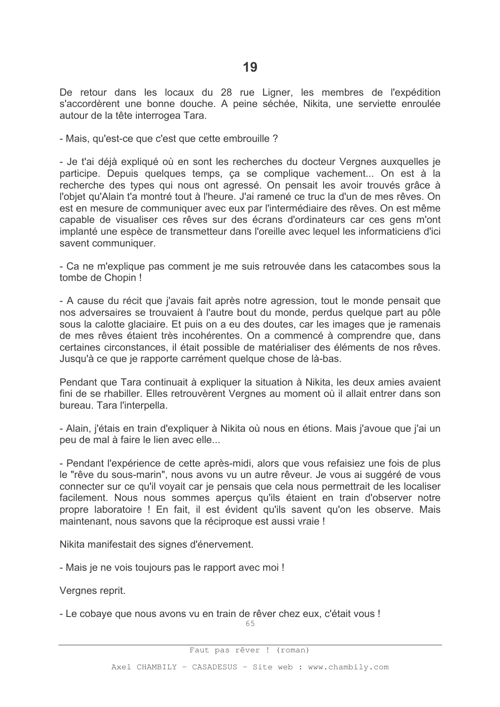De retour dans les locaux du 28 rue Ligner, les membres de l'expédition s'accordèrent une bonne douche. A peine séchée, Nikita, une serviette enroulée autour de la tête interrogea Tara.

- Mais, qu'est-ce que c'est que cette embrouille ?

- Je t'ai déjà expliqué où en sont les recherches du docteur Vergnes auxquelles je participe. Depuis quelques temps, ca se complique vachement... On est à la recherche des types qui nous ont agressé. On pensait les avoir trouvés grâce à l'objet qu'Alain t'a montré tout à l'heure. J'ai ramené ce truc la d'un de mes rêves. On est en mesure de communiquer avec eux par l'intermédiaire des rêves. On est même capable de visualiser ces rêves sur des écrans d'ordinateurs car ces gens m'ont implanté une espèce de transmetteur dans l'oreille avec lequel les informaticiens d'ici savent communiquer.

- Ca ne m'explique pas comment je me suis retrouvée dans les catacombes sous la tombe de Chopin!

- A cause du récit que j'avais fait après notre agression, tout le monde pensait que nos adversaires se trouvaient à l'autre bout du monde, perdus quelque part au pôle sous la calotte glaciaire. Et puis on a eu des doutes, car les images que je ramenais de mes rêves étaient très incohérentes. On a commencé à comprendre que, dans certaines circonstances, il était possible de matérialiser des éléments de nos rêves. Jusqu'à ce que je rapporte carrément quelque chose de là-bas.

Pendant que Tara continuait à expliquer la situation à Nikita. Jes deux amies avaient fini de se rhabiller. Elles retrouvèrent Vergnes au moment où il allait entrer dans son bureau. Tara l'interpella.

- Alain, j'étais en train d'expliquer à Nikita où nous en étions. Mais j'avoue que j'ai un peu de mal à faire le lien avec elle...

- Pendant l'expérience de cette après-midi, alors que vous refaisiez une fois de plus le "rêve du sous-marin", nous avons vu un autre rêveur. Je vous ai suggéré de vous connecter sur ce qu'il voyait car je pensais que cela nous permettrait de les localiser facilement. Nous nous sommes apercus qu'ils étaient en train d'observer notre propre laboratoire ! En fait, il est évident qu'ils savent qu'on les observe. Mais maintenant, nous savons que la réciproque est aussi vraie !

Nikita manifestait des signes d'énervement.

- Mais je ne vois toujours pas le rapport avec moi !

Vergnes reprit.

- Le cobave que nous avons vu en train de rêver chez eux, c'était vous !

65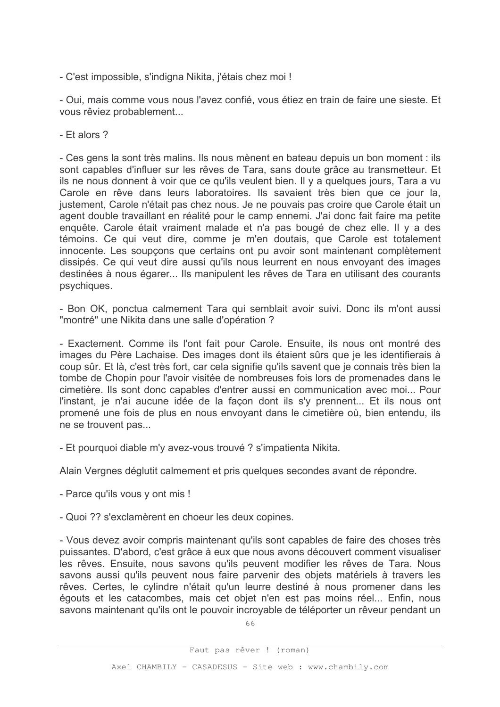- C'est impossible, s'indigna Nikita, j'étais chez moi !

- Oui, mais comme vous nous l'avez confié, vous étiez en train de faire une sieste. Et vous rêviez probablement...

- Et alors ?

- Ces gens la sont très malins. Ils nous mènent en bateau depuis un bon moment : ils sont capables d'influer sur les rêves de Tara, sans doute grâce au transmetteur. Et ils ne nous donnent à voir que ce qu'ils veulent bien. Il v a quelques jours. Tara a vu Carole en rêve dans leurs laboratoires. Ils savaient très bien que ce jour la, justement. Carole n'était pas chez nous. Je ne pouvais pas croire que Carole était un agent double travaillant en réalité pour le camp ennemi. J'ai donc fait faire ma petite enquête. Carole était vraiment malade et n'a pas bougé de chez elle. Il y a des témoins. Ce qui veut dire, comme je m'en doutais, que Carole est totalement innocente. Les soupçons que certains ont pu avoir sont maintenant complètement dissipés. Ce qui veut dire aussi qu'ils nous leurrent en nous envoyant des images destinées à nous égarer... Ils manipulent les rêves de Tara en utilisant des courants psychiques.

- Bon OK, ponctua calmement Tara qui semblait avoir suivi. Donc ils m'ont aussi "montré" une Nikita dans une salle d'opération ?

- Exactement. Comme ils l'ont fait pour Carole. Ensuite, ils nous ont montré des images du Père Lachaise. Des images dont ils étaient sûrs que je les identifierais à coup sûr. Et là, c'est très fort, car cela signifie qu'ils savent que je connais très bien la tombe de Chopin pour l'avoir visitée de nombreuses fois lors de promenades dans le cimetière. Ils sont donc capables d'entrer aussi en communication avec moi... Pour l'instant, je n'ai aucune idée de la facon dont ils s'y prennent... Et ils nous ont promené une fois de plus en nous envoyant dans le cimetière où, bien entendu, ils ne se trouvent pas...

- Et pourquoi diable m'y avez-vous trouvé ? s'impatienta Nikita.

Alain Vergnes déglutit calmement et pris quelques secondes avant de répondre.

- Parce gu'ils vous y ont mis!

- Quoi ?? s'exclamèrent en choeur les deux copines.

- Vous devez avoir compris maintenant qu'ils sont capables de faire des choses très puissantes. D'abord, c'est grâce à eux que nous avons découvert comment visualiser les rêves. Ensuite, nous savons qu'ils peuvent modifier les rêves de Tara. Nous savons aussi qu'ils peuvent nous faire parvenir des objets matériels à travers les rêves. Certes, le cylindre n'était qu'un leurre destiné à nous promener dans les égouts et les catacombes, mais cet objet n'en est pas moins réel... Enfin, nous savons maintenant qu'ils ont le pouvoir incroyable de téléporter un rêveur pendant un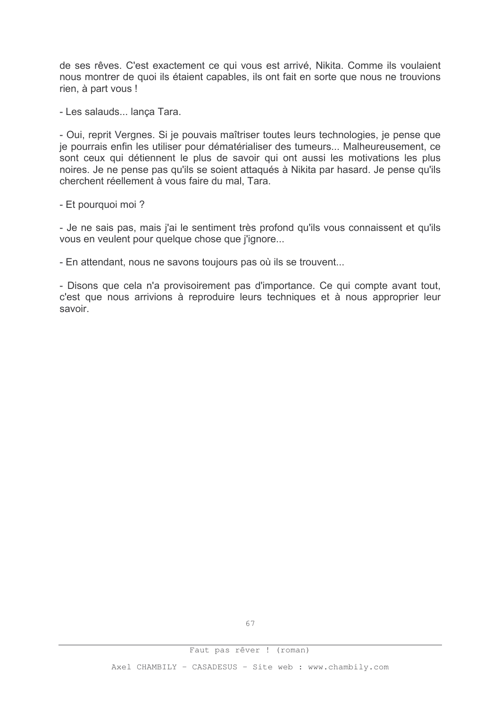de ses rêves. C'est exactement ce qui vous est arrivé, Nikita. Comme ils voulaient nous montrer de quoi ils étaient capables, ils ont fait en sorte que nous ne trouvions rien, à part vous !

- Les salauds... lança Tara.

- Qui, reprit Vergnes. Si je pouvais maîtriser toutes leurs technologies, je pense que je pourrais enfin les utiliser pour dématérialiser des tumeurs... Malheureusement, ce sont ceux qui détiennent le plus de savoir qui ont aussi les motivations les plus noires. Je ne pense pas qu'ils se soient attaqués à Nikita par hasard. Je pense qu'ils cherchent réellement à vous faire du mal. Tara

- Et pourquoi moi ?

- Je ne sais pas, mais j'ai le sentiment très profond qu'ils vous connaissent et qu'ils vous en veulent pour quelque chose que j'ignore...

- En attendant, nous ne savons toujours pas où ils se trouvent...

- Disons que cela n'a provisoirement pas d'importance. Ce qui compte avant tout, c'est que nous arrivions à reproduire leurs techniques et à nous approprier leur savoir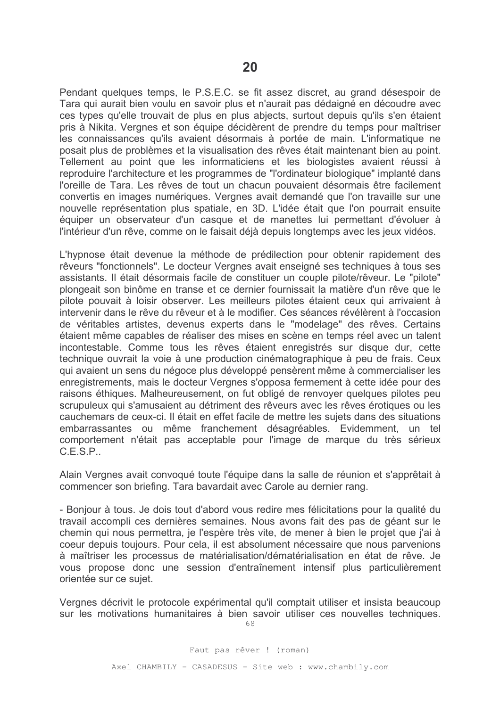Pendant quelques temps, le P.S.E.C. se fit assez discret, au grand désespoir de Tara qui aurait bien voulu en savoir plus et n'aurait pas dédaigné en découdre avec ces types qu'elle trouvait de plus en plus abjects, surtout depuis qu'ils s'en étaient pris à Nikita. Vergnes et son équipe décidèrent de prendre du temps pour maîtriser les connaissances qu'ils avaient désormais à portée de main. L'informatique ne posait plus de problèmes et la visualisation des rêves était maintenant bien au point. Tellement au point que les informaticiens et les biologistes avaient réussi à reproduire l'architecture et les programmes de "l'ordinateur biologique" implanté dans l'oreille de Tara. Les rêves de tout un chacun pouvaient désormais être facilement convertis en images numériques. Vergnes avait demandé que l'on travaille sur une nouvelle représentation plus spatiale, en 3D. L'idée était que l'on pourrait ensuite équiper un observateur d'un casque et de manettes lui permettant d'évoluer à l'intérieur d'un rêve, comme on le faisait déjà depuis longtemps avec les jeux vidéos.

L'hypnose était devenue la méthode de prédilection pour obtenir rapidement des rêveurs "fonctionnels". Le docteur Vergnes avait enseigné ses techniques à tous ses assistants. Il était désormais facile de constituer un couple pilote/rêveur. Le "pilote" plongeait son binôme en transe et ce dernier fournissait la matière d'un rêve que le pilote pouvait à loisir observer. Les meilleurs pilotes étaient ceux qui arrivaient à intervenir dans le rêve du rêveur et à le modifier. Ces séances révélèrent à l'occasion de véritables artistes, devenus experts dans le "modelage" des rêves. Certains étaient même capables de réaliser des mises en scène en temps réel avec un talent incontestable. Comme tous les rêves étaient enregistrés sur disque dur, cette technique ouvrait la voie à une production cinématographique à peu de frais. Ceux qui avaient un sens du négoce plus développé pensèrent même à commercialiser les enregistrements, mais le docteur Vergnes s'opposa fermement à cette idée pour des raisons éthiques. Malheureusement, on fut obligé de renvoyer quelques pilotes peu scrupuleux qui s'amusaient au détriment des rêveurs avec les rêves érotiques ou les cauchemars de ceux-ci. Il était en effet facile de mettre les sujets dans des situations embarrassantes ou même franchement désagréables. Evidemment, un tel comportement n'était pas acceptable pour l'image de marque du très sérieux  $C.E.S.P.$ 

Alain Vergnes avait convoqué toute l'équipe dans la salle de réunion et s'apprêtait à commencer son briefing. Tara bavardait avec Carole au dernier rang.

- Bonjour à tous. Je dois tout d'abord vous redire mes félicitations pour la qualité du travail accompli ces dernières semaines. Nous avons fait des pas de géant sur le chemin qui nous permettra, je l'espère très vite, de mener à bien le projet que j'ai à coeur depuis toujours. Pour cela, il est absolument nécessaire que nous parvenions à maîtriser les processus de matérialisation/dématérialisation en état de rêve. Je vous propose donc une session d'entraînement intensif plus particulièrement orientée sur ce sujet.

Vergnes décrivit le protocole expérimental qu'il comptait utiliser et insista beaucoup sur les motivations humanitaires à bien savoir utiliser ces nouvelles techniques.

Faut pas rêver ! (roman)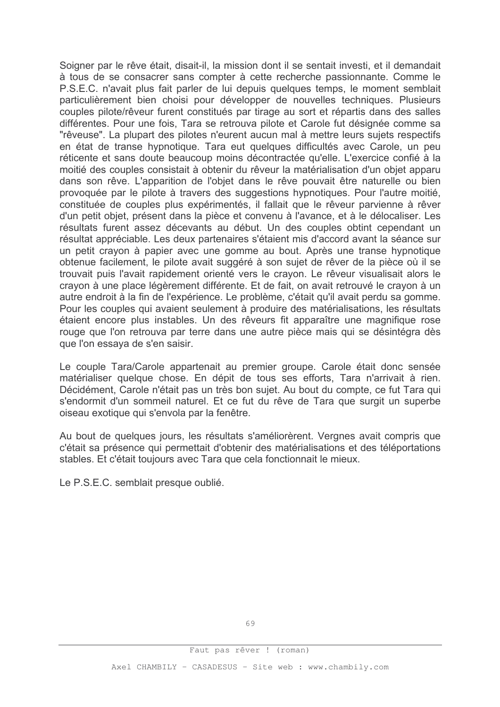Soigner par le rêve était, disait-il, la mission dont il se sentait investi, et il demandait à tous de se consacrer sans compter à cette recherche passionnante. Comme le P.S.E.C. n'avait plus fait parler de lui depuis quelques temps, le moment semblait particulièrement bien choisi pour développer de nouvelles techniques. Plusieurs couples pilote/rêveur furent constitués par tirage au sort et répartis dans des salles différentes. Pour une fois, Tara se retrouva pilote et Carole fut désignée comme sa "rêveuse". La plupart des pilotes n'eurent aucun mal à mettre leurs suiets respectifs en état de transe hypnotique. Tara eut quelques difficultés avec Carole, un peu réticente et sans doute beaucoup moins décontractée qu'elle. L'exercice confié à la moitié des couples consistait à obtenir du rêveur la matérialisation d'un objet apparu dans son rêve. L'apparition de l'obiet dans le rêve pouvait être naturelle ou bien provoquée par le pilote à travers des suggestions hypnotiques. Pour l'autre moitié, constituée de couples plus expérimentés, il fallait que le rêveur parvienne à rêver d'un petit objet, présent dans la pièce et convenu à l'avance, et à le délocaliser. Les résultats furent assez décevants au début. Un des couples obtint cependant un résultat appréciable. Les deux partenaires s'étaient mis d'accord avant la séance sur un petit crayon à papier avec une gomme au bout. Après une transe hypnotique obtenue facilement, le pilote avait suggéré à son sujet de rêver de la pièce où il se trouvait puis l'avait rapidement orienté vers le crayon. Le rêveur visualisait alors le crayon à une place légèrement différente. Et de fait, on avait retrouvé le crayon à un autre endroit à la fin de l'expérience. Le problème, c'était qu'il avait perdu sa gomme. Pour les couples qui avaient seulement à produire des matérialisations, les résultats étaient encore plus instables. Un des rêveurs fit apparaître une magnifique rose rouge que l'on retrouva par terre dans une autre pièce mais qui se désintégra dès que l'on essaya de s'en saisir.

Le couple Tara/Carole appartenait au premier groupe. Carole était donc sensée matérialiser quelque chose. En dépit de tous ses efforts, Tara n'arrivait à rien. Décidément, Carole n'était pas un très bon sujet. Au bout du compte, ce fut Tara qui s'endormit d'un sommeil naturel. Et ce fut du rêve de Tara que surgit un superbe oiseau exotique qui s'envola par la fenêtre.

Au bout de quelques jours, les résultats s'améliorèrent. Vergnes avait compris que c'était sa présence qui permettait d'obtenir des matérialisations et des téléportations stables. Et c'était toujours avec Tara que cela fonctionnait le mieux.

Le P.S.E.C. semblait presque oublié.

Faut pas rêver ! (roman)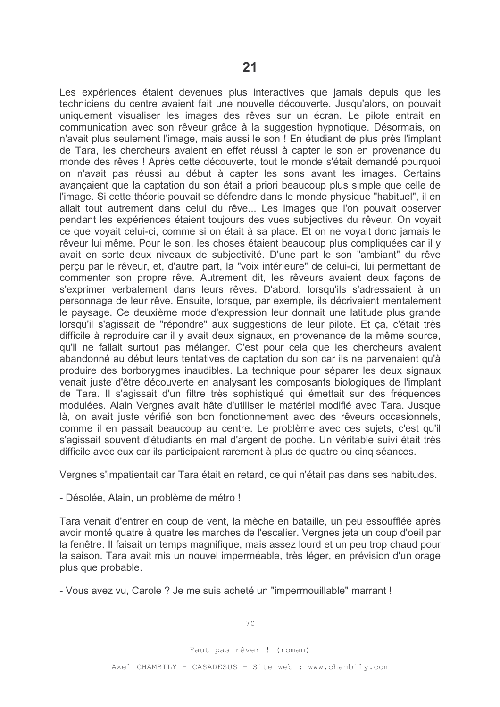Les expériences étaient devenues plus interactives que jamais depuis que les techniciens du centre avaient fait une nouvelle découverte. Jusqu'alors, on pouvait uniquement visualiser les images des rêves sur un écran. Le pilote entrait en communication avec son rêveur grâce à la suggestion hypnotique. Désormais, on n'avait plus seulement l'image, mais aussi le son ! En étudiant de plus près l'implant de Tara. les chercheurs avaient en effet réussi à capter le son en provenance du monde des rêves ! Après cette découverte, tout le monde s'était demandé pourquoi on n'avait pas réussi au début à capter les sons avant les images. Certains avançaient que la captation du son était a priori beaucoup plus simple que celle de l'image. Si cette théorie pouvait se défendre dans le monde physique "habituel", il en allait tout autrement dans celui du rêve... Les images que l'on pouvait observer pendant les expériences étaient toujours des vues subjectives du rêveur. On voyait ce que voyait celui-ci, comme si on était à sa place. Et on ne voyait donc jamais le rêveur lui même. Pour le son, les choses étaient beaucoup plus compliquées car il y avait en sorte deux niveaux de subjectivité. D'une part le son "ambiant" du rêve percu par le rêveur, et, d'autre part, la "voix intérieure" de celui-ci, lui permettant de commenter son propre rêve. Autrement dit, les rêveurs avaient deux façons de s'exprimer verbalement dans leurs rêves. D'abord, lorsqu'ils s'adressaient à un personnage de leur rêve. Ensuite, lorsque, par exemple, ils décrivaient mentalement le paysage. Ce deuxième mode d'expression leur donnait une latitude plus grande lorsqu'il s'agissait de "répondre" aux suggestions de leur pilote. Et ça, c'était très difficile à reproduire car il y avait deux signaux, en provenance de la même source, qu'il ne fallait surtout pas mélanger. C'est pour cela que les chercheurs avaient abandonné au début leurs tentatives de captation du son car ils ne parvenaient qu'à produire des borborygmes inaudibles. La technique pour séparer les deux signaux venait juste d'être découverte en analysant les composants biologiques de l'implant de Tara. Il s'agissait d'un filtre très sophistiqué qui émettait sur des fréquences modulées. Alain Vergnes avait hâte d'utiliser le matériel modifié avec Tara. Jusque là, on avait juste vérifié son bon fonctionnement avec des rêveurs occasionnels, comme il en passait beaucoup au centre. Le problème avec ces sujets, c'est qu'il s'agissait souvent d'étudiants en mal d'argent de poche. Un véritable suivi était très difficile avec eux car ils participaient rarement à plus de quatre ou cinq séances.

Vergnes s'impatientait car Tara était en retard, ce qui n'était pas dans ses habitudes.

- Désolée, Alain, un problème de métro !

Tara venait d'entrer en coup de vent, la mèche en bataille, un peu essoufflée après avoir monté quatre à quatre les marches de l'escalier. Vergnes jeta un coup d'oeil par la fenêtre. Il faisait un temps magnifique, mais assez lourd et un peu trop chaud pour la saison. Tara avait mis un nouvel imperméable, très léger, en prévision d'un orage plus que probable.

- Vous avez vu, Carole ? Je me suis acheté un "impermouillable" marrant !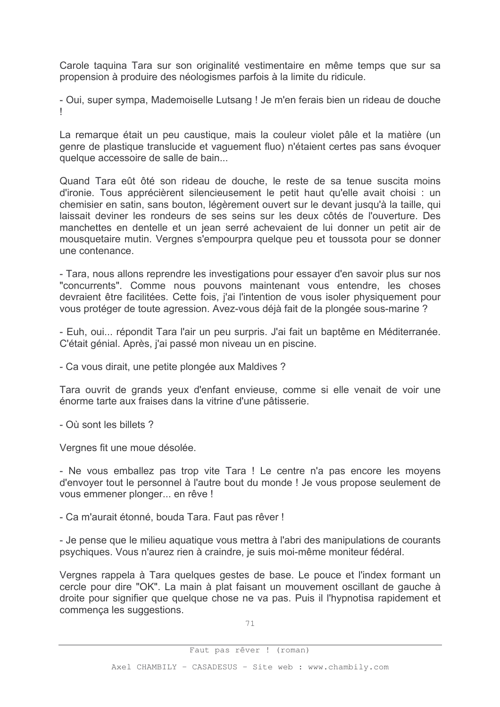Carole taquina Tara sur son originalité vestimentaire en même temps que sur sa propension à produire des néologismes parfois à la limite du ridicule.

- Oui, super sympa, Mademoiselle Lutsang ! Je m'en ferais bien un rideau de douche

La remarque était un peu caustique, mais la couleur violet pâle et la matière (un genre de plastique translucide et vaguement fluo) n'étaient certes pas sans évoquer quelque accessoire de salle de bain...

Quand Tara eût ôté son rideau de douche. le reste de sa tenue suscita moins d'ironie. Tous apprécièrent silencieusement le petit haut qu'elle avait choisi : un chemisier en satin, sans bouton, légèrement ouvert sur le devant jusqu'à la taille, qui laissait deviner les rondeurs de ses seins sur les deux côtés de l'ouverture. Des manchettes en dentelle et un jean serré achevaient de lui donner un petit air de mousquetaire mutin. Vergnes s'empourpra quelque peu et toussota pour se donner une contenance.

- Tara, nous allons reprendre les investigations pour essayer d'en savoir plus sur nos "concurrents". Comme nous pouvons maintenant vous entendre, les choses devraient être facilitées. Cette fois, j'ai l'intention de vous isoler physiquement pour vous protéger de toute agression. Avez-vous déjà fait de la plongée sous-marine ?

- Euh, oui... répondit Tara l'air un peu surpris. J'ai fait un baptême en Méditerranée. C'était génial. Après, j'ai passé mon niveau un en piscine.

- Ca vous dirait, une petite plongée aux Maldives ?

Tara ouvrit de grands yeux d'enfant envieuse, comme si elle venait de voir une énorme tarte aux fraises dans la vitrine d'une pâtisserie.

- Où sont les billets ?

Vergnes fit une moue désolée.

- Ne vous emballez pas trop vite Tara ! Le centre n'a pas encore les movens d'envoyer tout le personnel à l'autre bout du monde ! Je vous propose seulement de vous emmener plonger... en rêve !

- Ca m'aurait étonné, bouda Tara. Faut pas rêver !

- Je pense que le milieu aquatique vous mettra à l'abri des manipulations de courants psychiques. Vous n'aurez rien à craindre, je suis moi-même moniteur fédéral.

Vergnes rappela à Tara quelques gestes de base. Le pouce et l'index formant un cercle pour dire "OK". La main à plat faisant un mouvement oscillant de gauche à droite pour signifier que quelque chose ne va pas. Puis il l'hypnotisa rapidement et commença les suggestions.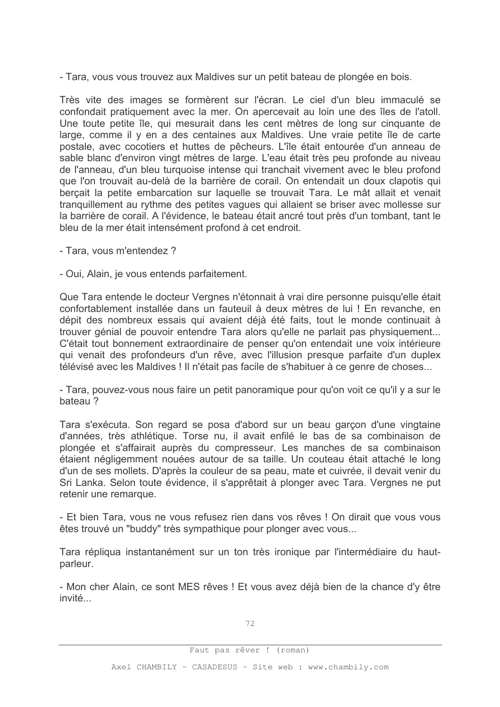- Tara, vous vous trouvez aux Maldives sur un petit bateau de plongée en bois.

Très vite des images se formèrent sur l'écran. Le ciel d'un bleu immaculé se confondait pratiquement avec la mer. On apercevait au loin une des îles de l'atoll. Une toute petite île, qui mesurait dans les cent mètres de long sur cinquante de large, comme il y en a des centaines aux Maldives. Une vraie petite île de carte postale, avec cocotiers et huttes de pêcheurs. L'île était entourée d'un anneau de sable blanc d'environ vingt mètres de large. L'eau était très peu profonde au niveau de l'anneau, d'un bleu turquoise intense qui tranchait vivement avec le bleu profond que l'on trouvait au-delà de la barrière de corail. On entendait un doux clapotis qui berçait la petite embarcation sur laquelle se trouvait Tara. Le mât allait et venait tranguillement au rythme des petites vagues qui allaient se briser avec mollesse sur la barrière de corail. A l'évidence, le bateau était ancré tout près d'un tombant, tant le bleu de la mer était intensément profond à cet endroit.

- Tara, vous m'entendez ?

- Oui, Alain, je vous entends parfaitement.

Que Tara entende le docteur Vergnes n'étonnait à vrai dire personne puisqu'elle était confortablement installée dans un fauteuil à deux mètres de lui ! En revanche, en dépit des nombreux essais qui avaient déjà été faits, tout le monde continuait à trouver génial de pouvoir entendre Tara alors qu'elle ne parlait pas physiquement... C'était tout bonnement extraordinaire de penser qu'on entendait une voix intérieure qui venait des profondeurs d'un rêve, avec l'illusion presque parfaite d'un duplex télévisé avec les Maldives ! Il n'était pas facile de s'habituer à ce genre de choses...

- Tara, pouvez-vous nous faire un petit panoramique pour qu'on voit ce qu'il y a sur le hateau ?

Tara s'exécuta. Son regard se posa d'abord sur un beau garçon d'une vingtaine d'années, très athlétique. Torse nu, il avait enfilé le bas de sa combinaison de plongée et s'affairait auprès du compresseur. Les manches de sa combinaison étaient négligemment nouées autour de sa taille. Un couteau était attaché le long d'un de ses mollets. D'après la couleur de sa peau, mate et cuivrée, il devait venir du Sri Lanka. Selon toute évidence, il s'apprêtait à plonger avec Tara. Vergnes ne put retenir une remarque.

- Et bien Tara, vous ne vous refusez rien dans vos rêves ! On dirait que vous vous êtes trouvé un "buddy" très sympathique pour plonger avec vous...

Tara répliqua instantanément sur un ton très ironique par l'intermédiaire du hautparleur.

- Mon cher Alain, ce sont MES rêves ! Et vous avez déjà bien de la chance d'y être invité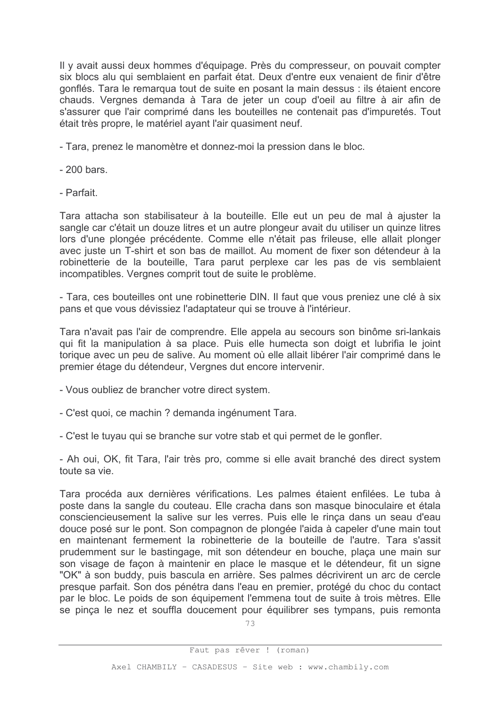Il y avait aussi deux hommes d'équipage. Près du compresseur, on pouvait compter six blocs alu qui semblaient en parfait état. Deux d'entre eux venaient de finir d'être gonflés. Tara le remarqua tout de suite en posant la main dessus : ils étaient encore chauds. Vergnes demanda à Tara de jeter un coup d'oeil au filtre à air afin de s'assurer que l'air comprimé dans les bouteilles ne contenait pas d'impuretés. Tout était très propre, le matériel ayant l'air quasiment neuf.

- Tara, prenez le manomètre et donnez-moi la pression dans le bloc.

 $-200$  bars

- Parfait.

Tara attacha son stabilisateur à la bouteille. Elle eut un peu de mal à ajuster la sangle car c'était un douze litres et un autre plongeur avait du utiliser un quinze litres lors d'une plongée précédente. Comme elle n'était pas frileuse, elle allait plonger avec juste un T-shirt et son bas de maillot. Au moment de fixer son détendeur à la robinetterie de la bouteille. Tara parut perplexe car les pas de vis semblaient incompatibles. Vergnes comprit tout de suite le problème.

- Tara, ces bouteilles ont une robinetterie DIN. Il faut que vous preniez une clé à six pans et que vous dévissiez l'adaptateur qui se trouve à l'intérieur.

Tara n'avait pas l'air de comprendre. Elle appela au secours son binôme sri-lankais qui fit la manipulation à sa place. Puis elle humecta son doigt et lubrifia le joint torique avec un peu de salive. Au moment où elle allait libérer l'air comprimé dans le premier étage du détendeur. Vergnes dut encore intervenir.

- Vous oubliez de brancher votre direct system.

- C'est quoi, ce machin ? demanda ingénument Tara.
- C'est le tuyau qui se branche sur votre stab et qui permet de le gonfler.

- Ah oui, OK, fit Tara, l'air très pro, comme si elle avait branché des direct system toute sa vie.

Tara procéda aux dernières vérifications. Les palmes étaient enfilées. Le tuba à poste dans la sangle du couteau. Elle cracha dans son masque binoculaire et étala consciencieusement la salive sur les verres. Puis elle le rinça dans un seau d'eau douce posé sur le pont. Son compagnon de plongée l'aida à capeler d'une main tout en maintenant fermement la robinetterie de la bouteille de l'autre. Tara s'assit prudemment sur le bastingage, mit son détendeur en bouche, plaça une main sur son visage de façon à maintenir en place le masque et le détendeur, fit un signe "OK" à son buddy, puis bascula en arrière. Ses palmes décrivirent un arc de cercle presque parfait. Son dos pénétra dans l'eau en premier, protégé du choc du contact par le bloc. Le poids de son équipement l'emmena tout de suite à trois mètres. Elle se pinça le nez et souffla doucement pour équilibrer ses tympans, puis remonta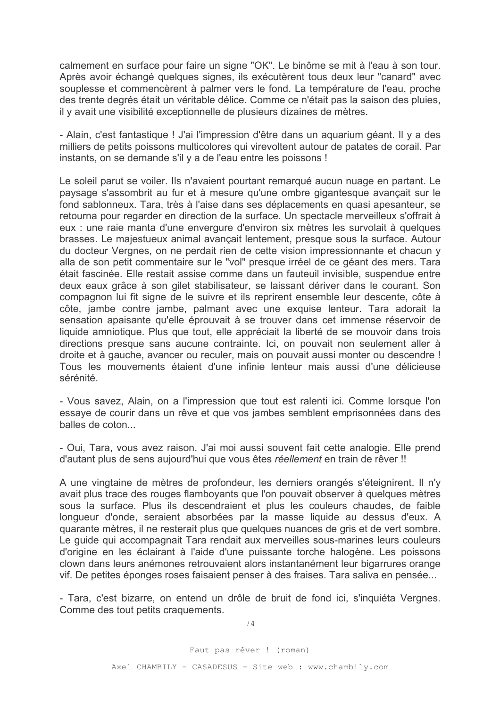calmement en surface pour faire un signe "OK". Le binôme se mit à l'eau à son tour. Après avoir échangé quelques signes, ils exécutèrent tous deux leur "canard" avec souplesse et commencèrent à palmer vers le fond. La température de l'eau, proche des trente degrés était un véritable délice. Comme ce n'était pas la saison des pluies, il y avait une visibilité exceptionnelle de plusieurs dizaines de mètres.

- Alain, c'est fantastique ! J'ai l'impression d'être dans un aquarium géant. Il y a des milliers de petits poissons multicolores qui virevoltent autour de patates de corail. Par instants, on se demande s'il y a de l'eau entre les poissons !

Le soleil parut se voiler. Ils n'avaient pourtant remarqué aucun nuage en partant. Le paysage s'assombrit au fur et à mesure qu'une ombre gigantesque avançait sur le fond sablonneux. Tara, très à l'aise dans ses déplacements en quasi apesanteur, se retourna pour regarder en direction de la surface. Un spectacle merveilleux s'offrait à eux : une raie manta d'une envergure d'environ six mètres les survolait à quelques brasses. Le majestueux animal avançait lentement, presque sous la surface. Autour du docteur Vergnes, on ne perdait rien de cette vision impressionnante et chacun y alla de son petit commentaire sur le "vol" presque irréel de ce géant des mers. Tara était fascinée. Elle restait assise comme dans un fauteuil invisible, suspendue entre deux eaux grâce à son gilet stabilisateur, se laissant dériver dans le courant. Son compagnon lui fit signe de le suivre et ils reprirent ensemble leur descente, côte à côte, jambe contre jambe, palmant avec une exquise lenteur. Tara adorait la sensation apaisante qu'elle éprouvait à se trouver dans cet immense réservoir de liquide amniotique. Plus que tout, elle appréciait la liberté de se mouvoir dans trois directions presque sans aucune contrainte. Ici, on pouvait non seulement aller à droite et à gauche, avancer ou reculer, mais on pouvait aussi monter ou descendre ! Tous les mouvements étaient d'une infinie lenteur mais aussi d'une délicieuse sérénité

- Vous savez, Alain, on a l'impression que tout est ralenti ici. Comme lorsque l'on essaye de courir dans un rêve et que vos jambes semblent emprisonnées dans des balles de coton

- Oui, Tara, vous avez raison. J'ai moi aussi souvent fait cette analogie. Elle prend d'autant plus de sens aujourd'hui que vous êtes réellement en train de rêver !!

A une vingtaine de mètres de profondeur, les derniers orangés s'éteignirent. Il n'y avait plus trace des rouges flambovants que l'on pouvait observer à quelques mètres sous la surface. Plus ils descendraient et plus les couleurs chaudes, de faible longueur d'onde, seraient absorbées par la masse liquide au dessus d'eux. A quarante mètres, il ne resterait plus que quelques nuances de gris et de vert sombre. Le quide qui accompagnait Tara rendait aux merveilles sous-marines leurs couleurs d'origine en les éclairant à l'aide d'une puissante torche halogène. Les poissons clown dans leurs anémones retrouvaient alors instantanément leur bigarrures orange vif. De petites éponges roses faisaient penser à des fraises. Tara saliva en pensée...

- Tara, c'est bizarre, on entend un drôle de bruit de fond ici, s'inquiéta Vergnes. Comme des tout petits craquements.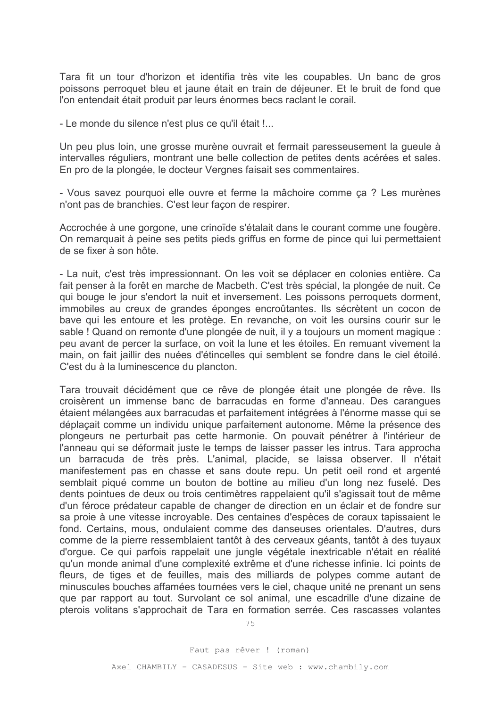Tara fit un tour d'horizon et identifia très vite les coupables. Un banc de gros poissons perroquet bleu et jaune était en train de déjeuner. Et le bruit de fond que l'on entendait était produit par leurs énormes becs raclant le corail.

- Le monde du silence n'est plus ce qu'il était !...

Un peu plus loin, une grosse murène ouvrait et fermait paresseusement la gueule à intervalles réguliers, montrant une belle collection de petites dents acérées et sales. En pro de la plongée, le docteur Vergnes faisait ses commentaires.

- Vous savez pourquoi elle ouvre et ferme la mâchoire comme ça ? Les murènes n'ont pas de branchies. C'est leur façon de respirer.

Accrochée à une gorgone, une crinoïde s'étalait dans le courant comme une fougère. On remarquait à peine ses petits pieds griffus en forme de pince qui lui permettaient de se fixer à son hôte.

- La nuit, c'est très impressionnant. On les voit se déplacer en colonies entière. Ca fait penser à la forêt en marche de Macbeth. C'est très spécial, la plongée de nuit. Ce qui bouge le jour s'endort la nuit et inversement. Les poissons perroquets dorment, immobiles au creux de grandes éponges encroûtantes. Ils sécrètent un cocon de bave qui les entoure et les protège. En revanche, on voit les oursins courir sur le sable ! Quand on remonte d'une plongée de nuit, il y a toujours un moment magique : peu avant de percer la surface, on voit la lune et les étoiles. En remuant vivement la main, on fait jaillir des nuées d'étincelles qui semblent se fondre dans le ciel étoilé. C'est du à la luminescence du plancton.

Tara trouvait décidément que ce rêve de plongée était une plongée de rêve. Ils croisèrent un immense banc de barracudas en forme d'anneau. Des caranques étaient mélangées aux barracudas et parfaitement intégrées à l'énorme masse qui se déplacait comme un individu unique parfaitement autonome. Même la présence des plongeurs ne perturbait pas cette harmonie. On pouvait pénétrer à l'intérieur de l'anneau qui se déformait juste le temps de laisser passer les intrus. Tara approcha un barracuda de très près. L'animal, placide, se laissa observer. Il n'était manifestement pas en chasse et sans doute repu. Un petit oeil rond et argenté semblait piqué comme un bouton de bottine au milieu d'un long nez fuselé. Des dents pointues de deux ou trois centimètres rappelaient qu'il s'agissait tout de même d'un féroce prédateur capable de changer de direction en un éclair et de fondre sur sa proie à une vitesse incroyable. Des centaines d'espèces de coraux tapissaient le fond. Certains, mous, ondulaient comme des danseuses orientales. D'autres, durs comme de la pierre ressemblaient tantôt à des cerveaux géants, tantôt à des tuyaux d'orgue. Ce qui parfois rappelait une jungle végétale inextricable n'était en réalité gu'un monde animal d'une complexité extrême et d'une richesse infinie. Ici points de fleurs, de tiges et de feuilles, mais des milliards de polypes comme autant de minuscules bouches affamées tournées vers le ciel, chaque unité ne prenant un sens que par rapport au tout. Survolant ce sol animal, une escadrille d'une dizaine de pterois volitans s'approchait de Tara en formation serrée. Ces rascasses volantes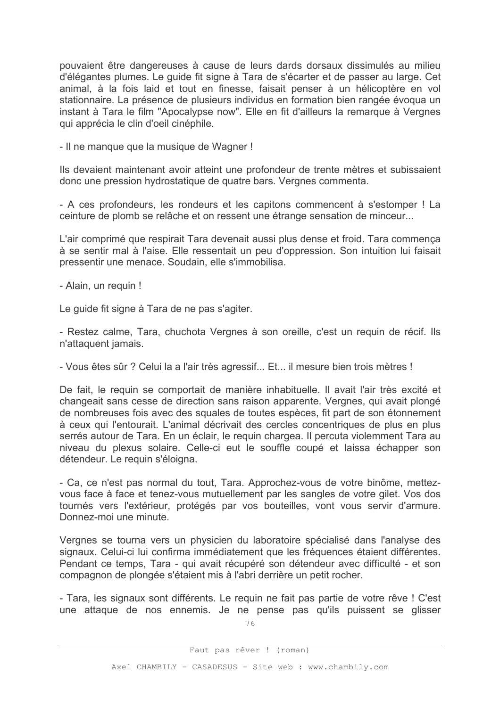pouvaient être dangereuses à cause de leurs dards dorsaux dissimulés au milieu d'élégantes plumes. Le quide fit signe à Tara de s'écarter et de passer au large. Cet animal, à la fois laid et tout en finesse, faisait penser à un hélicoptère en vol stationnaire. La présence de plusieurs individus en formation bien rangée évoqua un instant à Tara le film "Apocalypse now". Elle en fit d'ailleurs la remarque à Vergnes qui apprécia le clin d'oeil cinéphile.

- Il ne manque que la musique de Wagner!

Ils devaient maintenant avoir atteint une profondeur de trente mètres et subissaient donc une pression hydrostatique de quatre bars. Vergnes commenta.

- A ces profondeurs, les rondeurs et les capitons commencent à s'estomper ! La ceinture de plomb se relâche et on ressent une étrange sensation de minceur...

L'air comprimé que respirait Tara devenait aussi plus dense et froid. Tara commença à se sentir mal à l'aise. Elle ressentait un peu d'oppression. Son intuition lui faisait pressentir une menace. Soudain, elle s'immobilisa.

- Alain, un requin !

Le quide fit signe à Tara de ne pas s'agiter.

- Restez calme, Tara, chuchota Vergnes à son oreille, c'est un requin de récif. Ils n'attaquent jamais.

- Vous êtes sûr ? Celui la a l'air très agressif... Et... il mesure bien trois mètres !

De fait, le requin se comportait de manière inhabituelle. Il avait l'air très excité et changeait sans cesse de direction sans raison apparente. Vergnes, qui avait plongé de nombreuses fois avec des squales de toutes espèces, fit part de son étonnement à ceux qui l'entourait. L'animal décrivait des cercles concentriques de plus en plus serrés autour de Tara. En un éclair, le requin chargea. Il percuta violemment Tara au niveau du plexus solaire. Celle-ci eut le souffle coupé et laissa échapper son détendeur. Le requin s'éloigna.

- Ca. ce n'est pas normal du tout. Tara. Approchez-vous de votre binôme, mettezvous face à face et tenez-vous mutuellement par les sangles de votre gilet. Vos dos tournés vers l'extérieur, protégés par vos bouteilles, vont vous servir d'armure. Donnez-moi une minute.

Vergnes se tourna vers un physicien du laboratoire spécialisé dans l'analyse des signaux. Celui-ci lui confirma immédiatement que les fréquences étaient différentes. Pendant ce temps, Tara - qui avait récupéré son détendeur avec difficulté - et son compagnon de plongée s'étaient mis à l'abri derrière un petit rocher.

- Tara, les signaux sont différents. Le requin ne fait pas partie de votre rêve ! C'est une attaque de nos ennemis. Je ne pense pas qu'ils puissent se glisser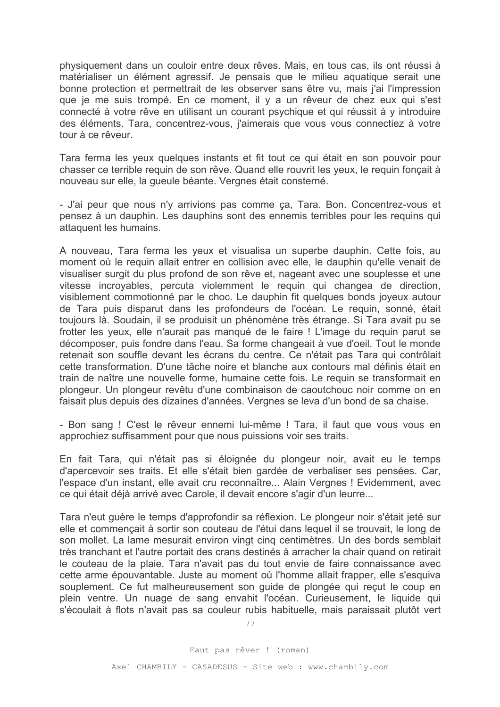physiquement dans un couloir entre deux rêves. Mais, en tous cas, ils ont réussi à matérialiser un élément agressif. Je pensais que le milieu aquatique serait une bonne protection et permettrait de les observer sans être vu, mais j'ai l'impression que je me suis trompé. En ce moment, il y a un rêveur de chez eux qui s'est connecté à votre rêve en utilisant un courant psychique et qui réussit à y introduire des éléments. Tara, concentrez-vous, j'aimerais que vous vous connectiez à votre tour à ce rêveur.

Tara ferma les yeux quelques instants et fit tout ce qui était en son pouvoir pour chasser ce terrible requin de son rêve. Quand elle rouvrit les yeux, le requin fonçait à nouveau sur elle, la queule béante. Vergnes était consterné.

- J'ai peur que nous n'y arrivions pas comme ça, Tara. Bon. Concentrez-vous et pensez à un dauphin. Les dauphins sont des ennemis terribles pour les requins qui attaquent les humains.

A nouveau, Tara ferma les yeux et visualisa un superbe dauphin. Cette fois, au moment où le requin allait entrer en collision avec elle, le dauphin qu'elle venait de visualiser surgit du plus profond de son rêve et, nageant avec une souplesse et une vitesse incrovables, percuta violemment le requin qui changea de direction, visiblement commotionné par le choc. Le dauphin fit quelques bonds joyeux autour de Tara puis disparut dans les profondeurs de l'océan. Le requin, sonné, était toujours là. Soudain, il se produisit un phénomène très étrange. Si Tara avait pu se frotter les yeux, elle n'aurait pas manqué de le faire ! L'image du requin parut se décomposer, puis fondre dans l'eau. Sa forme changeait à vue d'oeil. Tout le monde retenait son souffle devant les écrans du centre. Ce n'était pas Tara qui contrôlait cette transformation. D'une tâche noire et blanche aux contours mal définis était en train de naître une nouvelle forme, humaine cette fois. Le requin se transformait en plongeur. Un plongeur revêtu d'une combinaison de caoutchouc noir comme on en faisait plus depuis des dizaines d'années. Vergnes se leva d'un bond de sa chaise.

- Bon sang ! C'est le rêveur ennemi lui-même ! Tara, il faut que vous vous en approchiez suffisamment pour que nous puissions voir ses traits.

En fait Tara, qui n'était pas si éloignée du plongeur noir, avait eu le temps d'apercevoir ses traits. Et elle s'était bien gardée de verbaliser ses pensées. Car, l'espace d'un instant, elle avait cru reconnaître... Alain Vergnes ! Evidemment, avec ce qui était déjà arrivé avec Carole, il devait encore s'agir d'un leurre...

Tara n'eut guère le temps d'approfondir sa réflexion. Le plongeur noir s'était jeté sur elle et commencait à sortir son couteau de l'étui dans lequel il se trouvait. le long de son mollet. La lame mesurait environ vingt cing centimètres. Un des bords semblait très tranchant et l'autre portait des crans destinés à arracher la chair quand on retirait le couteau de la plaie. Tara n'avait pas du tout envie de faire connaissance avec cette arme épouvantable. Juste au moment où l'homme allait frapper, elle s'esquiva souplement. Ce fut malheureusement son quide de plongée qui reçut le coup en plein ventre. Un nuage de sang envahit l'océan. Curieusement, le liquide qui s'écoulait à flots n'avait pas sa couleur rubis habituelle, mais paraissait plutôt vert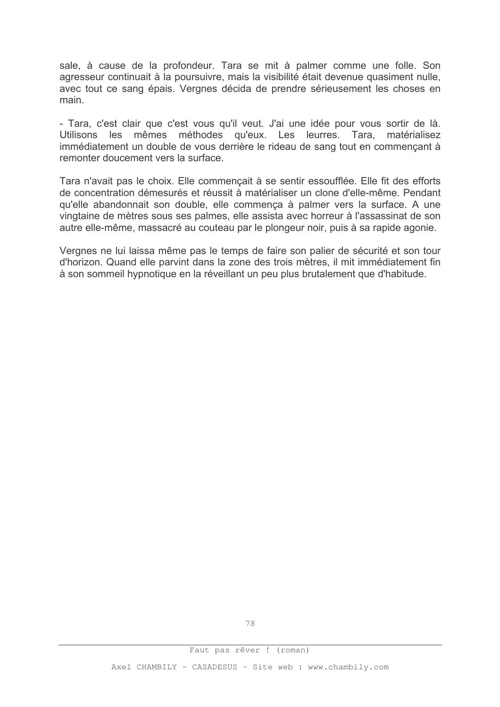sale, à cause de la profondeur. Tara se mit à palmer comme une folle. Son agresseur continuait à la poursuivre, mais la visibilité était devenue quasiment nulle, avec tout ce sang épais. Vergnes décida de prendre sérieusement les choses en main.

- Tara, c'est clair que c'est vous qu'il veut. J'ai une idée pour vous sortir de là. Utilisons les mêmes méthodes au'eux. Les leurres. Tara, matérialisez immédiatement un double de vous derrière le rideau de sang tout en commençant à remonter doucement vers la surface.

Tara n'avait pas le choix. Elle commencait à se sentir essoufflée. Elle fit des efforts de concentration démesurés et réussit à matérialiser un clone d'elle-même. Pendant qu'elle abandonnait son double, elle commenca à palmer vers la surface. A une vingtaine de mètres sous ses palmes, elle assista avec horreur à l'assassinat de son autre elle-même, massacré au couteau par le plongeur noir, puis à sa rapide agonie.

Vergnes ne lui laissa même pas le temps de faire son palier de sécurité et son tour d'horizon. Quand elle parvint dans la zone des trois mètres, il mit immédiatement fin à son sommeil hypnotique en la réveillant un peu plus brutalement que d'habitude.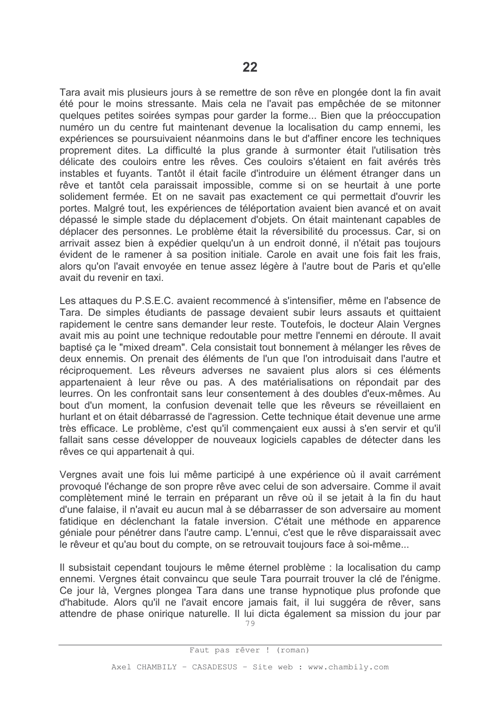Tara avait mis plusieurs jours à se remettre de son rêve en plongée dont la fin avait été pour le moins stressante. Mais cela ne l'avait pas empêchée de se mitonner quelques petites soirées sympas pour garder la forme... Bien que la préoccupation numéro un du centre fut maintenant devenue la localisation du camp ennemi. Les expériences se poursuivaient néanmoins dans le but d'affiner encore les techniques proprement dites. La difficulté la plus grande à surmonter était l'utilisation très délicate des couloirs entre les rêves. Ces couloirs s'étaient en fait avérés très instables et fuyants. Tantôt il était facile d'introduire un élément étranger dans un rêve et tantôt cela paraissait impossible, comme si on se heurtait à une porte solidement fermée. Et on ne savait pas exactement ce qui permettait d'ouvrir les portes. Malgré tout, les expériences de téléportation avaient bien avancé et on avait dépassé le simple stade du déplacement d'objets. On était maintenant capables de déplacer des personnes. Le problème était la réversibilité du processus. Car, si on arrivait assez bien à expédier quelqu'un à un endroit donné, il n'était pas toujours évident de le ramener à sa position initiale. Carole en avait une fois fait les frais, alors qu'on l'avait envovée en tenue assez légère à l'autre bout de Paris et qu'elle avait du revenir en taxi.

Les attaques du P.S.E.C. avaient recommencé à s'intensifier, même en l'absence de Tara. De simples étudiants de passage devaient subir leurs assauts et quittaient rapidement le centre sans demander leur reste. Toutefois, le docteur Alain Vergnes avait mis au point une technique redoutable pour mettre l'ennemi en déroute. Il avait baptisé ca le "mixed dream". Cela consistait tout bonnement à mélanger les rêves de deux ennemis. On prenait des éléments de l'un que l'on introduisait dans l'autre et réciproquement. Les rêveurs adverses ne savaient plus alors si ces éléments appartenaient à leur rêve ou pas. A des matérialisations on répondait par des leurres. On les confrontait sans leur consentement à des doubles d'eux-mêmes. Au bout d'un moment, la confusion devenait telle que les rêveurs se réveillaient en hurlant et on était débarrassé de l'agression. Cette technique était devenue une arme très efficace. Le problème, c'est qu'il commencaient eux aussi à s'en servir et qu'il fallait sans cesse développer de nouveaux logiciels capables de détecter dans les rêves ce qui appartenait à qui.

Vergnes avait une fois lui même participé à une expérience où il avait carrément provoqué l'échange de son propre rêve avec celui de son adversaire. Comme il avait complètement miné le terrain en préparant un rêve où il se jetait à la fin du haut d'une falaise, il n'avait eu aucun mal à se débarrasser de son adversaire au moment fatidique en déclenchant la fatale inversion. C'était une méthode en apparence géniale pour pénétrer dans l'autre camp. L'ennui, c'est que le rêve disparaissait avec le rêveur et qu'au bout du compte, on se retrouvait toujours face à soi-même...

Il subsistait cependant toujours le même éternel problème : la localisation du camp ennemi. Vergnes était convaincu que seule Tara pourrait trouver la clé de l'énigme. Ce jour là, Vergnes plongea Tara dans une transe hypnotique plus profonde que d'habitude. Alors qu'il ne l'avait encore jamais fait, il lui suggéra de rêver, sans attendre de phase onirique naturelle. Il lui dicta également sa mission du jour par

79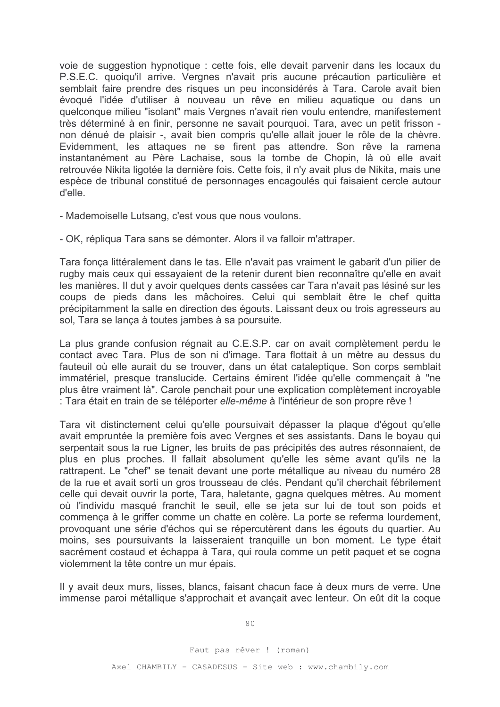voie de suggestion hypnotique : cette fois, elle devait parvenir dans les locaux du P.S.E.C. quoiqu'il arrive. Vergnes n'avait pris aucune précaution particulière et semblait faire prendre des risques un peu inconsidérés à Tara. Carole avait bien évoqué l'idée d'utiliser à nouveau un rêve en milieu aquatique ou dans un quelconque milieu "isolant" mais Vergnes n'avait rien voulu entendre, manifestement très déterminé à en finir, personne ne savait pourquoi. Tara, avec un petit frisson non dénué de plaisir -, avait bien compris qu'elle allait jouer le rôle de la chèvre. Evidemment, les attaques ne se firent pas attendre. Son rêve la ramena instantanément au Père Lachaise, sous la tombe de Chopin, là où elle avait retrouvée Nikita ligotée la dernière fois. Cette fois, il n'y avait plus de Nikita, mais une espèce de tribunal constitué de personnages encagoulés qui faisaient cercle autour d'elle.

- Mademoiselle Lutsang, c'est vous que nous voulons.

- OK, répliqua Tara sans se démonter. Alors il va falloir m'attraper.

Tara fonca littéralement dans le tas. Elle n'avait pas vraiment le gabarit d'un pilier de rugby mais ceux qui essayaient de la retenir durent bien reconnaître qu'elle en avait les manières. Il dut y avoir quelques dents cassées car Tara n'avait pas lésiné sur les coups de pieds dans les mâchoires. Celui qui semblait être le chef quitta précipitamment la salle en direction des égouts. Laissant deux ou trois agresseurs au sol. Tara se lança à toutes jambes à sa poursuite.

La plus grande confusion régnait au C.E.S.P. car on avait complètement perdu le contact avec Tara. Plus de son ni d'image. Tara flottait à un mètre au dessus du fauteuil où elle aurait du se trouver, dans un état cataleptique. Son corps semblait immatériel, presque translucide. Certains émirent l'idée qu'elle commençait à "ne plus être vraiment là". Carole penchait pour une explication complètement incroyable : Tara était en train de se téléporter elle-même à l'intérieur de son propre rêve !

Tara vit distinctement celui qu'elle poursuivait dépasser la plaque d'égout qu'elle avait empruntée la première fois avec Vergnes et ses assistants. Dans le boyau qui serpentait sous la rue Ligner, les bruits de pas précipités des autres résonnaient, de plus en plus proches. Il fallait absolument qu'elle les sème avant qu'ils ne la rattrapent. Le "chef" se tenait devant une porte métallique au niveau du numéro 28 de la rue et avait sorti un gros trousseau de clés. Pendant qu'il cherchait fébrilement celle qui devait ouvrir la porte. Tara, haletante, gagna quelques mètres. Au moment où l'individu masqué franchit le seuil, elle se jeta sur lui de tout son poids et commença à le griffer comme un chatte en colère. La porte se referma lourdement, provoquant une série d'échos qui se répercutèrent dans les égouts du quartier. Au moins, ses poursuivants la laisseraient tranguille un bon moment. Le type était sacrément costaud et échappa à Tara, qui roula comme un petit paquet et se cogna violemment la tête contre un mur épais.

Il y avait deux murs, lisses, blancs, faisant chacun face à deux murs de verre. Une immense paroi métallique s'approchait et avançait avec lenteur. On eût dit la coque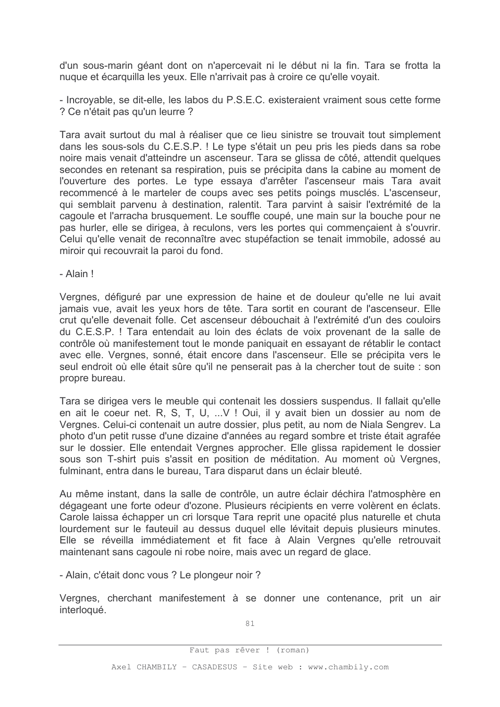d'un sous-marin géant dont on n'apercevait ni le début ni la fin. Tara se frotta la nuque et écarquilla les yeux. Elle n'arrivait pas à croire ce qu'elle voyait.

- Incroyable, se dit-elle, les labos du P.S.E.C. existeraient vraiment sous cette forme ? Ce n'était pas qu'un leurre ?

Tara avait surtout du mal à réaliser que ce lieu sinistre se trouvait tout simplement dans les sous-sols du C.E.S.P. ! Le type s'était un peu pris les pieds dans sa robe noire mais venait d'atteindre un ascenseur. Tara se glissa de côté, attendit quelques secondes en retenant sa respiration, puis se précipita dans la cabine au moment de l'ouverture des portes. Le type essava d'arrêter l'ascenseur mais Tara avait recommencé à le marteler de coups avec ses petits poings musclés. L'ascenseur, qui semblait parvenu à destination, ralentit. Tara parvint à saisir l'extrémité de la cagoule et l'arracha brusquement. Le souffle coupé, une main sur la bouche pour ne pas hurler, elle se dirigea, à reculons, vers les portes qui commençaient à s'ouvrir. Celui qu'elle venait de reconnaître avec stupéfaction se tenait immobile, adossé au miroir qui recouvrait la paroi du fond.

- Alain I

Vergnes, défiguré par une expression de haine et de douleur qu'elle ne lui avait jamais vue, avait les veux hors de tête. Tara sortit en courant de l'ascenseur. Elle crut qu'elle devenait folle. Cet ascenseur débouchait à l'extrémité d'un des couloirs du C.E.S.P. ! Tara entendait au loin des éclats de voix provenant de la salle de contrôle où manifestement tout le monde paniquait en essayant de rétablir le contact avec elle. Vergnes, sonné, était encore dans l'ascenseur. Elle se précipita vers le seul endroit où elle était sûre qu'il ne penserait pas à la chercher tout de suite : son propre bureau.

Tara se dirigea vers le meuble qui contenait les dossiers suspendus. Il fallait qu'elle en ait le coeur net. R, S, T, U, ... V ! Oui, il y avait bien un dossier au nom de Vergnes. Celui-ci contenait un autre dossier, plus petit, au nom de Niala Sengrev. La photo d'un petit russe d'une dizaine d'années au regard sombre et triste était agrafée sur le dossier. Elle entendait Vergnes approcher. Elle glissa rapidement le dossier sous son T-shirt puis s'assit en position de méditation. Au moment où Vergnes, fulminant, entra dans le bureau, Tara disparut dans un éclair bleuté.

Au même instant, dans la salle de contrôle, un autre éclair déchira l'atmosphère en dégageant une forte odeur d'ozone. Plusieurs récipients en verre volèrent en éclats. Carole laissa échapper un cri lorsque Tara reprit une opacité plus naturelle et chuta lourdement sur le fauteuil au dessus duquel elle lévitait depuis plusieurs minutes. Elle se réveilla immédiatement et fit face à Alain Vergnes qu'elle retrouvait maintenant sans cagoule ni robe noire, mais avec un regard de glace.

- Alain, c'était donc vous ? Le plongeur noir ?

Vergnes, cherchant manifestement à se donner une contenance, prit un air interloqué.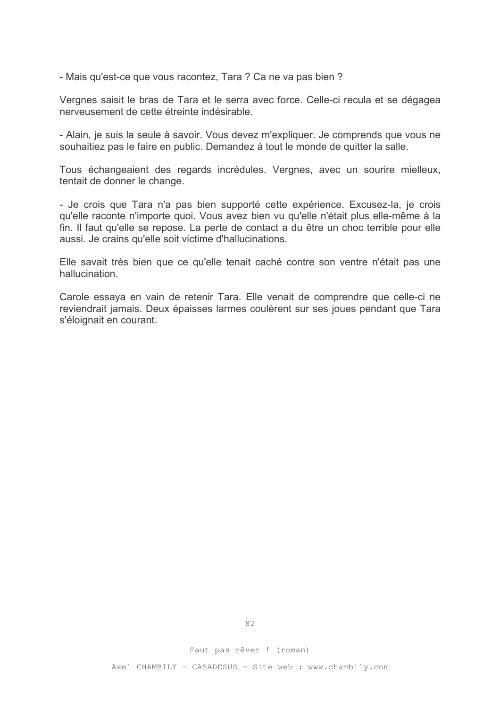- Mais qu'est-ce que vous racontez, Tara ? Ca ne va pas bien ?

Vergnes saisit le bras de Tara et le serra avec force. Celle-ci recula et se dégagea nerveusement de cette étreinte indésirable

- Alain, je suis la seule à savoir. Vous devez m'expliquer. Je comprends que vous ne souhaitiez pas le faire en public. Demandez à tout le monde de quitter la salle.

Tous échangeaient des regards incrédules. Vergnes, avec un sourire mielleux, tentait de donner le change.

- Je crois que Tara n'a pas bien supporté cette expérience. Excusez-la, je crois qu'elle raconte n'importe quoi. Vous avez bien vu qu'elle n'était plus elle-même à la fin. Il faut qu'elle se repose. La perte de contact a du être un choc terrible pour elle aussi. Je crains qu'elle soit victime d'hallucinations.

Elle savait très bien que ce qu'elle tenait caché contre son ventre n'était pas une hallucination.

Carole essaya en vain de retenir Tara. Elle venait de comprendre que celle-ci ne reviendrait jamais. Deux épaisses larmes coulèrent sur ses joues pendant que Tara s'éloignait en courant.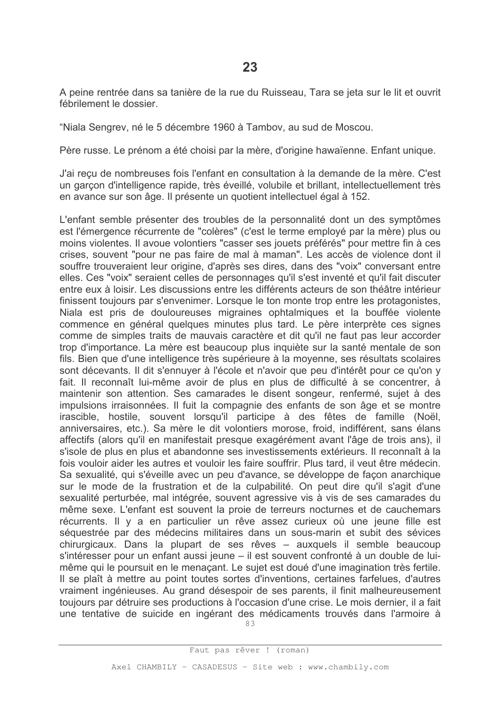A peine rentrée dans sa tanière de la rue du Ruisseau. Tara se jeta sur le lit et ouvrit fébrilement le dossier.

"Niala Sengrey, né le 5 décembre 1960 à Tamboy, au sud de Moscou.

Père russe. Le prénom a été choisi par la mère, d'origine hawaïenne. Enfant unique.

J'ai recu de nombreuses fois l'enfant en consultation à la demande de la mère. C'est un garçon d'intelligence rapide, très éveillé, volubile et brillant, intellectuellement très en avance sur son âge. Il présente un quotient intellectuel égal à 152.

L'enfant semble présenter des troubles de la personnalité dont un des symptômes est l'émergence récurrente de "colères" (c'est le terme employé par la mère) plus ou moins violentes. Il avoue volontiers "casser ses jouets préférés" pour mettre fin à ces crises, souvent "pour ne pas faire de mal à maman". Les accès de violence dont il souffre trouveraient leur origine, d'après ses dires, dans des "voix" conversant entre elles. Ces "voix" seraient celles de personnages qu'il s'est inventé et qu'il fait discuter entre eux à loisir. Les discussions entre les différents acteurs de son théâtre intérieur finissent toujours par s'envenimer. Lorsque le ton monte trop entre les protagonistes. Niala est pris de douloureuses migraines ophtalmiques et la bouffée violente commence en général quelques minutes plus tard. Le père interprète ces signes comme de simples traits de mauvais caractère et dit qu'il ne faut pas leur accorder trop d'importance. La mère est beaucoup plus inquiète sur la santé mentale de son fils. Bien que d'une intelligence très supérieure à la moyenne, ses résultats scolaires sont décevants. Il dit s'ennuyer à l'école et n'avoir que peu d'intérêt pour ce qu'on y fait. Il reconnaît lui-même avoir de plus en plus de difficulté à se concentrer, à maintenir son attention. Ses camarades le disent songeur, renfermé, sujet à des impulsions irraisonnées. Il fuit la compagnie des enfants de son âge et se montre irascible, hostile, souvent lorsqu'il participe à des fêtes de famille (Noël, anniversaires, etc.). Sa mère le dit volontiers morose, froid, indifférent, sans élans affectifs (alors qu'il en manifestait presque exagérément avant l'âge de trois ans), il s'isole de plus en plus et abandonne ses investissements extérieurs. Il reconnaît à la fois vouloir aider les autres et vouloir les faire souffrir. Plus tard, il veut être médecin. Sa sexualité, qui s'éveille avec un peu d'avance, se développe de façon anarchique sur le mode de la frustration et de la culpabilité. On peut dire qu'il s'agit d'une sexualité perturbée, mal intégrée, souvent agressive vis à vis de ses camarades du même sexe. L'enfant est souvent la proie de terreurs nocturnes et de cauchemars récurrents. Il y a en particulier un rêve assez curieux où une jeune fille est séquestrée par des médecins militaires dans un sous-marin et subit des sévices chirurgicaux. Dans la plupart de ses rêves - auxquels il semble beaucoup s'intéresser pour un enfant aussi jeune – il est souvent confronté à un double de luimême qui le poursuit en le menacant. Le sujet est doué d'une imagination très fertile. Il se plaît à mettre au point toutes sortes d'inventions, certaines farfelues, d'autres vraiment ingénieuses. Au grand désespoir de ses parents, il finit malheureusement toujours par détruire ses productions à l'occasion d'une crise. Le mois dernier, il a fait une tentative de suicide en ingérant des médicaments trouvés dans l'armoire à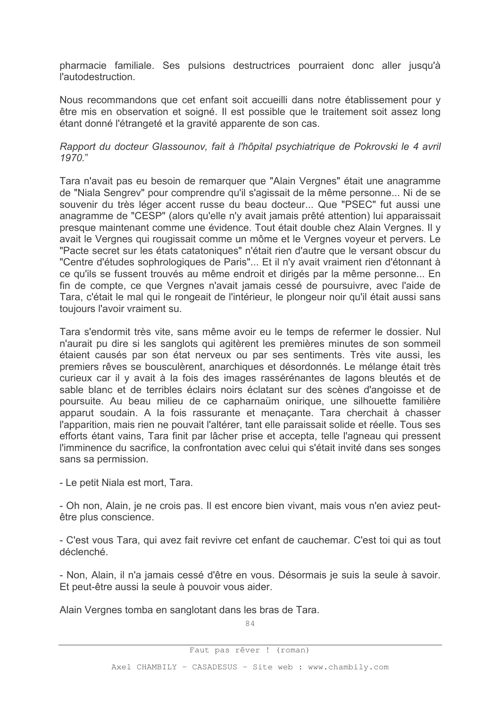pharmacie familiale. Ses pulsions destructrices pourraient donc aller jusqu'à l'autodestruction.

Nous recommandons que cet enfant soit accueilli dans notre établissement pour y être mis en observation et soigné. Il est possible que le traitement soit assez long étant donné l'étrangeté et la gravité apparente de son cas.

Rapport du docteur Glassounov, fait à l'hôpital psychiatrique de Pokrovski le 4 avril 1970."

Tara n'avait pas eu besoin de remarquer que "Alain Vergnes" était une anagramme de "Niala Sengrev" pour comprendre qu'il s'agissait de la même personne... Ni de se souvenir du très léger accent russe du beau docteur... Que "PSEC" fut aussi une anagramme de "CESP" (alors qu'elle n'y avait jamais prêté attention) lui apparaissait presque maintenant comme une évidence. Tout était double chez Alain Vergnes. Il y avait le Vergnes qui rougissait comme un môme et le Vergnes voyeur et pervers. Le "Pacte secret sur les états catatoniques" n'était rien d'autre que le versant obscur du "Centre d'études sophrologiques de Paris"... Et il n'y avait vraiment rien d'étonnant à ce qu'ils se fussent trouvés au même endroit et dirigés par la même personne... En fin de compte, ce que Vergnes n'avait jamais cessé de poursuivre, avec l'aide de Tara, c'était le mal qui le rongeait de l'intérieur, le plongeur noir qu'il était aussi sans toujours l'avoir vraiment su.

Tara s'endormit très vite, sans même avoir eu le temps de refermer le dossier. Nul n'aurait pu dire si les sanglots qui agitèrent les premières minutes de son sommeil étaient causés par son état nerveux ou par ses sentiments. Très vite aussi, les premiers rêves se bousculèrent, anarchiques et désordonnés. Le mélange était très curieux car il y avait à la fois des images rassérénantes de lagons bleutés et de sable blanc et de terribles éclairs noirs éclatant sur des scènes d'angoisse et de poursuite. Au beau milieu de ce capharnaüm onirique, une silhouette familière apparut soudain. A la fois rassurante et menaçante. Tara cherchait à chasser l'apparition, mais rien ne pouvait l'altérer, tant elle paraissait solide et réelle. Tous ses efforts étant vains, Tara finit par lâcher prise et accepta, telle l'agneau qui pressent l'imminence du sacrifice, la confrontation avec celui qui s'était invité dans ses songes sans sa permission.

- Le petit Niala est mort, Tara.

- Oh non, Alain, je ne crois pas. Il est encore bien vivant, mais vous n'en aviez peutêtre plus conscience.

- C'est vous Tara, qui avez fait revivre cet enfant de cauchemar. C'est toi qui as tout déclenché

- Non, Alain, il n'a jamais cessé d'être en vous. Désormais je suis la seule à savoir. Et peut-être aussi la seule à pouvoir vous aider.

Alain Vergnes tomba en sanglotant dans les bras de Tara.

84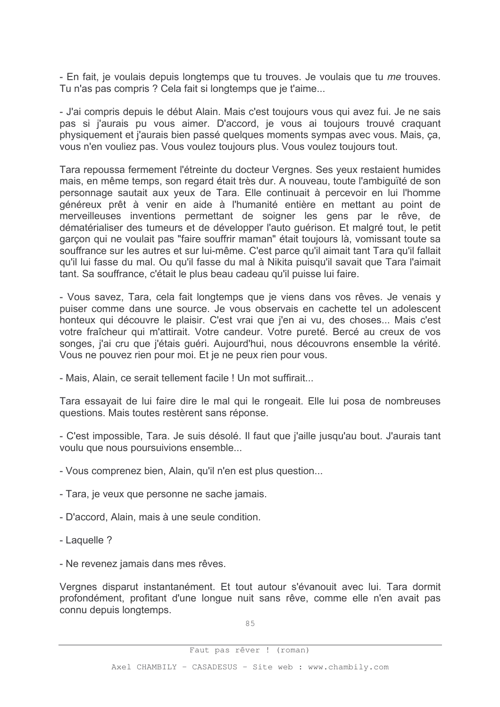- En fait, je voulais depuis longtemps que tu trouves. Je voulais que tu me trouves. Tu n'as pas compris ? Cela fait si longtemps que je t'aime...

- J'ai compris depuis le début Alain. Mais c'est toujours vous qui avez fui. Je ne sais pas si j'aurais pu vous aimer. D'accord, je vous ai toujours trouvé craquant physiquement et j'aurais bien passé quelques moments sympas avec vous. Mais, ca, vous n'en vouliez pas. Vous voulez toujours plus. Vous voulez toujours tout.

Tara repoussa fermement l'étreinte du docteur Vergnes. Ses yeux restaient humides mais, en même temps, son regard était très dur. A nouveau, toute l'ambiguïté de son personnage sautait aux yeux de Tara. Elle continuait à percevoir en lui l'homme généreux prêt à venir en aide à l'humanité entière en mettant au point de merveilleuses inventions permettant de soigner les gens par le rêve, de dématérialiser des tumeurs et de développer l'auto quérison. Et malgré tout, le petit garçon qui ne voulait pas "faire souffrir maman" était toujours là, vomissant toute sa souffrance sur les autres et sur lui-même. C'est parce qu'il aimait tant Tara qu'il fallait gu'il lui fasse du mal. Ou gu'il fasse du mal à Nikita puisgu'il savait que Tara l'aimait tant. Sa souffrance, c'était le plus beau cadeau qu'il puisse lui faire.

- Vous savez, Tara, cela fait longtemps que je viens dans vos rêves. Je venais y puiser comme dans une source. Je vous observais en cachette tel un adolescent honteux qui découvre le plaisir. C'est vrai que j'en ai vu, des choses... Mais c'est votre fraîcheur qui m'attirait. Votre candeur. Votre pureté. Bercé au creux de vos songes, j'ai cru que j'étais quéri. Aujourd'hui, nous découvrons ensemble la vérité. Vous ne pouvez rien pour moi. Et je ne peux rien pour vous.

- Mais. Alain, ce serait tellement facile ! Un mot suffirait...

Tara essavait de lui faire dire le mal qui le rongeait. Elle lui posa de nombreuses questions. Mais toutes restèrent sans réponse.

- C'est impossible, Tara. Je suis désolé. Il faut que j'aille jusqu'au bout. J'aurais tant voulu que nous poursuivions ensemble...

- Vous comprenez bien, Alain, qu'il n'en est plus question...
- Tara, je veux que personne ne sache jamais.
- D'accord, Alain, mais à une seule condition.
- Laquelle ?
- Ne revenez jamais dans mes rêves.

Vergnes disparut instantanément. Et tout autour s'évanouit avec lui. Tara dormit profondément, profitant d'une longue nuit sans rêve, comme elle n'en avait pas connu depuis longtemps.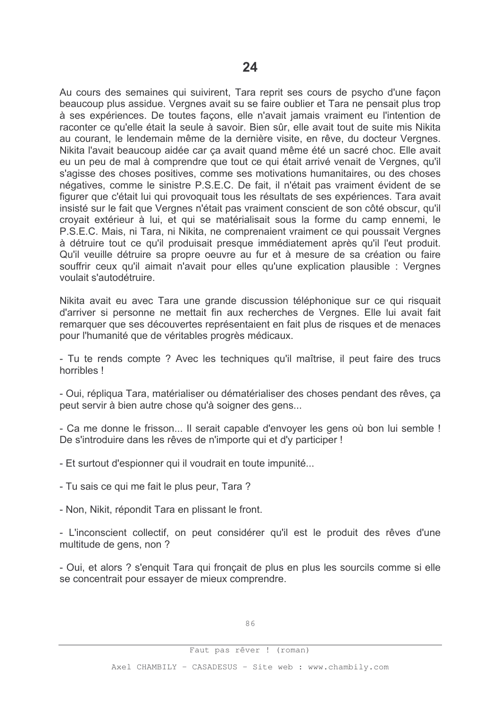Au cours des semaines qui suivirent, Tara reprit ses cours de psycho d'une façon beaucoup plus assidue. Vergnes avait su se faire oublier et Tara ne pensait plus trop à ses expériences. De toutes facons, elle n'avait jamais vraiment eu l'intention de raconter ce qu'elle était la seule à savoir. Bien sûr, elle avait tout de suite mis Nikita au courant, le lendemain même de la dernière visite, en rêve, du docteur Vergnes. Nikita l'avait beaucoup aidée car ça avait quand même été un sacré choc. Elle avait eu un peu de mal à comprendre que tout ce qui était arrivé venait de Vergnes, qu'il s'agisse des choses positives, comme ses motivations humanitaires, ou des choses négatives, comme le sinistre P.S.E.C. De fait, il n'était pas vraiment évident de se figurer que c'était lui qui provoguait tous les résultats de ses expériences. Tara avait insisté sur le fait que Vergnes n'était pas vraiment conscient de son côté obscur, qu'il croyait extérieur à lui, et qui se matérialisait sous la forme du camp ennemi, le P.S.E.C. Mais, ni Tara, ni Nikita, ne comprenaient vraiment ce qui poussait Vergnes à détruire tout ce qu'il produisait presque immédiatement après qu'il l'eut produit. Qu'il veuille détruire sa propre oeuvre au fur et à mesure de sa création ou faire souffrir ceux qu'il aimait n'avait pour elles qu'une explication plausible : Vergnes voulait s'autodétruire.

Nikita avait eu avec Tara une grande discussion téléphonique sur ce qui risquait d'arriver si personne ne mettait fin aux recherches de Vergnes. Elle lui avait fait remarquer que ses découvertes représentaient en fait plus de risques et de menaces pour l'humanité que de véritables progrès médicaux.

- Tu te rends compte ? Avec les techniques qu'il maîtrise, il peut faire des trucs horribles!

- Qui, répliqua Tara, matérialiser ou dématérialiser des choses pendant des rêves, ca peut servir à bien autre chose qu'à soigner des gens...

- Ca me donne le frisson... Il serait capable d'envover les gens où bon lui semble ! De s'introduire dans les rêves de n'importe qui et d'y participer !

- Et surtout d'espionner qui il voudrait en toute impunité...

- Tu sais ce qui me fait le plus peur, Tara?
- Non, Nikit, répondit Tara en plissant le front.

- L'inconscient collectif, on peut considérer qu'il est le produit des rêves d'une multitude de gens, non ?

- Oui, et alors ? s'enguit Tara qui froncait de plus en plus les sourcils comme si elle se concentrait pour essayer de mieux comprendre.